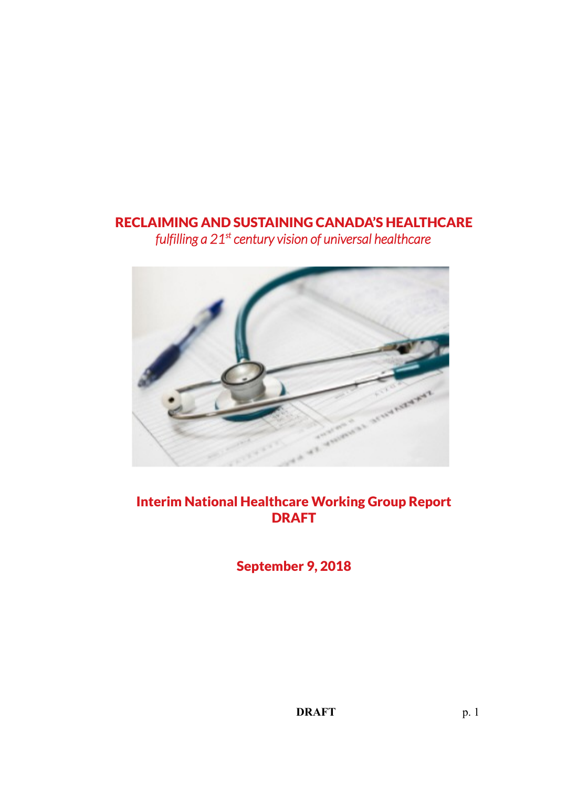# RECLAIMING AND SUSTAINING CANADA'S HEALTHCARE

*fulfilling a 21st century vision of universal healthcare*



# Interim National Healthcare Working Group Report DRAFT

September 9, 2018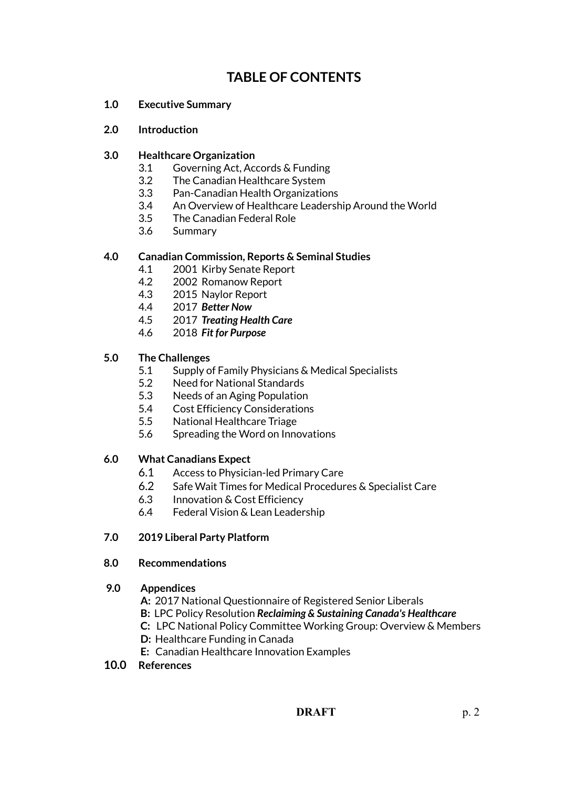# **TABLE OF CONTENTS**

- **1.0 Executive Summary**
- **2.0 Introduction**

## **3.0 Healthcare Organization**

- 3.1 Governing Act, Accords & Funding
- 3.2 The Canadian Healthcare System
- 3.3 Pan-Canadian Health Organizations
- 3.4 An Overview of Healthcare Leadership Around the World
- 3.5 The Canadian Federal Role
- 3.6 Summary

## **4.0 Canadian Commission, Reports & Seminal Studies**

- 4.1 2001 Kirby Senate Report
- 4.2 2002 Romanow Report
- 4.3 2015 Naylor Report
- 4.4 2017 *Better Now*
- 4.5 2017 *Treating Health Care*
- 4.6 2018 *Fit for Purpose*

## **5.0 The Challenges**

- 5.1 Supply of Family Physicians & Medical Specialists
- 5.2 Need for National Standards
- 5.3 Needs of an Aging Population
- 5.4 Cost Efficiency Considerations
- 5.5 National Healthcare Triage
- 5.6 Spreading the Word on Innovations

## **6.0 What Canadians Expect**

- 6.1 Access to Physician-led Primary Care
- 6.2 Safe Wait Times for Medical Procedures & Specialist Care
- 6.3 Innovation & Cost Efficiency
- 6.4 Federal Vision & Lean Leadership

## **7.0 2019 Liberal Party Platform**

## **8.0 Recommendations**

## **9.0 Appendices**

- **A:** 2017 National Questionnaire of Registered Senior Liberals
- **B:** LPC Policy Resolution *Reclaiming & Sustaining Canada's Healthcare*
- **C:** LPC National Policy Committee Working Group: Overview & Members
- **D:** Healthcare Funding in Canada
- **E:** Canadian Healthcare Innovation Examples

## **10.0 References**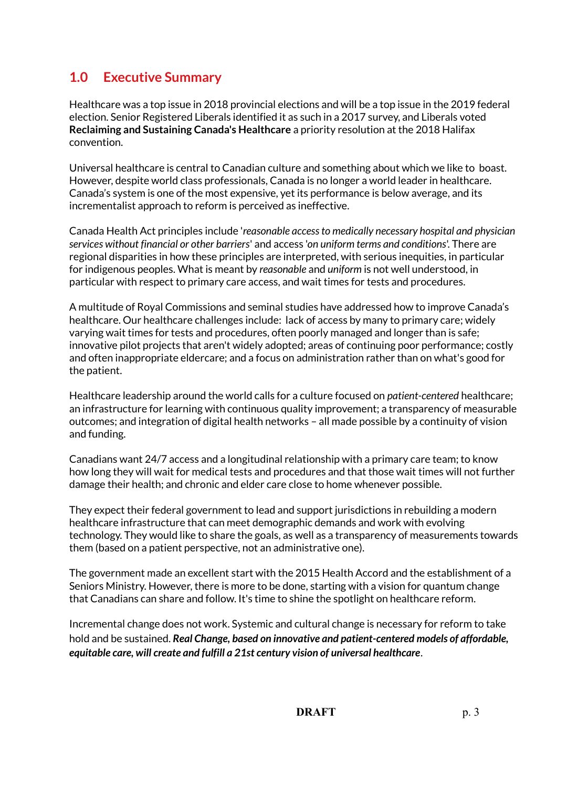# **1.0 Executive Summary**

Healthcare was a top issue in 2018 provincial elections and will be a top issue in the 2019 federal election. Senior Registered Liberals identified it as such in a 2017 survey, and Liberals voted **Reclaiming and Sustaining Canada's Healthcare** a priority resolution at the 2018 Halifax convention.

Universal healthcare is central to Canadian culture and something about which we like to boast. However, despite world class professionals, Canada is no longer a world leader in healthcare. Canada's system is one of the most expensive, yet its performance is below average, and its incrementalist approach to reform is perceived as ineffective.

Canada Health Act principles include '*reasonable access to medically necessary hospital and physician services without financial or other barriers*' and access '*on uniform terms and conditions*'. There are regional disparities in how these principles are interpreted, with serious inequities, in particular for indigenous peoples. What is meant by *reasonable* and *uniform* is not well understood, in particular with respect to primary care access, and wait times for tests and procedures.

A multitude of Royal Commissions and seminal studies have addressed how to improve Canada's healthcare. Our healthcare challenges include: lack of access by many to primary care; widely varying wait times for tests and procedures, often poorly managed and longer than is safe; innovative pilot projects that aren't widely adopted; areas of continuing poor performance; costly and often inappropriate eldercare; and a focus on administration rather than on what's good for the patient.

Healthcare leadership around the world calls for a culture focused on *patient-centered* healthcare; an infrastructure for learning with continuous quality improvement; a transparency of measurable outcomes; and integration of digital health networks – all made possible by a continuity of vision and funding.

Canadians want 24/7 access and a longitudinal relationship with a primary care team; to know how long they will wait for medical tests and procedures and that those wait times will not further damage their health; and chronic and elder care close to home whenever possible.

They expect their federal government to lead and support jurisdictions in rebuilding a modern healthcare infrastructure that can meet demographic demands and work with evolving technology. They would like to share the goals, as well as a transparency of measurements towards them (based on a patient perspective, not an administrative one).

The government made an excellent start with the 2015 Health Accord and the establishment of a Seniors Ministry. However, there is more to be done, starting with a vision for quantum change that Canadians can share and follow. It's time to shine the spotlight on healthcare reform.

Incremental change does not work. Systemic and cultural change is necessary for reform to take hold and be sustained. *Real Change, based on innovative and patient-centered models of affordable, equitable care, will create and fulfill a 21st century vision of universal healthcare*.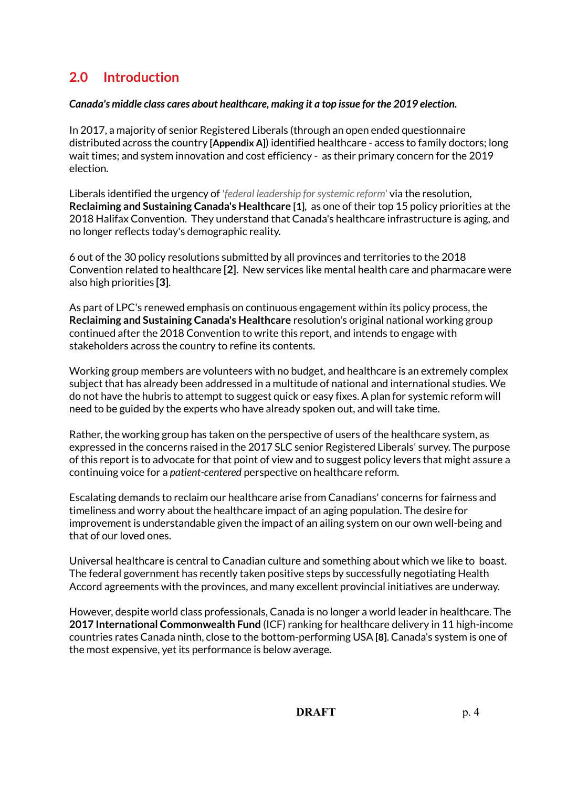# **2.0 Introduction**

## *Canada's middle class cares about healthcare, making it a top issue for the 2019 election.*

In 2017, a majority of senior Registered Liberals (through an open ended questionnaire distributed across the country **[Appendix A]**) identified healthcare - access to family doctors; long wait times; and system innovation and cost efficiency - as their primary concern for the 2019 election.

Liberals identified the urgency of '*federal leadership for systemic reform'* via the resolution, **Reclaiming and Sustaining Canada's Healthcare [1]**, as one of their top 15 policy priorities at the 2018 Halifax Convention. They understand that Canada's healthcare infrastructure is aging, and no longer reflects today's demographic reality.

6 out of the 30 policy resolutions submitted by all provinces and territories to the 2018 Convention related to healthcare **[2]**. New services like mental health care and pharmacare were also high priorities **[3]**.

As part of LPC's renewed emphasis on continuous engagement within its policy process, the **Reclaiming and Sustaining Canada's Healthcare** resolution's original national working group continued after the 2018 Convention to write this report, and intends to engage with stakeholders across the country to refine its contents.

Working group members are volunteers with no budget, and healthcare is an extremely complex subject that has already been addressed in a multitude of national and international studies. We do not have the hubris to attempt to suggest quick or easy fixes. A plan for systemic reform will need to be guided by the experts who have already spoken out, and will take time.

Rather, the working group has taken on the perspective of users of the healthcare system, as expressed in the concerns raised in the 2017 SLC senior Registered Liberals' survey. The purpose of this report is to advocate for that point of view and to suggest policy levers that might assure a continuing voice for a *patient-centered* perspective on healthcare reform.

Escalating demands to reclaim our healthcare arise from Canadians' concerns for fairness and timeliness and worry about the healthcare impact of an aging population. The desire for improvement is understandable given the impact of an ailing system on our own well-being and that of our loved ones.

Universal healthcare is central to Canadian culture and something about which we like to boast. The federal government has recently taken positive steps by successfully negotiating Health Accord agreements with the provinces, and many excellent provincial initiatives are underway.

However, despite world class professionals, Canada is no longer a world leader in healthcare. The **2017 International Commonwealth Fund** (ICF) ranking for healthcare delivery in 11 high-income countries rates Canada ninth, close to the bottom-performing USA **[8]**. Canada's system is one of the most expensive, yet its performance is below average.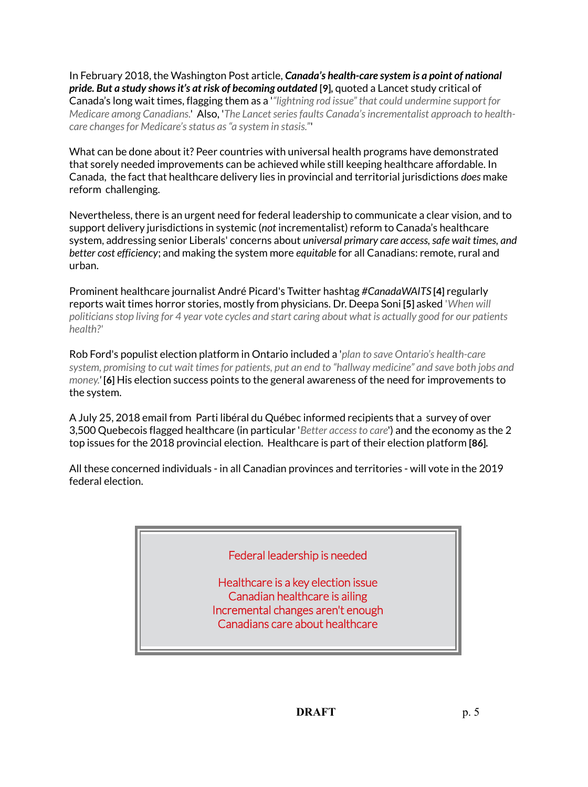In February 2018, the Washington Post article, *Canada's health-care system is a point of national pride. But a study shows it's at risk of becoming outdated* **[9],** quoted a Lancet study critical of Canada's long wait times, flagging them as a '*"lightning rod issue" that could undermine support for Medicare among Canadians.*' Also, '*The Lancet series faults Canada's incrementalist approach to healthcare changes for Medicare's status as "a system in stasis."*'

What can be done about it? Peer countries with universal health programs have demonstrated that sorely needed improvements can be achieved while still keeping healthcare affordable. In Canada, the fact that healthcare delivery lies in provincial and territorial jurisdictions *does* make reform challenging.

Nevertheless, there is an urgent need for federal leadership to communicate a clear vision, and to support delivery jurisdictions in systemic (*not* incrementalist) reform to Canada's healthcare system, addressing senior Liberals' concerns about *universal primary care access, safe wait times, and better cost efficiency*; and making the system more *equitable* for all Canadians: remote, rural and urban.

Prominent healthcare journalist André Picard's Twitter hashtag *#CanadaWAITS* **[4]** regularly reports wait times horror stories, mostly from physicians. Dr. Deepa Soni **[5]** asked '*When will politicians stop living for 4 year vote cycles and start caring about what is actually good for our patients health?'*

Rob Ford's populist election platform in Ontario included a '*plan to save Ontario's health-care system, promising to cut wait times for patients, put an end to "hallway medicine" and save both jobs and money.'* **[6]** His election success points to the general awareness of the need for improvements to the system.

A July 25, 2018 email from Parti libéral du Québec informed recipients that a survey of over 3,500 Quebecois flagged healthcare (in particular '*Better access to care*') and the economy as the 2 top issues for the 2018 provincial election. Healthcare is part of their election platform **[86].**

All these concerned individuals - in all Canadian provinces and territories - will vote in the 2019 federal election.

| Federal leadership is needed                                                                                                                |  |
|---------------------------------------------------------------------------------------------------------------------------------------------|--|
| Healthcare is a key election issue<br>Canadian healthcare is ailing<br>Incremental changes aren't enough<br>Canadians care about healthcare |  |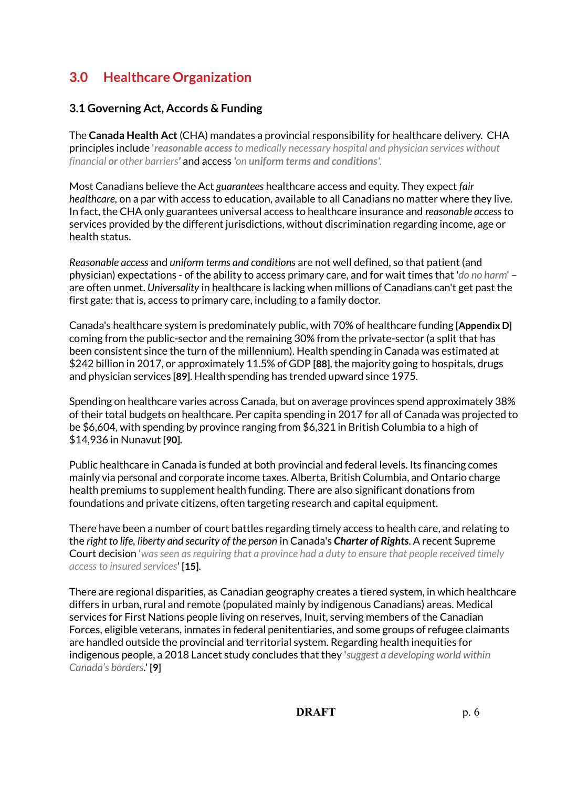# **3.0 Healthcare Organization**

## **3.1 Governing Act, Accords & Funding**

The **Canada Health Act** (CHA) mandates a provincial responsibility for healthcare delivery. CHA principles include '*reasonable access to medically necessary hospital and physician services without financial or other barriers'* and access '*on uniform terms and conditions'*.

Most Canadians believe the Act *guarantees* healthcare access and equity. They expect *fair healthcare,* on a par with access to education, available to all Canadians no matter where they live*.*  In fact, the CHA only guarantees universal access to healthcare insurance and *reasonable access* to services provided by the different jurisdictions, without discrimination regarding income, age or health status.

*Reasonable access* and *uniform terms and conditions* are not well defined, so that patient (and physician) expectations - of the ability to access primary care, and for wait times that '*do no harm*' – are often unmet. *Universality* in healthcare is lacking when millions of Canadians can't get past the first gate: that is, access to primary care, including to a family doctor.

Canada's healthcare system is predominately public, with 70% of healthcare funding **[Appendix D]**  coming from the public-sector and the remaining 30% from the private-sector (a split that has been consistent since the turn of the millennium). Health spending in Canada was estimated at \$242 billion in 2017, or approximately 11.5% of GDP **[88]**, the majority going to hospitals, drugs and physician services **[89]**. Health spending has trended upward since 1975.

Spending on healthcare varies across Canada, but on average provinces spend approximately 38% of their total budgets on healthcare. Per capita spending in 2017 for all of Canada was projected to be \$6,604, with spending by province ranging from \$6,321 in British Columbia to a high of \$14,936 in Nunavut **[90]**.

Public healthcare in Canada is funded at both provincial and federal levels**.** Its financing comes mainly via personal and corporate income taxes. Alberta, British Columbia, and Ontario charge health premiums to supplement health funding. There are also significant donations from foundations and private citizens, often targeting research and capital equipment.

There have been a number of court battles regarding timely access to health care, and relating to the *right to life, liberty and security of the person* in Canada's *Charter of Rights*. A recent Supreme Court decision '*was seen as requiring that a province had a duty to ensure that people received timely access to insured services*' **[15]**.

There are regional disparities, as Canadian geography creates a tiered system, in which healthcare differs in urban, rural and remote (populated mainly by indigenous Canadians) areas. Medical services for First Nations people living on reserves, Inuit, serving members of the Canadian Forces, eligible veterans, inmates in federal penitentiaries, and some groups of refugee claimants are handled outside the provincial and territorial system. Regarding health inequities for indigenous people, a 2018 Lancet study concludes that they '*suggest a developing world within Canada's borders.*' **[9]**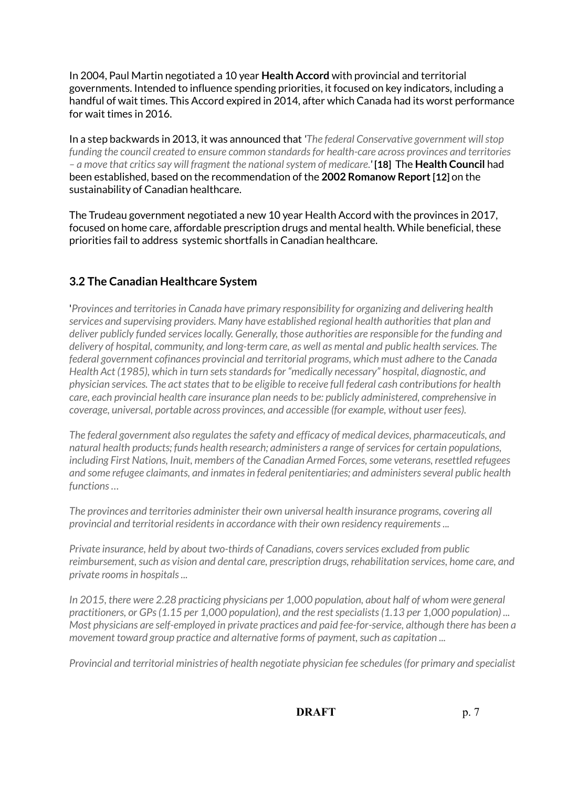In 2004, Paul Martin negotiated a 10 year **Health Accord** with provincial and territorial governments. Intended to influence spending priorities, it focused on key indicators, including a handful of wait times. This Accord expired in 2014, after which Canada had its worst performance for wait times in 2016.

In a step backwards in 2013, it was announced that *'The federal Conservative government will stop funding the council created to ensure common standards for health-care across provinces and territories – a move that critics say will fragment the national system of medicare.'* **[18]** The **Health Council** had been established, based on the recommendation of the **2002 Romanow Report [12]** on the sustainability of Canadian healthcare.

The Trudeau government negotiated a new 10 year Health Accord with the provinces in 2017, focused on home care, affordable prescription drugs and mental health. While beneficial, these priorities fail to address systemic shortfalls in Canadian healthcare.

# **3.2 The Canadian Healthcare System**

'*Provinces and territories in Canada have primary responsibility for organizing and delivering health services and supervising providers. Many have established regional health authorities that plan and deliver publicly funded services locally. Generally, those authorities are responsible for the funding and delivery of hospital, community, and long-term care, as well as mental and public health services. The federal government cofinances provincial and territorial programs, which must adhere to the Canada Health Act (1985), which in turn sets standards for "medically necessary" hospital, diagnostic, and physician services. The act states that to be eligible to receive full federal cash contributions for health care, each provincial health care insurance plan needs to be: publicly administered, comprehensive in coverage, universal, portable across provinces, and accessible (for example, without user fees).*

*The federal government also regulates the safety and efficacy of medical devices, pharmaceuticals, and natural health products; funds health research; administers a range of services for certain populations, including First Nations, Inuit, members of the Canadian Armed Forces, some veterans, resettled refugees and some refugee claimants, and inmates in federal penitentiaries; and administers several public health functions …*

*The provinces and territories administer their own universal health insurance programs, covering all provincial and territorial residents in accordance with their own residency requirements ...*

*Private insurance, held by about two-thirds of Canadians, covers services excluded from public reimbursement, such as vision and dental care, prescription drugs, rehabilitation services, home care, and private rooms in hospitals ...*

*In 2015, there were 2.28 practicing physicians per 1,000 population, about half of whom were general practitioners, or GPs (1.15 per 1,000 population), and the rest specialists (1.13 per 1,000 population) ... Most physicians are self-employed in private practices and paid fee-for-service, although there has been a movement toward group practice and alternative forms of payment, such as capitation ...*

*Provincial and territorial ministries of health negotiate physician fee schedules (for primary and specialist*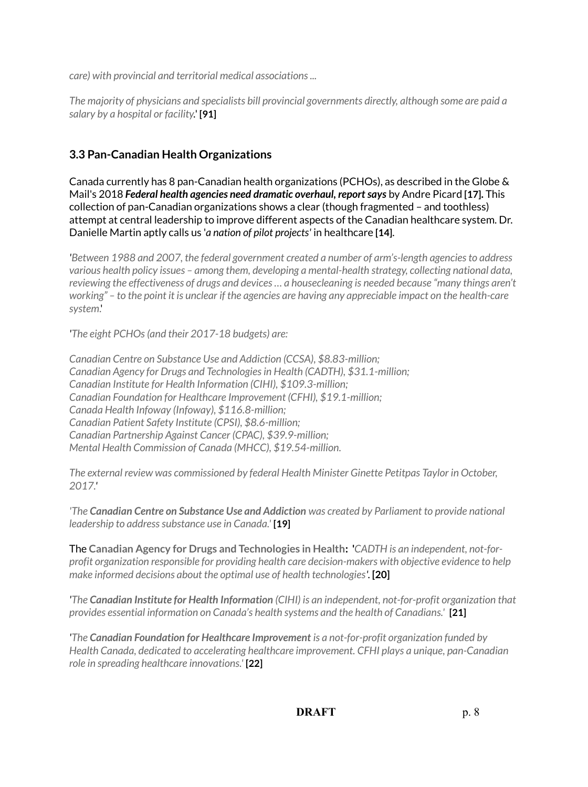*care) with provincial and territorial medical associations ...*

*The majority of physicians and specialists bill provincial governments directly, although some are paid a salary by a hospital or facility.*' **[91]**

# **3.3 Pan-Canadian Health Organizations**

Canada currently has 8 pan-Canadian health organizations (PCHOs), as described in the Globe & Mail's 2018 *Federal health agencies need dramatic overhaul, report says* by Andre Picard **[17].** This collection of pan-Canadian organizations shows a clear (though fragmented – and toothless) attempt at central leadership to improve different aspects of the Canadian healthcare system. Dr. Danielle Martin aptly calls us '*a nation of pilot projects'* in healthcare **[14]**.

*'Between 1988 and 2007, the federal government created a number of arm's-length agencies to address various health policy issues – among them, developing a mental-health strategy, collecting national data, reviewing the effectiveness of drugs and devices … a housecleaning is needed because "many things aren't working" – to the point it is unclear if the agencies are having any appreciable impact on the health-care system*.'

*'The eight PCHOs (and their 2017-18 budgets) are:*

*Canadian Centre on Substance Use and Addiction (CCSA), \$8.83-million; Canadian Agency for Drugs and Technologies in Health (CADTH), \$31.1-million; Canadian Institute for Health Information (CIHI), \$109.3-million; Canadian Foundation for Healthcare Improvement (CFHI), \$19.1-million; Canada Health Infoway (Infoway), \$116.8-million; Canadian Patient Safety Institute (CPSI), \$8.6-million; Canadian Partnership Against Cancer (CPAC), \$39.9-million; Mental Health Commission of Canada (MHCC), \$19.54-million.*

*The external review was commissioned by federal Health Minister Ginette Petitpas Taylor in October, 2017.'*

*'The Canadian Centre on Substance Use and Addiction was created by Parliament to provide national leadership to address substance use in Canada.'* **[19]**

The **Canadian Agency for Drugs and Technologies in Health: '***CADTH is an independent, not-forprofit organization responsible for providing health care decision-makers with objective evidence to help make informed decisions about the optimal use of health technologies'*. **[20]**

*'The Canadian Institute for Health Information (CIHI) is an independent, not-for-profit organization that provides essential information on Canada's health systems and the health of Canadians.'* **[21]**

*'The Canadian Foundation for Healthcare Improvement is a not-for-profit organization funded by Health Canada, dedicated to accelerating healthcare improvement. CFHI plays a unique, pan-Canadian role in spreading healthcare innovations.'* **[22]**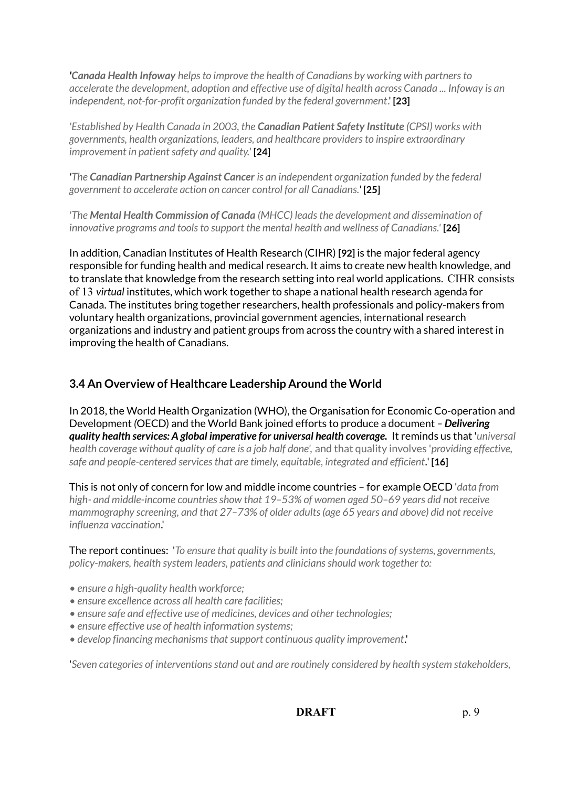*'Canada Health Infoway helps to improve the health of Canadians by working with partners to accelerate the development, adoption and effective use of digital health across Canada ... Infoway is an independent, not-for-profit organization funded by the federal government*.' **[23]**

*'Established by Health Canada in 2003, the Canadian Patient Safety Institute (CPSI) works with governments, health organizations, leaders, and healthcare providers to inspire extraordinary improvement in patient safety and quality.'* **[24]**

*'The Canadian Partnership Against Cancer is an independent organization funded by the federal government to accelerate action on cancer control for all Canadians.'* **[25]**

*'The Mental Health Commission of Canada (MHCC) leads the development and dissemination of innovative programs and tools to support the mental health and wellness of Canadians.'* **[26]**

In addition, Canadian Institutes of Health Research (CIHR) **[92]** is the major federal agency responsible for funding health and medical research. It aims to create new health knowledge, and to translate that knowledge from the research setting into real world applications. CIHR consists of 13 *virtual* institutes, which work together to shape a national health research agenda for Canada. The institutes bring together researchers, health professionals and policy-makers from voluntary health organizations, provincial government agencies, international research organizations and industry and patient groups from across the country with a shared interest in improving the health of Canadians.

## **3.4 An Overview of Healthcare Leadership Around the World**

In 2018, the World Health Organization (WHO), the Organisation for Economic Co-operation and Development *(*OECD) and the World Bank joined efforts to produce a document *– Delivering quality health services: A global imperative for universal health coverage.* It reminds us that '*universal health coverage without quality of care is a job half done',* and that quality involves '*providing effective, safe and people-centered services that are timely, equitable, integrated and efficient.*' **[16]**

This is not only of concern for low and middle income countries – for example OECD '*data from high- and middle-income countries show that 19–53% of women aged 50–69 years did not receive mammography screening, and that 27–73% of older adults (age 65 years and above) did not receive influenza vaccination*.'

The report continues: '*To ensure that quality is built into the foundations of systems, governments, policy-makers, health system leaders, patients and clinicians should work together to:*

- *ensure a high-quality health workforce;*
- *ensure excellence across all health care facilities;*
- *ensure safe and effective use of medicines, devices and other technologies;*
- *ensure effective use of health information systems;*
- *develop financing mechanisms that support continuous quality improvement*.'

'*Seven categories of interventions stand out and are routinely considered by health system stakeholders,*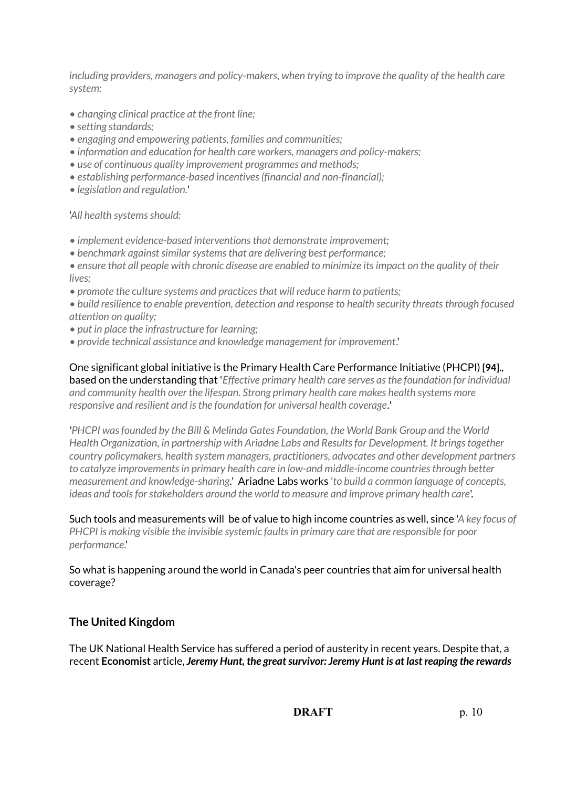*including providers, managers and policy-makers, when trying to improve the quality of the health care system:*

- *changing clinical practice at the front line;*
- *setting standards;*
- *engaging and empowering patients, families and communities;*
- *information and education for health care workers, managers and policy-makers;*
- *use of continuous quality improvement programmes and methods;*
- *establishing performance-based incentives (financial and non-financial);*
- *legislation and regulation.*'

'*All health systems should:*

- *implement evidence-based interventions that demonstrate improvement;*
- *benchmark against similar systems that are delivering best performance;*
- *ensure that all people with chronic disease are enabled to minimize its impact on the quality of their lives;*
- *promote the culture systems and practices that will reduce harm to patients;*
- *build resilience to enable prevention, detection and response to health security threats through focused attention on quality;*
- *put in place the infrastructure for learning;*
- *provide technical assistance and knowledge management for improvement*.'

One significant global initiative is the Primary Health Care Performance Initiative (PHCPI) **[94]**., based on the understanding that '*Effective primary health care serves as the foundation for individual and community health over the lifespan. Strong primary health care makes health systems more responsive and resilient and is the foundation for universal health coverage.'*

*'PHCPI was founded by the Bill & Melinda Gates Foundation, the World Bank Group and the World Health Organization, in partnership with Ariadne Labs and Results for Development. It brings together country policymakers, health system managers, practitioners, advocates and other development partners to catalyze improvements in primary health care in low-and middle-income countries through better measurement and knowledge-sharing.*' Ariadne Labs works '*to build a common language of concepts, ideas and tools for stakeholders around the world to measure and improve primary health care*'.

Such tools and measurements will be of value to high income countries as well, since '*A key focus of PHCPI is making visible the invisible systemic faults in primary care that are responsible for poor performance*.'

So what is happening around the world in Canada's peer countries that aim for universal health coverage?

## **The United Kingdom**

The UK National Health Service has suffered a period of austerity in recent years. Despite that, a recent **Economist** article, *Jeremy Hunt, the great survivor: Jeremy Hunt is at last reaping the rewards*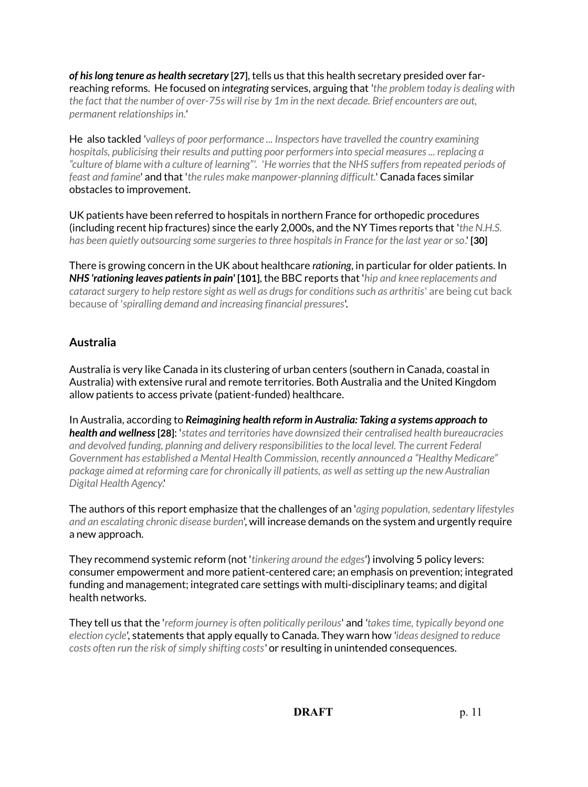*of his long tenure as health secretary* **[27]**, tells us that this health secretary presided over farreaching reforms. He focused on *integrating* services, arguing that *'the problem today is dealing with the fact that the number of over-75s will rise by 1m in the next decade. Brief encounters are out, permanent relationships in.'*

He also tackled *'valleys of poor performance ... Inspectors have travelled the country examining hospitals, publicising their results and putting poor performers into special measures ... replacing a "culture of blame with a culture of learning"'.* '*He worries that the NHS suffers from repeated periods of feast and famine*' and that '*the rules make manpower-planning difficult.*' Canada faces similar obstacles to improvement.

UK patients have been referred to hospitals in northern France for orthopedic procedures (including recent hip fractures) since the early 2,000s, and the NY Times reports that '*the N.H.S. has been quietly outsourcing some surgeries to three hospitals in France for the last year or so*.' **[30]**

There is growing concern in the UK about healthcare *rationing*, in particular for older patients. In *NHS 'rationing leaves patients in pain'* **[101]**, the BBC reports that '*hip and knee replacements and cataract surgery to help restore sight as well as drugs for conditions such as arthritis*' are being cut back because of '*spiralling demand and increasing financial pressures*'.

## **Australia**

Australia is very like Canada in its clustering of urban centers (southern in Canada, coastal in Australia) with extensive rural and remote territories. Both Australia and the United Kingdom allow patients to access private (patient-funded) healthcare.

In Australia, according to *Reimagining health reform in Australia: Taking a systems approach to health and wellness* **[28]**: '*states and territories have downsized their centralised health bureaucracies and devolved funding, planning and delivery responsibilities to the local level. The current Federal Government has established a Mental Health Commission, recently announced a "Healthy Medicare" package aimed at reforming care for chronically ill patients, as well as setting up the new Australian Digital Health Agency*.'

The authors of this report emphasize that the challenges of an '*aging population, sedentary lifestyles and an escalating chronic disease burden*', will increase demands on the system and urgently require a new approach.

They recommend systemic reform (not '*tinkering around the edges*') involving 5 policy levers: consumer empowerment and more patient-centered care; an emphasis on prevention; integrated funding and management; integrated care settings with multi-disciplinary teams; and digital health networks.

They tell us that the '*reform journey is often politically perilous*' and *'takes time, typically beyond one election cycle',* statements that apply equally to Canada. They warn how *'ideas designed to reduce costs often run the risk of simply shifting costs'* or resulting in unintended consequences.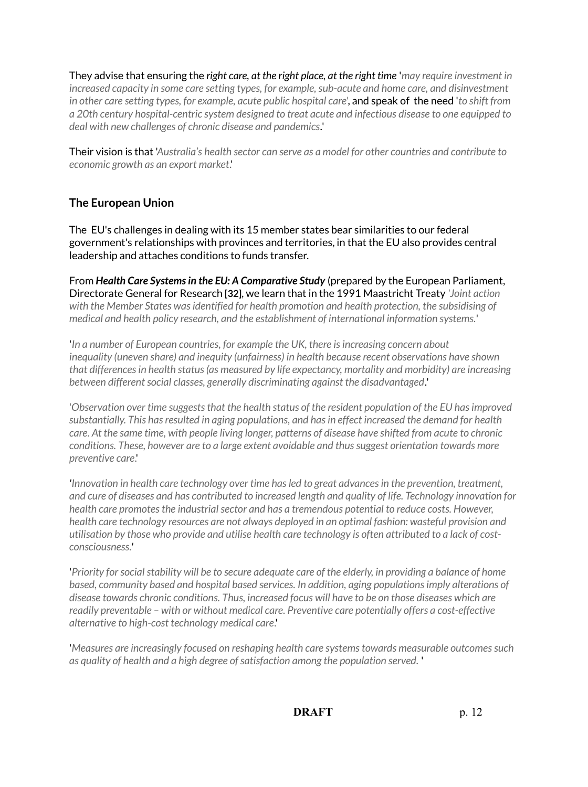They advise that ensuring the *right care, at the right place, at the right time* '*may require investment in increased capacity in some care setting types, for example, sub-acute and home care, and disinvestment in other care setting types, for example, acute public hospital care*', and speak of the need '*to shift from a 20th century hospital-centric system designed to treat acute and infectious disease to one equipped to deal with new challenges of chronic disease and pandemics.*'

Their vision is that '*Australia's health sector can serve as a model for other countries and contribute to economic growth as an export market*.'

## **The European Union**

The EU's challenges in dealing with its 15 member states bear similarities to our federal government's relationships with provinces and territories, in that the EU also provides central leadership and attaches conditions to funds transfer.

From *Health Care Systems in the EU: A Comparative Study* (prepared by the European Parliament, Directorate General for Research **[32]**, we learn that in the 1991 Maastricht Treaty *'Joint action with the Member States was identified for health promotion and health protection, the subsidising of medical and health policy research, and the establishment of international information systems.*'

'*In a number of European countries, for example the UK, there is increasing concern about inequality (uneven share) and inequity (unfairness) in health because recent observations have shown that differences in health status (as measured by life expectancy, mortality and morbidity) are increasing between different social classes, generally discriminating against the disadvantaged.*'

'*Observation over time suggests that the health status of the resident population of the EU has improved substantially. This has resulted in aging populations, and has in effect increased the demand for health care. At the same time, with people living longer, patterns of disease have shifted from acute to chronic conditions. These, however are to a large extent avoidable and thus suggest orientation towards more preventive care*.'

*'Innovation in health care technology over time has led to great advances in the prevention, treatment, and cure of diseases and has contributed to increased length and quality of life. Technology innovation for health care promotes the industrial sector and has a tremendous potential to reduce costs. However, health care technology resources are not always deployed in an optimal fashion: wasteful provision and utilisation by those who provide and utilise health care technology is often attributed to a lack of costconsciousness.'*

'*Priority for social stability will be to secure adequate care of the elderly, in providing a balance of home based, community based and hospital based services. In addition, aging populations imply alterations of disease towards chronic conditions. Thus, increased focus will have to be on those diseases which are readily preventable – with or without medical care. Preventive care potentially offers a cost-effective alternative to high-cost technology medical care*.'

'*Measures are increasingly focused on reshaping health care systems towards measurable outcomes such as quality of health and a high degree of satisfaction among the population served.* '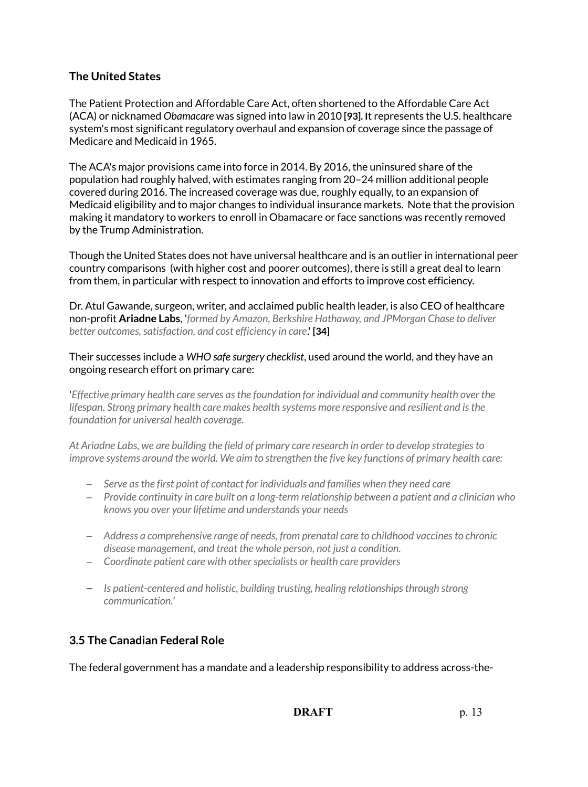# **The United States**

The Patient Protection and Affordable Care Act, often shortened to the Affordable Care Act (ACA) or nicknamed *Obamacare* was signed into law in 2010 **[93]. I**t represents the U.S. healthcare system's most significant regulatory overhaul and expansion of coverage since the passage of Medicare and Medicaid in 1965.

The ACA's major provisions came into force in 2014. By 2016, the uninsured share of the population had roughly halved, with estimates ranging from 20–24 million additional people covered during 2016. The increased coverage was due, roughly equally, to an expansion of Medicaid eligibility and to major changes to individual insurance markets. Note that the provision making it mandatory to workers to enroll in Obamacare or face sanctions was recently removed by the Trump Administration.

Though the United States does not have universal healthcare and is an outlier in international peer country comparisons (with higher cost and poorer outcomes), there is still a great deal to learn from them, in particular with respect to innovation and efforts to improve cost efficiency.

Dr. Atul Gawande, surgeon, writer, and acclaimed public health leader, is also CEO of healthcare non-profit **Ariadne Labs**, '*formed by Amazon, Berkshire Hathaway, and JPMorgan Chase to deliver better outcomes, satisfaction, and cost efficiency in care*.' **[34]**

#### Their successes include a *WHO safe surgery checklist*, used around the world, and they have an ongoing research effort on primary care:

'*Effective primary health care serves as the foundation for individual and community health over the lifespan. Strong primary health care makes health systems more responsive and resilient and is the foundation for universal health coverage.*

*At Ariadne Labs, we are building the field of primary care research in order to develop strategies to improve systems around the world. We aim to strengthen the five key functions of primary health care:*

- *Serve as the first point of contact for individuals and families when they need care*
- *Provide continuity in care built on a long-term relationship between a patient and a clinician who knows you over your lifetime and understands your needs*
- *Address a comprehensive range of needs, from prenatal care to childhood vaccines to chronic disease management, and treat the whole person, not just a condition.*
- *Coordinate patient care with other specialists or health care providers*
- *Is patient-centered and holistic, building trusting, healing relationships through strong communication.'*

# **3.5 The Canadian Federal Role**

The federal government has a mandate and a leadership responsibility to address across-the-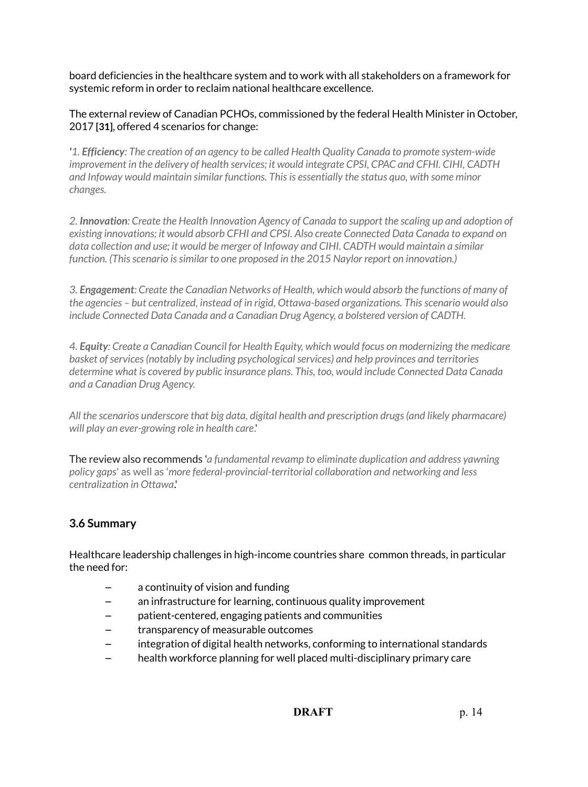board deficiencies in the healthcare system and to work with all stakeholders on a framework for systemic reform in order to reclaim national healthcare excellence.

The external review of Canadian PCHOs, commissioned by the federal Health Minister in October, 2017 **[31]**, offered 4 scenarios for change:

*'1. Efficiency: The creation of an agency to be called Health Quality Canada to promote system-wide improvement in the delivery of health services; it would integrate CPSI, CPAC and CFHI. CIHI, CADTH and Infoway would maintain similar functions. This is essentially the status quo, with some minor changes.* 

*2. Innovation: Create the Health Innovation Agency of Canada to support the scaling up and adoption of existing innovations; it would absorb CFHI and CPSI. Also create Connected Data Canada to expand on data collection and use; it would be merger of Infoway and CIHI. CADTH would maintain a similar function. (This scenario is similar to one proposed in the 2015 Naylor report on innovation.)*

*3. Engagement: Create the Canadian Networks of Health, which would absorb the functions of many of the agencies – but centralized, instead of in rigid, Ottawa-based organizations. This scenario would also include Connected Data Canada and a Canadian Drug Agency, a bolstered version of CADTH.*

*4. Equity: Create a Canadian Council for Health Equity, which would focus on modernizing the medicare basket of services (notably by including psychological services) and help provinces and territories determine what is covered by public insurance plans. This, too, would include Connected Data Canada and a Canadian Drug Agency.*

*All the scenarios underscore that big data, digital health and prescription drugs (and likely pharmacare) will play an ever-growing role in health care*.'

The review also recommends '*a fundamental revamp to eliminate duplication and address yawning policy gaps*' as well as '*more federal-provincial-territorial collaboration and networking and less centralization in Ottawa*.'

# **3.6 Summary**

Healthcare leadership challenges in high-income countries share common threads, in particular the need for:

- a continuity of vision and funding
- an infrastructure for learning, continuous quality improvement
- patient-centered, engaging patients and communities
- transparency of measurable outcomes
- integration of digital health networks, conforming to international standards
- health workforce planning for well placed multi-disciplinary primary care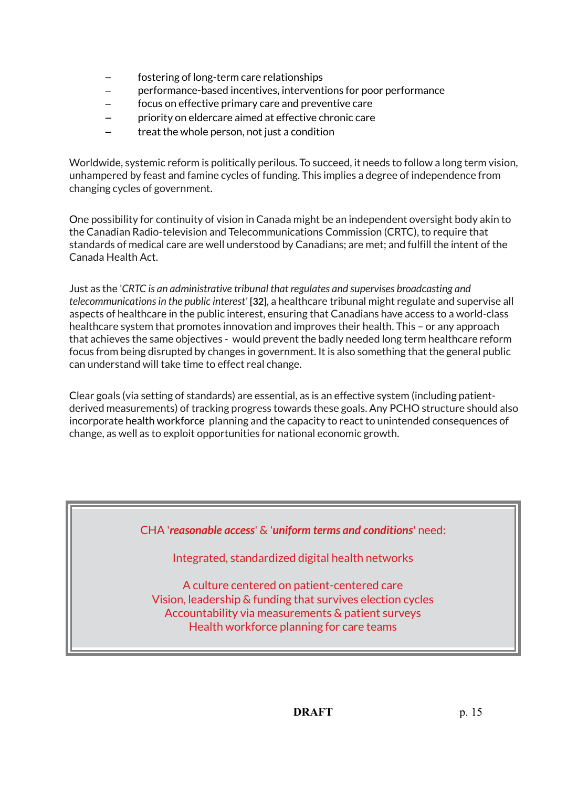- fostering of long-term care relationships
- performance-based incentives, interventions for poor performance
- focus on effective primary care and preventive care
- priority on eldercare aimed at effective chronic care
- treat the whole person, not just a condition

Worldwide, systemic reform is politically perilous. To succeed, it needs to follow a long term vision, unhampered by feast and famine cycles of funding. This implies a degree of independence from changing cycles of government.

One possibility for continuity of vision in Canada might be an independent oversight body akin to the Canadian Radio-television and Telecommunications Commission (CRTC), to require that standards of medical care are well understood by Canadians; are met; and fulfill the intent of the Canada Health Act.

Just as the '*CRTC is an administrative tribunal that regulates and supervises broadcasting and telecommunications in the public interest'* **[32]**, a healthcare tribunal might regulate and supervise all aspects of healthcare in the public interest, ensuring that Canadians have access to a world-class healthcare system that promotes innovation and improves their health. This – or any approach that achieves the same objectives - would prevent the badly needed long term healthcare reform focus from being disrupted by changes in government. It is also something that the general public can understand will take time to effect real change.

Clear goals (via setting of standards) are essential, as is an effective system (including patientderived measurements) of tracking progress towards these goals. Any PCHO structure should also incorporate health workforce planning and the capacity to react to unintended consequences of change, as well as to exploit opportunities for national economic growth.

CHA '*reasonable access*' & '*uniform terms and conditions*' need:

Integrated, standardized digital health networks

A culture centered on patient-centered care Vision, leadership & funding that survives election cycles Accountability via measurements & patient surveys Health workforce planning for care teams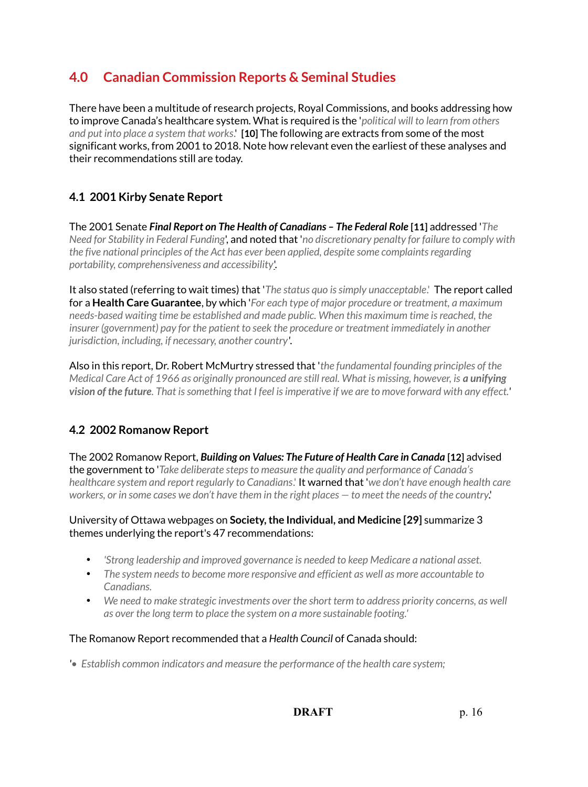# **4.0 Canadian Commission Reports & Seminal Studies**

There have been a multitude of research projects, Royal Commissions, and books addressing how to improve Canada's healthcare system. What is required is the '*political will to learn from others and put into place a system that works*.' **[10]** The following are extracts from some of the most significant works, from 2001 to 2018. Note how relevant even the earliest of these analyses and their recommendations still are today.

# **4.1 2001 Kirby Senate Report**

The 2001 Senate *Final Report on The Health of Canadians – The Federal Role* **[11]** addressed '*The Need for Stability in Federal Funding*', and noted that '*no discretionary penalty for failure to comply with the five national principles of the Act has ever been applied, despite some complaints regarding portability, comprehensiveness and accessibility*['.](https://sencanada.ca/content/sen/Committee/371/pdf/interim-soci-e.pdf)

It also stated (referring to wait times) that '*The status quo is simply unacceptable*.' The report called for a **Health Care Guarantee**, by which '*For each type of major procedure or treatment, a maximum needs-based waiting time be established and made public. When this maximum time is reached, the insurer (government) pay for the patient to seek the procedure or treatment immediately in another jurisdiction, including, if necessary, another country'*.

Also in this report, Dr. Robert McMurtry stressed that '*the fundamental founding principles of the Medical Care Act of 1966 as originally pronounced are still real. What is missing, however, is a unifying vision of the future. That is something that I feel is imperative if we are to move forward with any effect.'*

# **4.2 2002 Romanow Report**

The 2002 Romanow Report, *Building on Values: The Future of Health Care in Canada* **[12]** advised the government to '*Take deliberate steps to measure the quality and performance of Canada's healthcare system and report regularly to Canadians*.' It warned that '*we don't have enough health care workers, or in some cases we don't have them in the right places — to meet the needs of the country*.'

## University of Ottawa webpages on **Society, the Individual, and Medicine [29]** summarize 3 themes underlying the report's 47 recommendations:

- *'Strong leadership and improved governance is needed to keep Medicare a national asset.*
- *The system needs to become more responsive and efficient as well as more accountable to Canadians.*
- *We need to make strategic investments over the short term to address priority concerns, as well as over the long term to place the system on a more sustainable footing.'*

## The Romanow Report recommended that a *Health Council* of Canada should:

*'• Establish common indicators and measure the performance of the health care system;*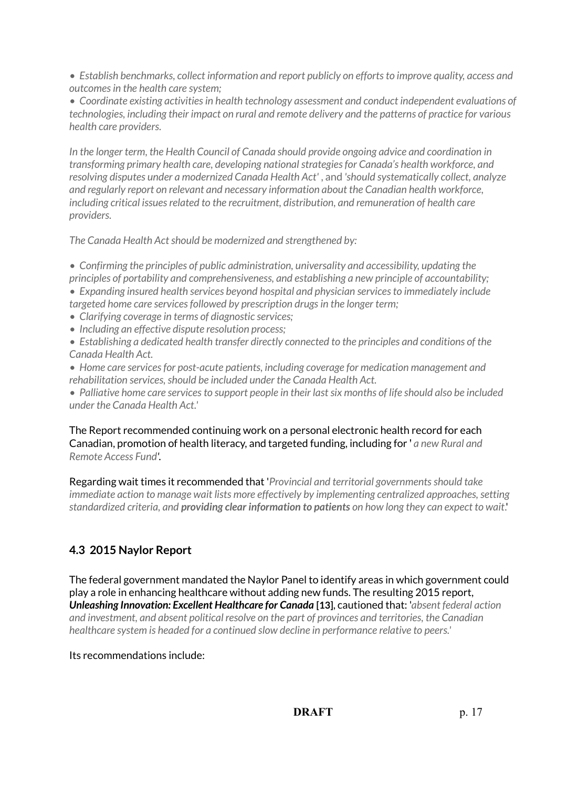*• Establish benchmarks, collect information and report publicly on efforts to improve quality, access and outcomes in the health care system;*

*• Coordinate existing activities in health technology assessment and conduct independent evaluations of technologies, including their impact on rural and remote delivery and the patterns of practice for various health care providers.*

*In the longer term, the Health Council of Canada should provide ongoing advice and coordination in transforming primary health care, developing national strategies for Canada's health workforce, and resolving disputes under a modernized Canada Health Act'* , and *'should systematically collect, analyze and regularly report on relevant and necessary information about the Canadian health workforce, including critical issues related to the recruitment, distribution, and remuneration of health care providers.*

*The Canada Health Act should be modernized and strengthened by:*

*• Confirming the principles of public administration, universality and accessibility, updating the principles of portability and comprehensiveness, and establishing a new principle of accountability; • Expanding insured health services beyond hospital and physician services to immediately include targeted home care services followed by prescription drugs in the longer term;*

- *Clarifying coverage in terms of diagnostic services;*
- *Including an effective dispute resolution process;*
- *Establishing a dedicated health transfer directly connected to the principles and conditions of the Canada Health Act.*

*• Home care services for post-acute patients, including coverage for medication management and rehabilitation services, should be included under the Canada Health Act.*

*• Palliative home care services to support people in their last six months of life should also be included under the Canada Health Act.'*

The Report recommended continuing work on a personal electronic health record for each Canadian, promotion of health literacy, and targeted funding, including for ' *a new Rural and Remote Access Fund'.*

Regarding wait times it recommended that '*Provincial and territorial governments should take immediate action to manage wait lists more effectively by implementing centralized approaches, setting standardized criteria, and providing clear information to patients on how long they can expect to wait*.'

# **4.3 2015 Naylor Report**

The federal government mandated the Naylor Panel to identify areas in which government could play a role in enhancing healthcare without adding new funds. The resulting 2015 report, *Unleashing Innovation: Excellent Healthcare for Canada* **[13]**, cautioned that: '*absent federal action and investment, and absent political resolve on the part of provinces and territories, the Canadian healthcare system is headed for a continued slow decline in performance relative to peers.'*

## Its recommendations include: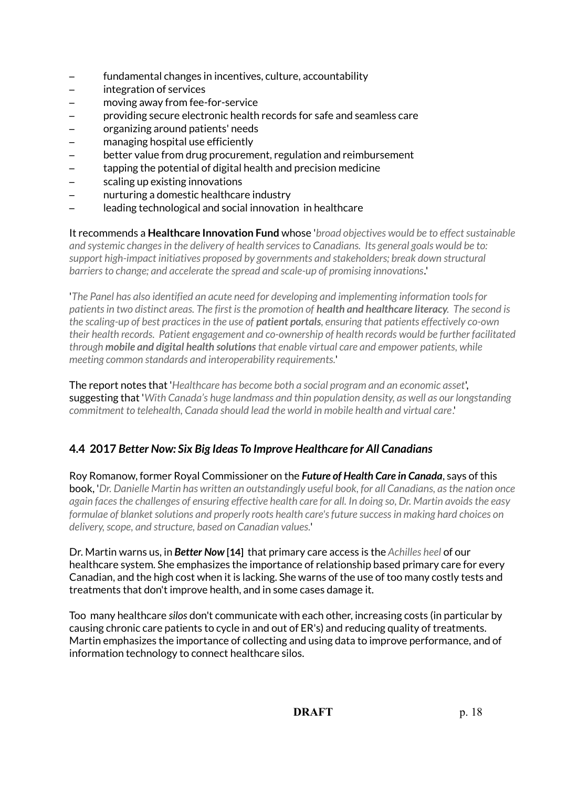- fundamental changes in incentives, culture, accountability
- integration of services
- moving away from fee-for-service
- providing secure electronic health records for safe and seamless care
- organizing around patients' needs
- managing hospital use efficiently
- better value from drug procurement, regulation and reimbursement
- tapping the potential of digital health and precision medicine
- scaling up existing innovations
- nurturing a domestic healthcare industry
- leading technological and social innovation in healthcare

It recommends a **Healthcare Innovation Fund** whose '*broad objectives would be to effect sustainable and systemic changes in the delivery of health services to Canadians. Its general goals would be to: support high-impact initiatives proposed by governments and stakeholders; break down structural barriers to change; and accelerate the spread and scale-up of promising innovations.*'

'*The Panel has also identified an acute need for developing and implementing information tools for patients in two distinct areas. The first is the promotion of health and healthcare literacy. The second is the scaling-up of best practices in the use of patient portals, ensuring that patients effectively co-own their health records. Patient engagement and co-ownership of health records would be further facilitated through mobile and digital health solutions that enable virtual care and empower patients, while meeting common standards and interoperability requirements.*'

The report notes that '*Healthcare has become both a social program and an economic asset*', suggesting that '*With Canada's huge landmass and thin population density, as well as our longstanding commitment to telehealth, Canada should lead the world in mobile health and virtual care*.'

# **4.4 2017** *Better Now: Six Big Ideas To Improve Healthcare for All Canadians*

Roy Romanow, former Royal Commissioner on the *Future of Health Care in Canada*, says of this book, '*Dr. Danielle Martin has written an outstandingly useful book, for all Canadians, as the nation once again faces the challenges of ensuring effective health care for all. In doing so, Dr. Martin avoids the easy formulae of blanket solutions and properly roots health care's future success in making hard choices on delivery, scope, and structure, based on Canadian values.*'

Dr. Martin warns us, in *Better Now* **[14]** that primary care access is the *Achilles heel* of our healthcare system. She emphasizes the importance of relationship based primary care for every Canadian, and the high cost when it is lacking. She warns of the use of too many costly tests and treatments that don't improve health, and in some cases damage it.

Too many healthcare *silos* don't communicate with each other, increasing costs (in particular by causing chronic care patients to cycle in and out of ER's) and reducing quality of treatments. Martin emphasizes the importance of collecting and using data to improve performance, and of information technology to connect healthcare silos.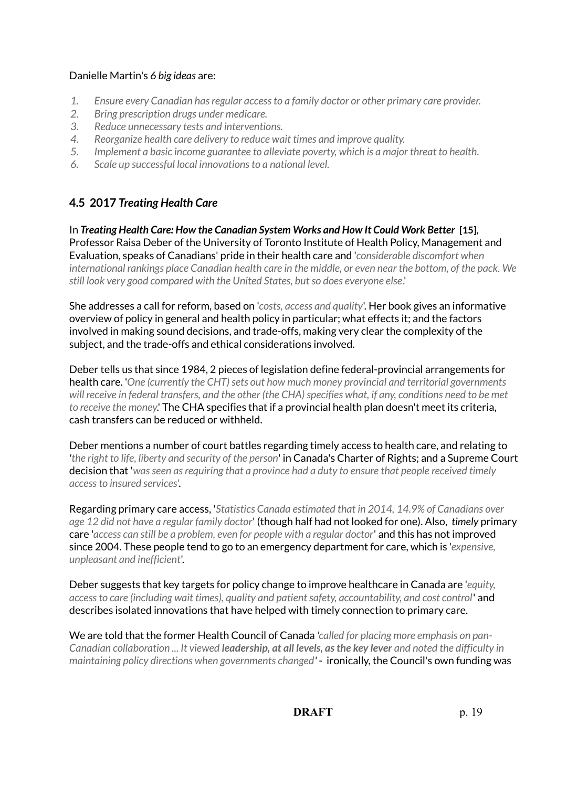## Danielle Martin's *6 big ideas* are:

- *1. Ensure every Canadian has regular access to a family doctor or other primary care provider.*
- *2. Bring prescription drugs under medicare.*
- *3. Reduce unnecessary tests and interventions.*
- *4. Reorganize health care delivery to reduce wait times and improve quality.*
- *5. Implement a basic income guarantee to alleviate poverty, which is a major threat to health.*
- *6. Scale up successful local innovations to a national level.*

# **4.5 2017** *Treating Health Care*

In *Treating Health Care: How the Canadian System Works and How It Could Work Better* **[15]***,* Professor Raisa Deber of the University of Toronto Institute of Health Policy, Management and Evaluation, speaks of Canadians' pride in their health care and '*considerable discomfort when international rankings place Canadian health care in the middle, or even near the bottom, of the pack. We still look very good compared with the United States, but so does everyone else*.'

She addresses a call for reform, based on '*costs, access and quality*'. Her book gives an informative overview of policy in general and health policy in particular; what effects it; and the factors involved in making sound decisions, and trade-offs, making very clear the complexity of the subject, and the trade-offs and ethical considerations involved.

Deber tells us that since 1984, 2 pieces of legislation define federal-provincial arrangements for health care. '*One (currently the CHT) sets out how much money provincial and territorial governments*  will receive in federal transfers, and the other (the CHA) specifies what, if any, conditions need to be met *to receive the money*.' The CHA specifies that if a provincial health plan doesn't meet its criteria, cash transfers can be reduced or withheld.

Deber mentions a number of court battles regarding timely access to health care, and relating to *'the right to life, liberty and security of the person*' in Canada's Charter of Rights; and a Supreme Court decision that '*was seen as requiring that a province had a duty to ensure that people received timely access to insured services*'.

Regarding primary care access, '*Statistics Canada estimated that in 2014, 14.9% of Canadians over age 12 did not have a regular family doctor*' (though half had not looked for one). Also, *timely* primary care '*access can still be a problem, even for people with a regular doctor*' and this has not improved since 2004. These people tend to go to an emergency department for care, which is '*expensive, unpleasant and inefficient*'.

Deber suggests that key targets for policy change to improve healthcare in Canada are '*equity, access to care (including wait times), quality and patient safety, accountability, and cost control*' and describes isolated innovations that have helped with timely connection to primary care.

We are told that the former Health Council of Canada *'called for placing more emphasis on pan-Canadian collaboration ... It viewed leadership, at all levels, as the key lever and noted the difficulty in maintaining policy directions when governments changed'* - ironically, the Council's own funding was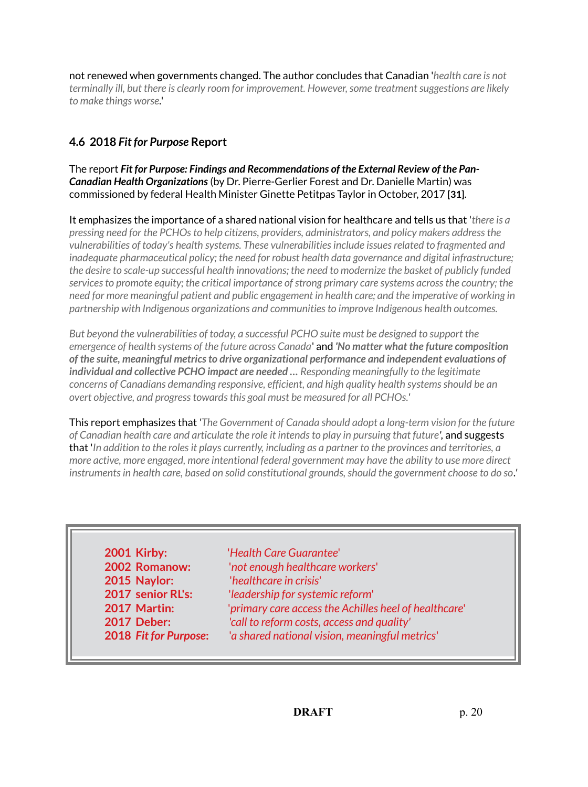not renewed when governments changed. The author concludes that Canadian '*health care is not terminally ill, but there is clearly room for improvement. However, some treatment suggestions are likely to make things worse.*'

# **4.6 2018** *Fit for Purpose* **Report**

The report *Fit for Purpose: Findings and Recommendations of the External Review of the Pan-Canadian Health Organizations* (by Dr. Pierre-Gerlier Forest and Dr. Danielle Martin) was commissioned by federal Health Minister Ginette Petitpas Taylor in October, 2017 **[31]**.

It emphasizes the importance of a shared national vision for healthcare and tells us that '*there is a pressing need for the PCHOs to help citizens, providers, administrators, and policy makers address the vulnerabilities of today's health systems. These vulnerabilities include issues related to fragmented and inadequate pharmaceutical policy; the need for robust health data governance and digital infrastructure; the desire to scale-up successful health innovations; the need to modernize the basket of publicly funded services to promote equity; the critical importance of strong primary care systems across the country; the need for more meaningful patient and public engagement in health care; and the imperative of working in partnership with Indigenous organizations and communities to improve Indigenous health outcomes.*

*But beyond the vulnerabilities of today, a successful PCHO suite must be designed to support the emergence of health systems of the future across Canada*' and *'No matter what the future composition of the suite, meaningful metrics to drive organizational performance and independent evaluations of individual and collective PCHO impact are needed … Responding meaningfully to the legitimate concerns of Canadians demanding responsive, efficient, and high quality health systems should be an overt objective, and progress towards this goal must be measured for all PCHOs.'*

This report emphasizes that *'The Government of Canada should adopt a long-term vision for the future of Canadian health care and articulate the role it intends to play in pursuing that future',* and suggests that '*In addition to the roles it plays currently, including as a partner to the provinces and territories, a more active, more engaged, more intentional federal government may have the ability to use more direct instruments in health care, based on solid constitutional grounds, should the government choose to do so.'*

**2015 Naylor:** '*healthcare in crisis*'

 **2001 Kirby:** '*Health Care Guarantee*' **2002 Romanow:** '*not enough healthcare workers*' **2017 senior RL's:** '*leadership for systemic reform*'  **2017 Martin:** '*primary care access the Achilles heel of healthcare*'  **2017 Deber:** *'call to reform costs, access and quality'* **2018** *Fit for Purpose***:** '*a shared national vision, meaningful metrics*'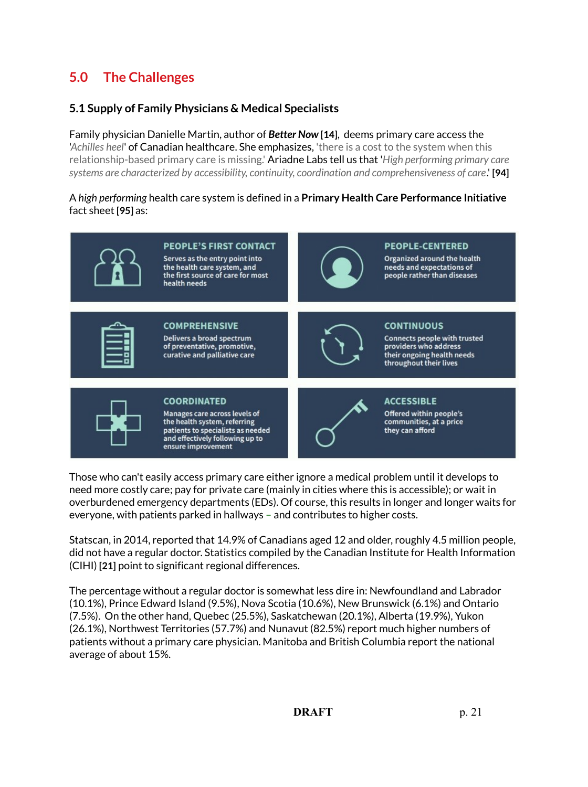# **5.0 The Challenges**

## **5.1 Supply of Family Physicians & Medical Specialists**

Family physician Danielle Martin, author of *Better Now* **[14]**, deems primary care access the '*Achilles heel*' of Canadian healthcare. She emphasizes, 'there is a cost to the system when this relationship-based primary care is missing.' Ariadne Labs tell us that '*High performing primary care systems are characterized by accessibility, continuity, coordination and comprehensiveness of care*.' **[94]**

#### A *high performing* health care system is defined in a **Primary Health Care Performance Initiative** fact sheet **[95]** as:



Those who can't easily access primary care either ignore a medical problem until it develops to need more costly care; pay for private care (mainly in cities where this is accessible); or wait in overburdened emergency departments (EDs). Of course, this results in longer and longer waits for everyone, with patients parked in hallways – and contributes to higher costs.

Statscan, in 2014, reported that 14.9% of Canadians aged 12 and older, roughly 4.5 million people, did not have a regular doctor. Statistics compiled by the Canadian Institute for Health Information (CIHI) **[21]** point to significant regional differences.

The percentage without a regular doctor is somewhat less dire in: Newfoundland and Labrador (10.1%), Prince Edward Island (9.5%), Nova Scotia (10.6%), New Brunswick (6.1%) and Ontario (7.5%). On the other hand, Quebec (25.5%), Saskatchewan (20.1%), Alberta (19.9%), Yukon (26.1%), Northwest Territories (57.7%) and Nunavut (82.5%) report much higher numbers of patients without a primary care physician. Manitoba and British Columbia report the national average of about 15%.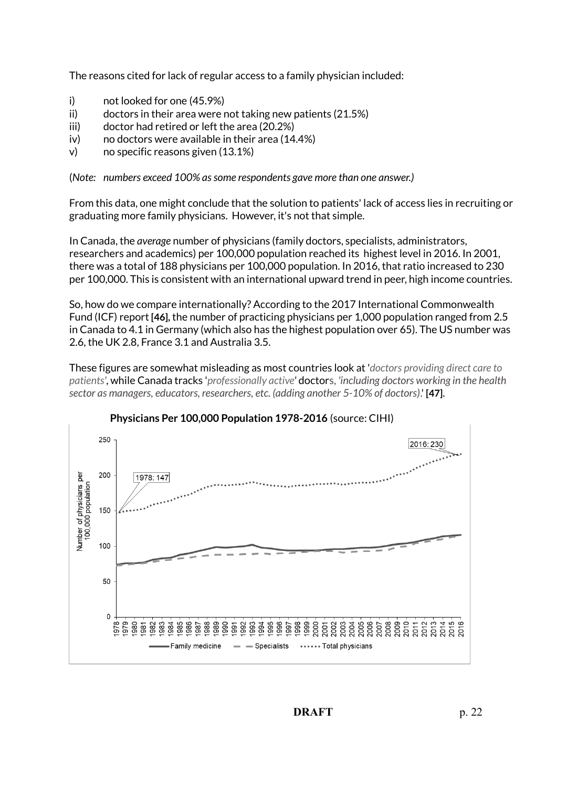The reasons cited for lack of regular access to a family physician included:

- i) not looked for one (45.9%)
- ii) doctors in their area were not taking new patients (21.5%)
- iii) doctor had retired or left the area (20.2%)
- iv) no doctors were available in their area (14.4%)
- v) no specific reasons given (13.1%)

(*Note: numbers exceed 100% as some respondents gave more than one answer.)*

From this data, one might conclude that the solution to patients' lack of access lies in recruiting or graduating more family physicians. However, it's not that simple.

In Canada, the *average* number of physicians (family doctors, specialists, administrators, researchers and academics) per 100,000 population reached its highest level in 2016. In 2001, there was a total of 188 physicians per 100,000 population. In 2016, that ratio increased to 230 per 100,000. This is consistent with an international upward trend in peer, high income countries.

So, how do we compare internationally? According to the 2017 International Commonwealth Fund (ICF) report **[46],** the number of practicing physicians per 1,000 population ranged from 2.5 in Canada to 4.1 in Germany (which also has the highest population over 65). The US number was 2.6, the UK 2.8, France 3.1 and Australia 3.5.

These figures are somewhat misleading as most countries look at '*doctors providing direct care to patients'*, while Canada tracks '*professionally active'* doctors, *'including doctors working in the health sector as managers, educators, researchers, etc. (adding another 5-10% of doctors)*.' **[47]**.



## **Physicians Per 100,000 Population 1978-2016** (source: CIHI)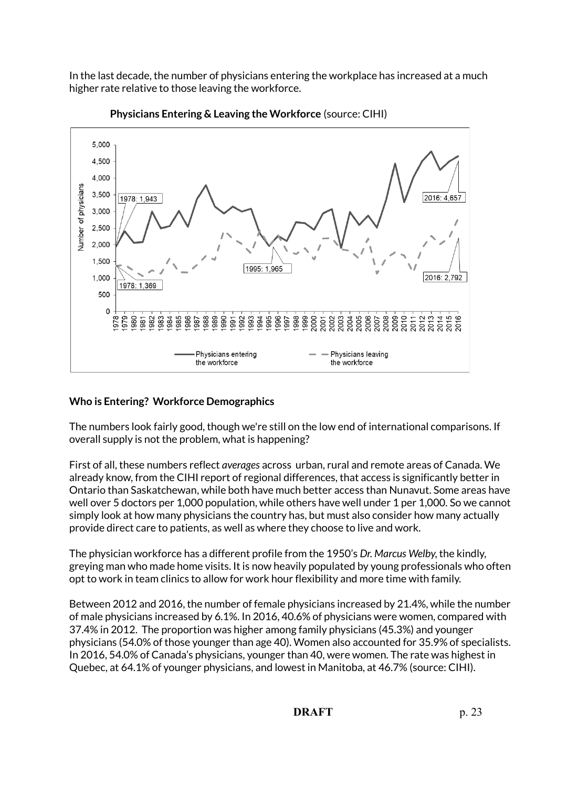In the last decade, the number of physicians entering the workplace has increased at a much higher rate relative to those leaving the workforce.





## **Who is Entering? Workforce Demographics**

The numbers look fairly good, though we're still on the low end of international comparisons. If overall supply is not the problem, what is happening?

First of all, these numbers reflect *averages* across urban, rural and remote areas of Canada. We already know, from the CIHI report of regional differences, that access is significantly better in Ontario than Saskatchewan, while both have much better access than Nunavut. Some areas have well over 5 doctors per 1,000 population, while others have well under 1 per 1,000. So we cannot simply look at how many physicians the country has, but must also consider how many actually provide direct care to patients, as well as where they choose to live and work.

The physician workforce has a different profile from the 1950's *Dr. Marcus Welby*, the kindly, greying man who made home visits. It is now heavily populated by young professionals who often opt to work in team clinics to allow for work hour flexibility and more time with family.

Between 2012 and 2016, the number of female physicians increased by 21.4%, while the number of male physicians increased by 6.1%. In 2016, 40.6% of physicians were women, compared with 37.4% in 2012. The proportion was higher among family physicians (45.3%) and younger physicians (54.0% of those younger than age 40). Women also accounted for 35.9% of specialists. In 2016, 54.0% of Canada's physicians, younger than 40, were women. The rate was highest in Quebec, at 64.1% of younger physicians, and lowest in Manitoba, at 46.7% (source: CIHI).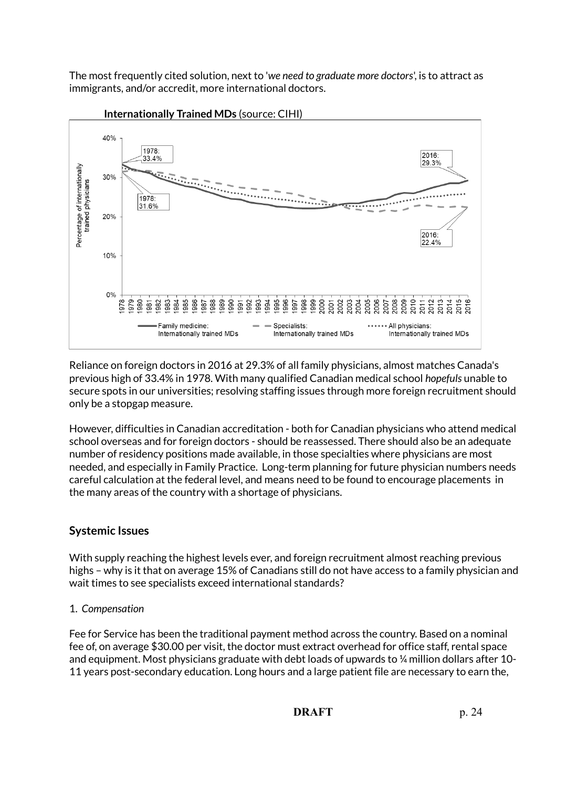The most frequently cited solution, next to '*we need to graduate more doctors*', is to attract as immigrants, and/or accredit, more international doctors.



 **Internationally Trained MDs** (source: CIHI)

Reliance on foreign doctors in 2016 at 29.3% of all family physicians, almost matches Canada's previous high of 33.4% in 1978. With many qualified Canadian medical school *hopefuls* unable to secure spots in our universities; resolving staffing issues through more foreign recruitment should only be a stopgap measure.

However, difficulties in Canadian accreditation - both for Canadian physicians who attend medical school overseas and for foreign doctors - should be reassessed. There should also be an adequate number of residency positions made available, in those specialties where physicians are most needed, and especially in Family Practice. Long-term planning for future physician numbers needs careful calculation at the federal level, and means need to be found to encourage placements in the many areas of the country with a shortage of physicians.

## **Systemic Issues**

With supply reaching the highest levels ever, and foreign recruitment almost reaching previous highs – why is it that on average 15% of Canadians still do not have access to a family physician and wait times to see specialists exceed international standards?

## 1. *Compensation*

Fee for Service has been the traditional payment method across the country. Based on a nominal fee of, on average \$30.00 per visit, the doctor must extract overhead for office staff, rental space and equipment. Most physicians graduate with debt loads of upwards to ¼ million dollars after 10- 11 years post-secondary education. Long hours and a large patient file are necessary to earn the,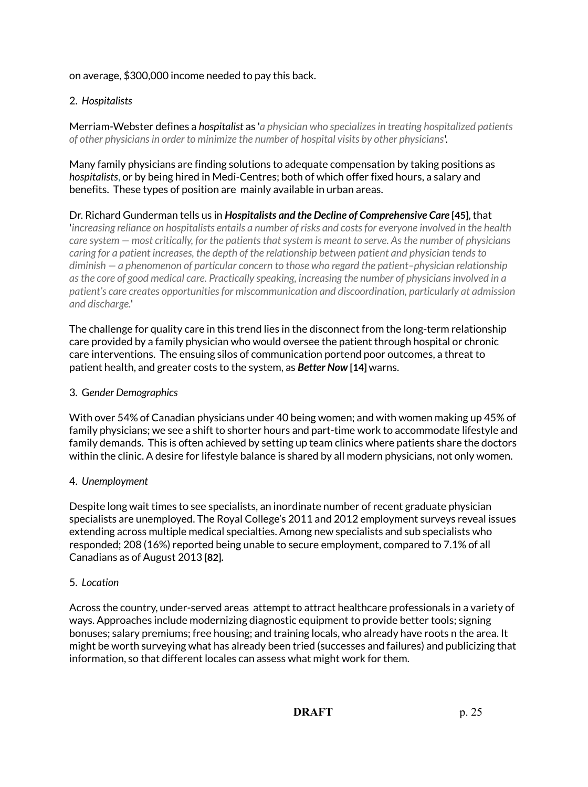## on average, \$300,000 income needed to pay this back.

## 2. *Hospitalists*

Merriam-Webster defines a *hospitalist* as '*a physician who specializes in treating hospitalized patients of other physicians in order to minimize the number of hospital visits by other physicians*'.

Many family physicians are finding solutions to adequate compensation by taking positions as *hospitalists*, or by being hired in Medi-Centres; both of which offer fixed hours, a salary and benefits. These types of position are mainly available in urban areas.

Dr. Richard Gunderman tells us in *Hospitalists and the Decline of Comprehensive Care* **[45]**, that '*increasing reliance on hospitalists entails a number of risks and costs for everyone involved in the health care system — most critically, for the patients that system is meant to serve. As the number of physicians caring for a patient increases, the depth of the relationship between patient and physician tends to diminish — a phenomenon of particular concern to those who regard the patient–physician relationship as the core of good medical care. Practically speaking, increasing the number of physicians involved in a patient's care creates opportunities for miscommunication and discoordination, particularly at admission and discharge.*'

The challenge for quality care in this trend lies in the disconnect from the long-term relationship care provided by a family physician who would oversee the patient through hospital or chronic care interventions. The ensuing silos of communication portend poor outcomes, a threat to patient health, and greater costs to the system, as *Better Now* **[14]** warns.

## 3. G*ender Demographics*

With over 54% of Canadian physicians under 40 being women; and with women making up 45% of family physicians; we see a shift to shorter hours and part-time work to accommodate lifestyle and family demands. This is often achieved by setting up team clinics where patients share the doctors within the clinic. A desire for lifestyle balance is shared by all modern physicians, not only women.

## 4. *Unemployment*

Despite long wait times to see specialists, an inordinate number of recent graduate physician specialists are unemployed. The Royal College's 2011 and 2012 employment surveys reveal issues extending across multiple medical specialties. Among new specialists and sub specialists who responded; 208 (16%) reported being unable to secure employment, compared to 7.1% of all Canadians as of August 2013 **[82].**

## 5. *Location*

Across the country, under-served areas attempt to attract healthcare professionals in a variety of ways. Approaches include modernizing diagnostic equipment to provide better tools; signing bonuses; salary premiums; free housing; and training locals, who already have roots n the area. It might be worth surveying what has already been tried (successes and failures) and publicizing that information, so that different locales can assess what might work for them.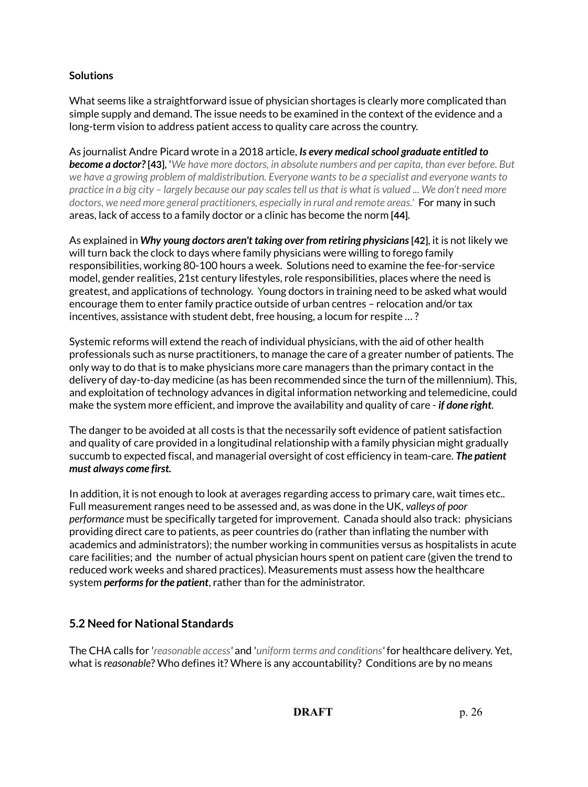## **Solutions**

What seems like a straightforward issue of physician shortages is clearly more complicated than simple supply and demand. The issue needs to be examined in the context of the evidence and a long-term vision to address patient access to quality care across the country.

As journalist Andre Picard wrote in a 2018 article, *Is every medical school graduate entitled to become a doctor?* **[43]**, '*We have more doctors, in absolute numbers and per capita, than ever before. But we have a growing problem of maldistribution. Everyone wants to be a specialist and everyone wants to practice in a big city – largely because our pay scales tell us that is what is valued ... We don't need more doctors, we need more general practitioners, especially in rural and remote areas.'* For many in such areas, lack of access to a family doctor or a clinic has become the norm **[44]**.

As explained in Why young doctors aren't taking over from retiring physicians [42], it is not likely we will turn back the clock to days where family physicians were willing to forego family responsibilities, working 80-100 hours a week. Solutions need to examine the fee-for-service model, gender realities, 21st century lifestyles, role responsibilities, places where the need is greatest, and applications of technology. Young doctors in training need to be asked what would encourage them to enter family practice outside of urban centres – relocation and/or tax incentives, assistance with student debt, free housing, a locum for respite … ?

Systemic reforms will extend the reach of individual physicians, with the aid of other health professionals such as nurse practitioners, to manage the care of a greater number of patients. The only way to do that is to make physicians more care managers than the primary contact in the delivery of day-to-day medicine (as has been recommended since the turn of the millennium). This, and exploitation of technology advances in digital information networking and telemedicine, could make the system more efficient, and improve the availability and quality of care - *if done right*.

The danger to be avoided at all costs is that the necessarily soft evidence of patient satisfaction and quality of care provided in a longitudinal relationship with a family physician might gradually succumb to expected fiscal, and managerial oversight of cost efficiency in team-care. *The patient must always come first.*

In addition, it is not enough to look at averages regarding access to primary care, wait times etc.. Full measurement ranges need to be assessed and, as was done in the UK, *valleys of poor performance* must be specifically targeted for improvement. Canada should also track: physicians providing direct care to patients, as peer countries do (rather than inflating the number with academics and administrators); the number working in communities versus as hospitalists in acute care facilities; and the number of actual physician hours spent on patient care (given the trend to reduced work weeks and shared practices). Measurements must assess how the healthcare system *performs for the patient*, rather than for the administrator.

# **5.2 Need for National Standards**

The CHA calls for '*reasonable access'* and '*uniform terms and conditions'* for healthcare delivery. Yet, what is *reasonable*? Who defines it? Where is any accountability? Conditions are by no means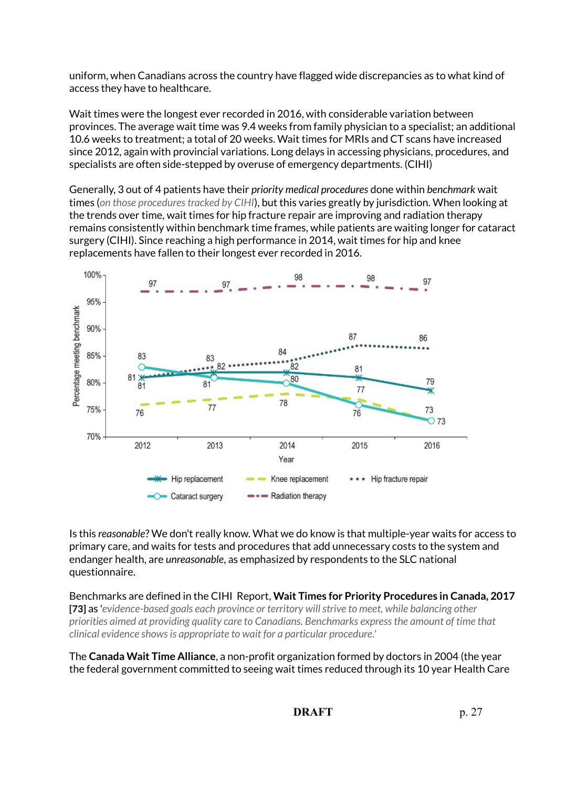uniform, when Canadians across the country have flagged wide discrepancies as to what kind of access they have to healthcare.

Wait times were the longest ever recorded in 2016, with considerable variation between provinces. The average wait time was 9.4 weeks from family physician to a specialist; an additional 10.6 weeks to treatment; a total of 20 weeks. Wait times for MRIs and CT scans have increased since 2012, again with provincial variations. Long delays in accessing physicians, procedures, and specialists are often side-stepped by overuse of emergency departments. (CIHI)

Generally, 3 out of 4 patients have their *priority medical procedures* done within *benchmark* wait times (*on those procedures tracked by CIHI*), but this varies greatly by jurisdiction. When looking at the trends over time, wait times for hip fracture repair are improving and radiation therapy remains consistently within benchmark time frames, while patients are waiting longer for cataract surgery (CIHI). Since reaching a high performance in 2014, wait times for hip and knee replacements have fallen to their longest ever recorded in 2016.



Is this *reasonable*? We don't really know. What we do know is that multiple-year waits for access to primary care, and waits for tests and procedures that add unnecessary costs to the system and endanger health, are *unreasonable*, as emphasized by respondents to the SLC national questionnaire.

Benchmarks are defined in the CIHI Report, **Wait Times for Priority Procedures in Canada, 2017 [73]** as '*evidence-based goals each province or territory will strive to meet, while balancing other priorities aimed at providing quality care to Canadians. Benchmarks express the amount of time that clinical evidence shows is appropriate to wait for a particular procedure.'*

The **Canada Wait Time Alliance**, a non-profit organization formed by doctors in 2004 (the year the federal government committed to seeing wait times reduced through its 10 year Health Care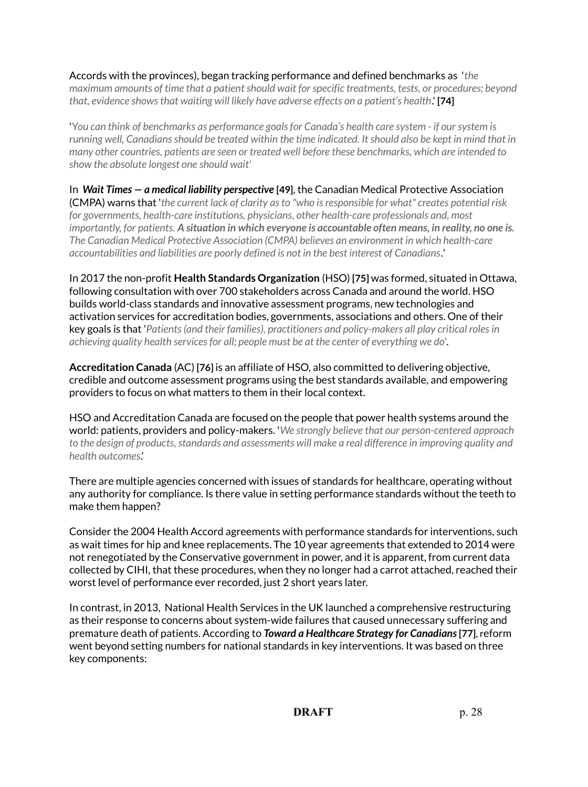Accords with the provinces), began tracking performance and defined benchmarks as '*the maximum amounts of time that a patient should wait for specific treatments, tests, or procedures; beyond that, evidence shows that waiting will likely have adverse effects on a patient's health*.' **[74]**

'Y*ou can think of benchmarks as performance goals for Canada's health care system - if our system is running well, Canadians should be treated within the time indicated. It should also be kept in mind that in many other countries, patients are seen or treated well before these benchmarks, which are intended to show the absolute longest one should wait'*

In *Wait Times — a medical liability perspective* **[49]**, the Canadian Medical Protective Association (CMPA) warns that '*the current lack of clarity as to "who is responsible for what" creates potential risk for governments, health-care institutions, physicians, other health-care professionals and, most importantly, for patients. A situation in which everyone is accountable often means, in reality, no one is. The Canadian Medical Protective Association (CMPA) believes an environment in which health-care accountabilities and liabilities are poorly defined is not in the best interest of Canadians.'*

In 2017 the non-profit **Health Standards Organization** (HSO) **[75]** was formed, situated in Ottawa, following consultation with over 700 stakeholders across Canada and around the world. HSO builds world-class standards and innovative assessment programs, new technologies and activation services for accreditation bodies, governments, associations and others. One of their key goals is that '*Patients (and their families), practitioners and policy-makers all play critical roles in achieving quality health services for all; people must be at the center of everything we do'*.

**Accreditation Canada** (AC) **[76]** is an affiliate of HSO, also committed to delivering objective, credible and outcome assessment programs using the best standards available, and empowering providers to focus on what matters to them in their local context.

HSO and Accreditation Canada are focused on the people that power health systems around the world: patients, providers and policy-makers. '*We strongly believe that our person-centered approach to the design of products, standards and assessments will make a real difference in improving quality and health outcomes*.'

There are multiple agencies concerned with issues of standards for healthcare, operating without any authority for compliance. Is there value in setting performance standards without the teeth to make them happen?

Consider the 2004 Health Accord agreements with performance standards for interventions, such as wait times for hip and knee replacements. The 10 year agreements that extended to 2014 were not renegotiated by the Conservative government in power, and it is apparent, from current data collected by CIHI, that these procedures, when they no longer had a carrot attached, reached their worst level of performance ever recorded, just 2 short years later.

In contrast, in 2013, National Health Services in the UK launched a comprehensive restructuring as their response to concerns about system-wide failures that caused unnecessary suffering and premature death of patients. According to *Toward a Healthcare Strategy for Canadians* **[77]**, reform went beyond setting numbers for national standards in key interventions. It was based on three key components: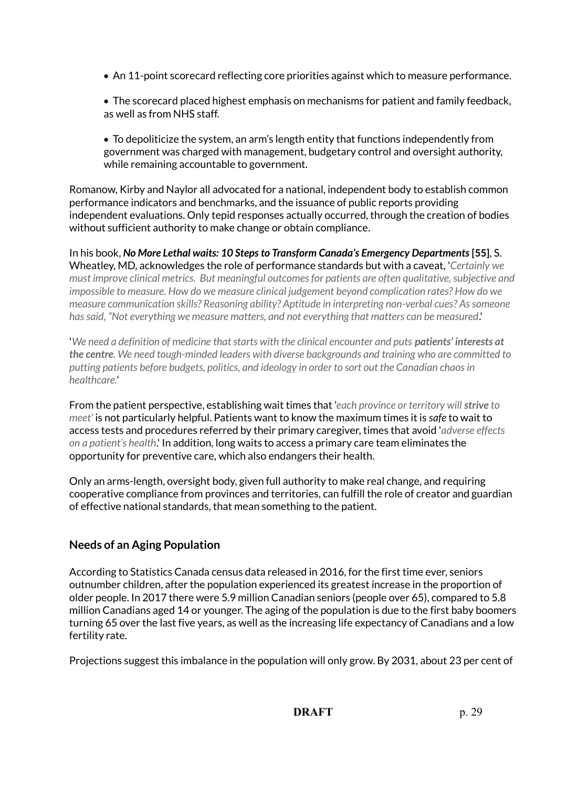- An 11-point scorecard reflecting core priorities against which to measure performance.
- The scorecard placed highest emphasis on mechanisms for patient and family feedback, as well as from NHS staff.

 To depoliticize the system, an arm's length entity that functions independently from government was charged with management, budgetary control and oversight authority, while remaining accountable to government.

Romanow, Kirby and Naylor all advocated for a national, independent body to establish common performance indicators and benchmarks, and the issuance of public reports providing independent evaluations. Only tepid responses actually occurred, through the creation of bodies without sufficient authority to make change or obtain compliance.

In his book, **No More Lethal waits: 10 Steps to Transform Canada's Emergency Departments [55], S.** Wheatley, MD, acknowledges the role of performance standards but with a caveat, '*Certainly we must improve clinical metrics. But meaningful outcomes for patients are often qualitative, subjective and impossible to measure. How do we measure clinical judgement beyond complication rates? How do we measure communication skills? Reasoning ability? Aptitude in interpreting non-verbal cues? As someone has said, "Not everything we measure matters, and not everything that matters can be measured*.'

*'We need a definition of medicine that starts with the clinical encounter and puts patients' interests at the centre. We need tough-minded leaders with diverse backgrounds and training who are committed to putting patients before budgets, politics, and ideology in order to sort out the Canadian chaos in healthcare.*'

From the patient perspective, establishing wait times that '*each province or territory will strive to meet'* is not particularly helpful. Patients want to know the maximum times it is *safe* to wait to access tests and procedures referred by their primary caregiver, times that avoid '*adverse effects on a patient's health*.' In addition, long waits to access a primary care team eliminates the opportunity for preventive care, which also endangers their health.

Only an arms-length, oversight body, given full authority to make real change, and requiring cooperative compliance from provinces and territories, can fulfill the role of creator and guardian of effective national standards, that mean something to the patient.

# **Needs of an Aging Population**

According to Statistics Canada census data released in 2016, for the first time ever, seniors outnumber children, after the population experienced its greatest increase in the proportion of older people. In 2017 there were 5.9 million Canadian seniors (people over 65), compared to 5.8 million Canadians aged 14 or younger. The aging of the population is due to the first baby boomers turning 65 over the last five years, as well as the increasing life expectancy of Canadians and a low fertility rate.

Projections suggest this imbalance in the population will only grow. By 2031, about 23 per cent of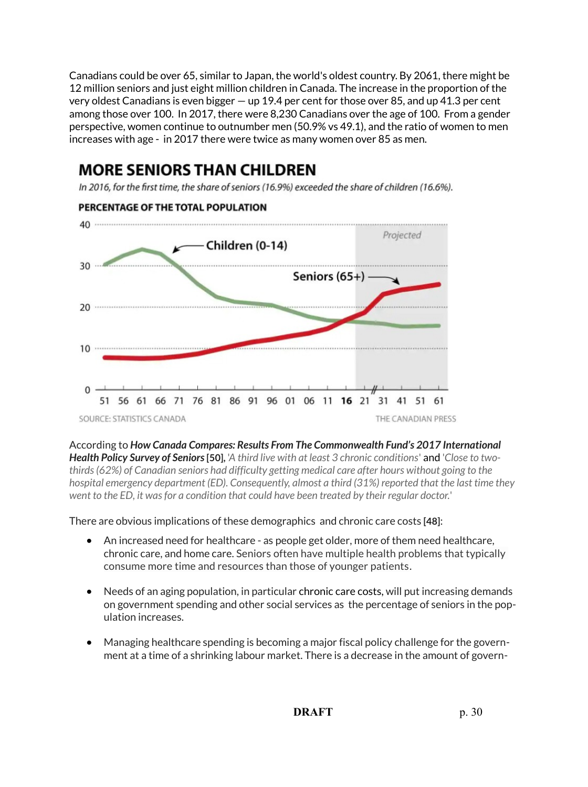Canadians could be over 65, similar to Japan, the world's oldest country. By 2061, there might be 12 million seniors and just eight million children in Canada. The increase in the proportion of the very oldest Canadians is even bigger  $-$  up 19.4 per cent for those over 85, and up 41.3 per cent among those over 100. In 2017, there were 8,230 Canadians over the age of 100. From a gender perspective, women continue to outnumber men (50.9% vs 49.1), and the ratio of women to men increases with age - in 2017 there were twice as many women over 85 as men.

# **MORE SENIORS THAN CHILDREN**

In 2016, for the first time, the share of seniors (16.9%) exceeded the share of children (16.6%).



According to *How Canada Compares: Results From The Commonwealth Fund's 2017 International Health Policy Survey of Seniors* **[50],** '*A third live with at least 3 chronic conditions*' and '*Close to twothirds (62%) of Canadian seniors had difficulty getting medical care after hours without going to the hospital emergency department (ED). Consequently, almost a third (31%) reported that the last time they went to the ED, it was for a condition that could have been treated by their regular doctor.*'

There are obvious implications of these demographics and chronic care costs **[48]**:

- An increased need for healthcare as people get older, more of them need healthcare, chronic care, and home care. Seniors often have multiple health problems that typically consume more time and resources than those of younger patients.
- Needs of an aging population, in particular chronic care costs, will put increasing demands on government spending and other social services as the percentage of seniors in the population increases.
- Managing healthcare spending is becoming a major fiscal policy challenge for the government at a time of a shrinking labour market. There is a decrease in the amount of govern-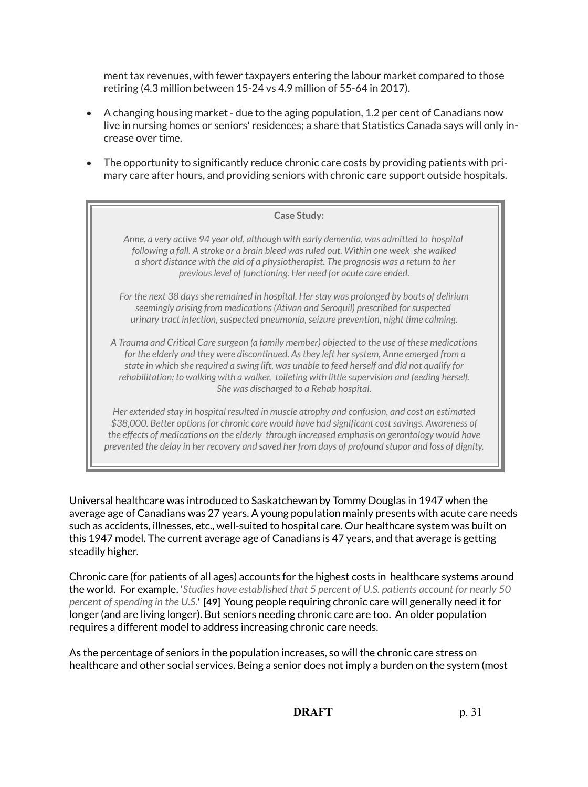ment tax revenues, with fewer taxpayers entering the labour market compared to those retiring (4.3 million between 15-24 vs 4.9 million of 55-64 in 2017).

- A changing housing market due to the aging population, 1.2 per cent of Canadians now live in nursing homes or seniors' residences; a share that Statistics Canada says will only increase over time.
- The opportunity to significantly reduce chronic care costs by providing patients with primary care after hours, and providing seniors with chronic care support outside hospitals.

| <b>Case Study:</b>                                                                                                                                                                                                                                                                                                                                                                                                                       |
|------------------------------------------------------------------------------------------------------------------------------------------------------------------------------------------------------------------------------------------------------------------------------------------------------------------------------------------------------------------------------------------------------------------------------------------|
| Anne, a very active 94 year old, although with early dementia, was admitted to hospital<br>following a fall. A stroke or a brain bleed was ruled out. Within one week she walked<br>a short distance with the aid of a physiotherapist. The prognosis was a return to her<br>previous level of functioning. Her need for acute care ended.                                                                                               |
| For the next 38 days she remained in hospital. Her stay was prolonged by bouts of delirium<br>seemingly arising from medications (Ativan and Seroquil) prescribed for suspected<br>urinary tract infection, suspected pneumonia, seizure prevention, night time calming.                                                                                                                                                                 |
| A Trauma and Critical Care surgeon (a family member) objected to the use of these medications<br>for the elderly and they were discontinued. As they left her system, Anne emerged from a<br>state in which she required a swing lift, was unable to feed herself and did not qualify for<br>rehabilitation; to walking with a walker, toileting with little supervision and feeding herself.<br>She was discharged to a Rehab hospital. |
| Her extended stay in hospital resulted in muscle atrophy and confusion, and cost an estimated<br>\$38,000. Better options for chronic care would have had significant cost savings. Awareness of<br>the effects of medications on the elderly through increased emphasis on gerontology would have                                                                                                                                       |

Universal healthcare was introduced to Saskatchewan by Tommy Douglas in 1947 when the average age of Canadians was 27 years. A young population mainly presents with acute care needs such as accidents, illnesses, etc., well-suited to hospital care. Our healthcare system was built on this 1947 model. The current average age of Canadians is 47 years, and that average is getting steadily higher.

*prevented the delay in her recovery and saved her from days of profound stupor and loss of dignity.*

Chronic care (for patients of all ages) accounts for the highest costs in healthcare systems around the world. For example, '*Studies have established that 5 percent of U.S. patients account for nearly 50 percent of spending in the U.S.'* **[49]** Young people requiring chronic care will generally need it for longer (and are living longer). But seniors needing chronic care are too. An older population requires a different model to address increasing chronic care needs.

As the percentage of seniors in the population increases, so will the chronic care stress on healthcare and other social services. Being a senior does not imply a burden on the system (most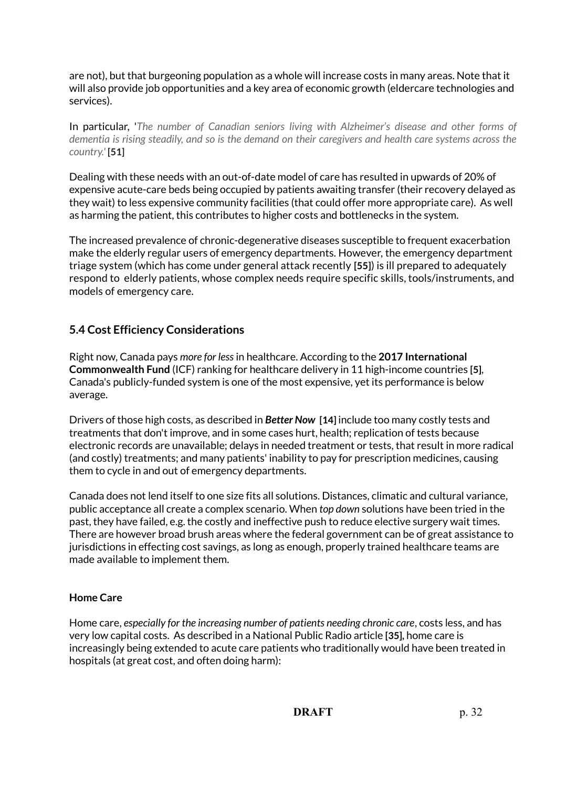are not), but that burgeoning population as a whole will increase costs in many areas. Note that it will also provide job opportunities and a key area of economic growth (eldercare technologies and services).

In particular, '*The number of Canadian seniors living with Alzheimer's disease and other forms of dementia is rising steadily, and so is the demand on their caregivers and health care systems across the country.'* **[51]**

Dealing with these needs with an out-of-date model of care has resulted in upwards of 20% of expensive acute-care beds being occupied by patients awaiting transfer (their recovery delayed as they wait) to less expensive community facilities (that could offer more appropriate care). As well as harming the patient, this contributes to higher costs and bottlenecks in the system.

The increased prevalence of chronic-degenerative diseases susceptible to frequent exacerbation make the elderly regular users of emergency departments. However, the emergency department triage system (which has come under general attack recently **[55]**) is ill prepared to adequately respond to elderly patients, whose complex needs require specific skills, tools/instruments, and models of emergency care.

## **5.4 Cost Efficiency Considerations**

Right now, Canada pays *more for less* in healthcare. According to the **2017 International Commonwealth Fund** (ICF) ranking for healthcare delivery in 11 high-income countries **[5]**, Canada's publicly-funded system is one of the most expensive, yet its performance is below average.

Drivers of those high costs, as described in *Better Now* **[14]** include too many costly tests and treatments that don't improve, and in some cases hurt, health; replication of tests because electronic records are unavailable; delays in needed treatment or tests, that result in more radical (and costly) treatments; and many patients' inability to pay for prescription medicines, causing them to cycle in and out of emergency departments.

Canada does not lend itself to one size fits all solutions. Distances, climatic and cultural variance, public acceptance all create a complex scenario. When *top down* solutions have been tried in the past, they have failed, e.g. the costly and ineffective push to reduce elective surgery wait times. There are however broad brush areas where the federal government can be of great assistance to jurisdictions in effecting cost savings, as long as enough, properly trained healthcare teams are made available to implement them.

## **Home Care**

Home care, *especially for the increasing number of patients needing chronic care*, costs less, and has very low capital costs. As described in a National Public Radio article **[35],** home care is increasingly being extended to acute care patients who traditionally would have been treated in hospitals (at great cost, and often doing harm):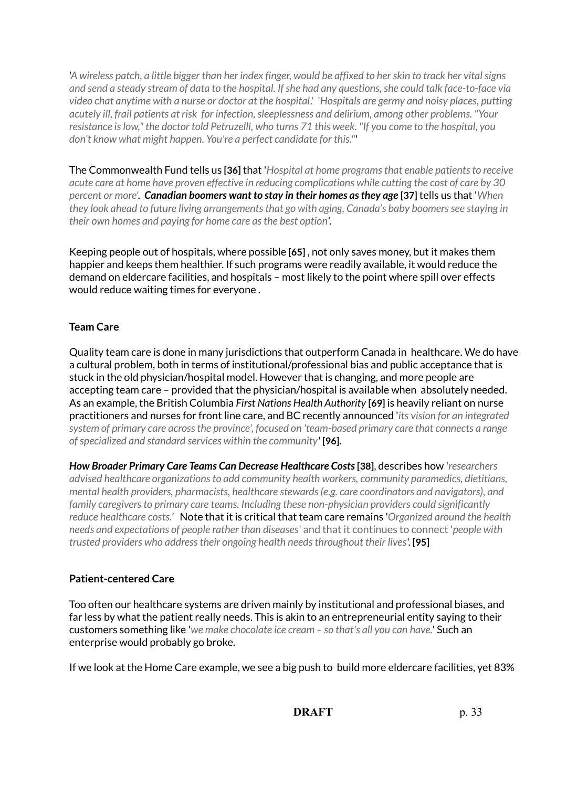'*A wireless patch, a little bigger than her index finger, would be affixed to her skin to track her vital signs and send a steady stream of data to the hospital. If she had any questions, she could talk face-to-face via video chat anytime with a nurse or doctor at the hospital*.' '*Hospitals are germy and noisy places, putting acutely ill, frail patients at risk for infection, sleeplessness and delirium, among other problems. "Your resistance is low," the doctor told Petruzelli, who turns 71 this week. "If you come to the hospital, you don't know what might happen. You're a perfect candidate for this."*'

The Commonwealth Fund tells us **[36]** that '*Hospital at home programs that enable patients to receive acute care at home have proven effective in reducing complications while cutting the cost of care by 30 percent or more'. Canadian boomers want to stay in their homes as they age* **[37]** tells us that '*When they look ahead to future living arrangements that go with aging, Canada's baby boomers see staying in their own homes and paying for home care as the best option'.*

Keeping people out of hospitals, where possible **[65]** , not only saves money, but it makes them happier and keeps them healthier. If such programs were readily available, it would reduce the demand on eldercare facilities, and hospitals – most likely to the point where spill over effects would reduce waiting times for everyone .

## **Team Care**

Quality team care is done in many jurisdictions that outperform Canada in healthcare. We do have a cultural problem, both in terms of institutional/professional bias and public acceptance that is stuck in the old physician/hospital model. However that is changing, and more people are accepting team care – provided that the physician/hospital is available when absolutely needed. As an example, the British Columbia *First Nations Health Authority* **[69]** is heavily reliant on nurse practitioners and nurses for front line care, and BC recently announced '*its vision for an integrated system of primary care across the province', focused on 'team-based primary care that connects a range of specialized and standard services within the community*' **[96].** 

*How Broader Primary Care Teams Can Decrease Healthcare Costs* **[38]**, describes how '*researchers advised healthcare organizations to add community health workers, community paramedics, dietitians, mental health providers, pharmacists, healthcare stewards (e.g. care coordinators and navigators), and family caregivers to primary care teams. Including these non-physician providers could significantly reduce healthcare costs.'* Note that it is critical that team care remains '*Organized around the health needs and expectations of people rather than diseases*' and that it continues to connect '*people with trusted providers who address their ongoing health needs throughout their lives*'. **[95]**

## **Patient-centered Care**

Too often our healthcare systems are driven mainly by institutional and professional biases, and far less by what the patient really needs. This is akin to an entrepreneurial entity saying to their customers something like '*we make chocolate ice cream – so that's all you can have.*' Such an enterprise would probably go broke.

If we look at the Home Care example, we see a big push to build more eldercare facilities, yet 83%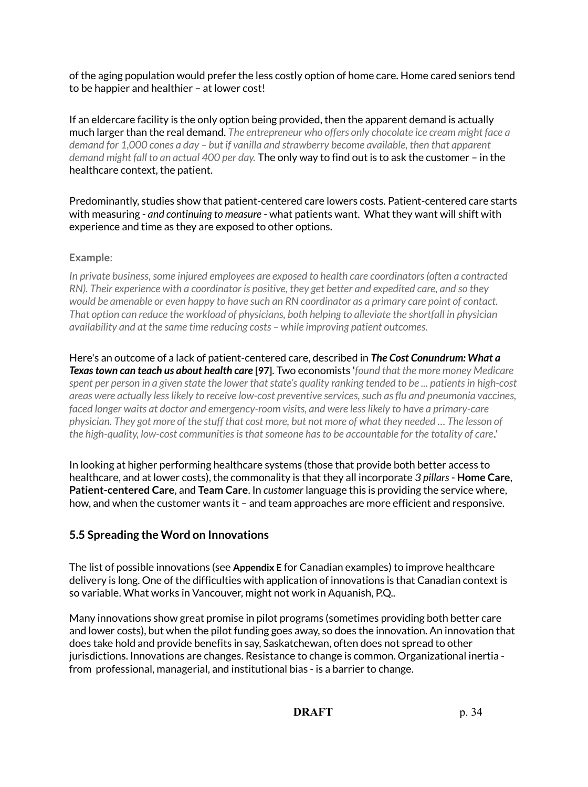of the aging population would prefer the less costly option of home care. Home cared seniors tend to be happier and healthier – at lower cost!

If an eldercare facility is the only option being provided, then the apparent demand is actually much larger than the real demand. *The entrepreneur who offers only chocolate ice cream might face a demand for 1,000 cones a day – but if vanilla and strawberry become available, then that apparent demand might fall to an actual 400 per day.* The only way to find out is to ask the customer – in the healthcare context, the patient.

Predominantly, studies show that patient-centered care lowers costs. Patient-centered care starts with measuring - *and continuing to measure* - what patients want. What they want will shift with experience and time as they are exposed to other options.

## **Example**:

*In private business, some injured employees are exposed to health care coordinators (often a contracted RN). Their experience with a coordinator is positive, they get better and expedited care, and so they would be amenable or even happy to have such an RN coordinator as a primary care point of contact. That option can reduce the workload of physicians, both helping to alleviate the shortfall in physician availability and at the same time reducing costs – while improving patient outcomes.*

Here's an outcome of a lack of patient-centered care, described in *The Cost Conundrum: What a Texas town can teach us about health care* **[97]**. Two economists '*found that the more money Medicare spent per person in a given state the lower that state's quality ranking tended to be ... patients in high-cost areas were actually less likely to receive low-cost preventive services, such as flu and pneumonia vaccines, faced longer waits at doctor and emergency-room visits, and were less likely to have a primary-care physician. They got more of the stuff that cost more, but not more of what they needed … The lesson of the high-quality, low-cost communities is that someone has to be accountable for the totality of care.*'

In looking at higher performing healthcare systems (those that provide both better access to healthcare, and at lower costs), the commonality is that they all incorporate *3 pillars* - **Home Care**, **Patient-centered Care**, and **Team Care**. In *customer* language this is providing the service where, how, and when the customer wants it – and team approaches are more efficient and responsive.

## **5.5 Spreading the Word on Innovations**

The list of possible innovations (see **Appendix E** for Canadian examples) to improve healthcare delivery is long. One of the difficulties with application of innovations is that Canadian context is so variable. What works in Vancouver, might not work in Aquanish, P.Q..

Many innovations show great promise in pilot programs (sometimes providing both better care and lower costs), but when the pilot funding goes away, so does the innovation. An innovation that does take hold and provide benefits in say, Saskatchewan, often does not spread to other jurisdictions. Innovations are changes. Resistance to change is common. Organizational inertia from professional, managerial, and institutional bias - is a barrier to change.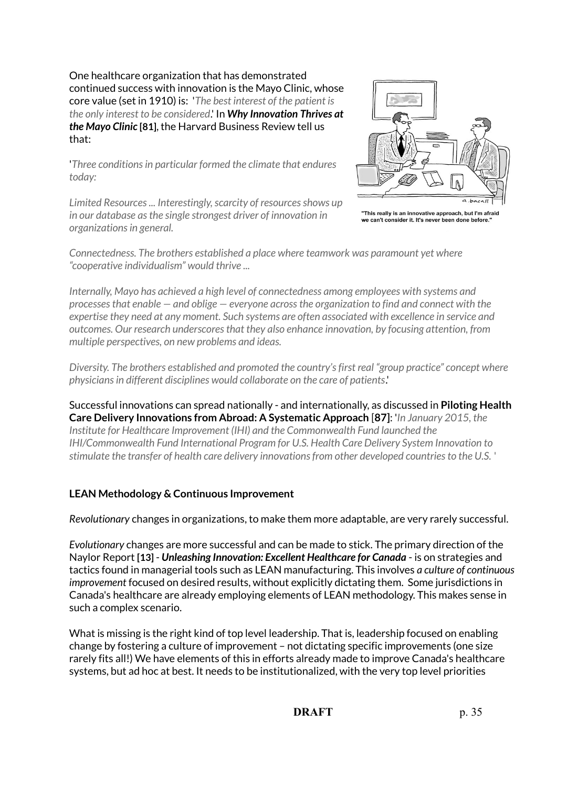One healthcare organization that has demonstrated continued success with innovation is the Mayo Clinic, whose core value (set in 1910) is: '*The best interest of the patient is the only interest to be considered*.' In *Why Innovation Thrives at the Mayo Clinic* **[81]**, the Harvard Business Review tell us that:

'*Three conditions in particular formed the climate that endures today:*

*Limited Resources ... Interestingly, scarcity of resources shows up in our database as the single strongest driver of innovation in organizations in general.*



"This really is an innovative approach, but I'm afraid we can't consider it. It's never been done befo

*Connectedness. The brothers established a place where teamwork was paramount yet where "cooperative individualism" would thrive ...*

*Internally, Mayo has achieved a high level of connectedness among employees with systems and processes that enable — and oblige — everyone across the organization to find and connect with the expertise they need at any moment. Such systems are often associated with excellence in service and outcomes. Our research underscores that they also enhance innovation, by focusing attention, from multiple perspectives, on new problems and ideas.*

*Diversity. The brothers established and promoted the country's first real "group practice" concept where physicians in different disciplines would collaborate on the care of patients*.'

Successful innovations can spread nationally - and internationally, as discussed in **Piloting Health Care Delivery Innovations from Abroad: A Systematic Approach** [**87]**: '*In January 2015, the Institute for Healthcare Improvement (IHI) and the Commonwealth Fund launched the IHI/Commonwealth Fund International Program for U.S. Health Care Delivery System Innovation to stimulate the transfer of health care delivery innovations from other developed countries to the U.S.* '

## **LEAN Methodology & Continuous Improvement**

*Revolutionary* changes in organizations, to make them more adaptable, are very rarely successful.

*Evolutionary* changes are more successful and can be made to stick. The primary direction of the Naylor Report **[13]** - *Unleashing Innovation: Excellent Healthcare for Canada* - is on strategies and tactics found in managerial tools such as LEAN manufacturing. This involves *a culture of continuous improvement* focused on desired results, without explicitly dictating them. Some jurisdictions in Canada's healthcare are already employing elements of LEAN methodology. This makes sense in such a complex scenario.

What is missing is the right kind of top level leadership. That is, leadership focused on enabling change by fostering a culture of improvement – not dictating specific improvements (one size rarely fits all!) We have elements of this in efforts already made to improve Canada's healthcare systems, but ad hoc at best. It needs to be institutionalized, with the very top level priorities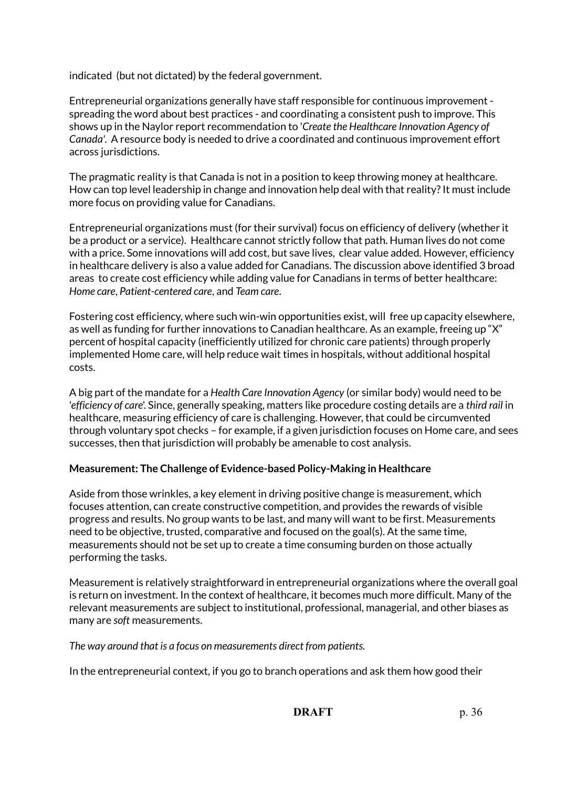indicated (but not dictated) by the federal government.

Entrepreneurial organizations generally have staff responsible for continuous improvement spreading the word about best practices - and coordinating a consistent push to improve. This shows up in the Naylor report recommendation to '*Create the Healthcare Innovation Agency of Canada'*. A resource body is needed to drive a coordinated and continuous improvement effort across jurisdictions.

The pragmatic reality is that Canada is not in a position to keep throwing money at healthcare. How can top level leadership in change and innovation help deal with that reality? It must include more focus on providing value for Canadians.

Entrepreneurial organizations must (for their survival) focus on efficiency of delivery (whether it be a product or a service). Healthcare cannot strictly follow that path. Human lives do not come with a price. Some innovations will add cost, but save lives, clear value added. However, efficiency in healthcare delivery is also a value added for Canadians. The discussion above identified 3 broad areas to create cost efficiency while adding value for Canadians in terms of better healthcare: *Home care*, *Patient-centered care*, and *Team care*.

Fostering cost efficiency, where such win-win opportunities exist, will free up capacity elsewhere, as well as funding for further innovations to Canadian healthcare. As an example, freeing up "X" percent of hospital capacity (inefficiently utilized for chronic care patients) through properly implemented Home care, will help reduce wait times in hospitals, without additional hospital costs.

A big part of the mandate for a *Health Care Innovation Agency* (or similar body) would need to be '*efficiency of care*'. Since, generally speaking, matters like procedure costing details are a *third rail* in healthcare, measuring efficiency of care is challenging. However, that could be circumvented through voluntary spot checks – for example, if a given jurisdiction focuses on Home care, and sees successes, then that jurisdiction will probably be amenable to cost analysis.

## **Measurement: The Challenge of Evidence-based Policy-Making in Healthcare**

Aside from those wrinkles, a key element in driving positive change is measurement, which focuses attention, can create constructive competition, and provides the rewards of visible progress and results. No group wants to be last, and many will want to be first. Measurements need to be objective, trusted, comparative and focused on the goal(s). At the same time, measurements should not be set up to create a time consuming burden on those actually performing the tasks.

Measurement is relatively straightforward in entrepreneurial organizations where the overall goal is return on investment. In the context of healthcare, it becomes much more difficult. Many of the relevant measurements are subject to institutional, professional, managerial, and other biases as many are *soft* measurements.

*The way around that is a focus on measurements direct from patients.* 

In the entrepreneurial context, if you go to branch operations and ask them how good their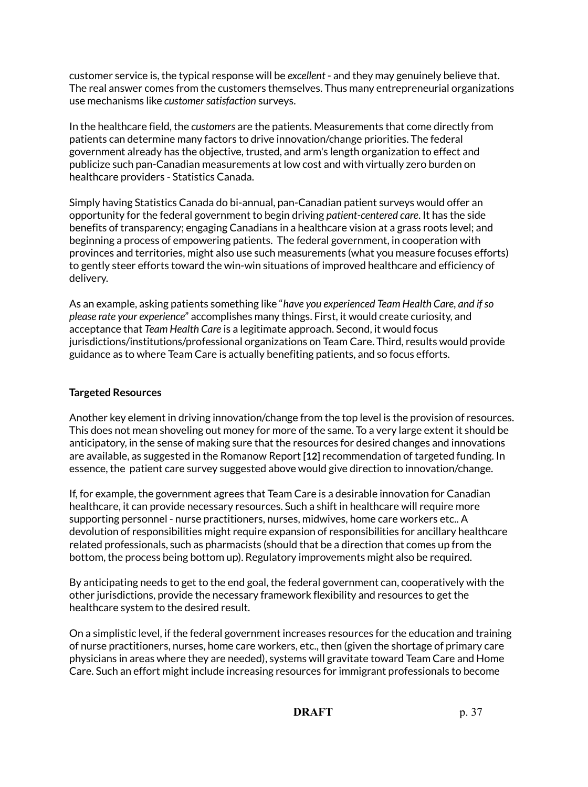customer service is, the typical response will be *excellent* - and they may genuinely believe that. The real answer comes from the customers themselves. Thus many entrepreneurial organizations use mechanisms like *customer satisfaction* surveys.

In the healthcare field, the *customers* are the patients. Measurements that come directly from patients can determine many factors to drive innovation/change priorities. The federal government already has the objective, trusted, and arm's length organization to effect and publicize such pan-Canadian measurements at low cost and with virtually zero burden on healthcare providers - Statistics Canada.

Simply having Statistics Canada do bi-annual, pan-Canadian patient surveys would offer an opportunity for the federal government to begin driving *patient-centered care*. It has the side benefits of transparency; engaging Canadians in a healthcare vision at a grass roots level; and beginning a process of empowering patients. The federal government, in cooperation with provinces and territories, might also use such measurements (what you measure focuses efforts) to gently steer efforts toward the win-win situations of improved healthcare and efficiency of delivery.

As an example, asking patients something like "*have you experienced Team Health Care, and if so please rate your experience*" accomplishes many things. First, it would create curiosity, and acceptance that *Team Health Care* is a legitimate approach. Second, it would focus jurisdictions/institutions/professional organizations on Team Care. Third, results would provide guidance as to where Team Care is actually benefiting patients, and so focus efforts.

## **Targeted Resources**

Another key element in driving innovation/change from the top level is the provision of resources. This does not mean shoveling out money for more of the same. To a very large extent it should be anticipatory, in the sense of making sure that the resources for desired changes and innovations are available, as suggested in the Romanow Report **[12]** recommendation of targeted funding. In essence, the patient care survey suggested above would give direction to innovation/change.

If, for example, the government agrees that Team Care is a desirable innovation for Canadian healthcare, it can provide necessary resources. Such a shift in healthcare will require more supporting personnel - nurse practitioners, nurses, midwives, home care workers etc.. A devolution of responsibilities might require expansion of responsibilities for ancillary healthcare related professionals, such as pharmacists (should that be a direction that comes up from the bottom, the process being bottom up). Regulatory improvements might also be required.

By anticipating needs to get to the end goal, the federal government can, cooperatively with the other jurisdictions, provide the necessary framework flexibility and resources to get the healthcare system to the desired result.

On a simplistic level, if the federal government increases resources for the education and training of nurse practitioners, nurses, home care workers, etc., then (given the shortage of primary care physicians in areas where they are needed), systems will gravitate toward Team Care and Home Care. Such an effort might include increasing resources for immigrant professionals to become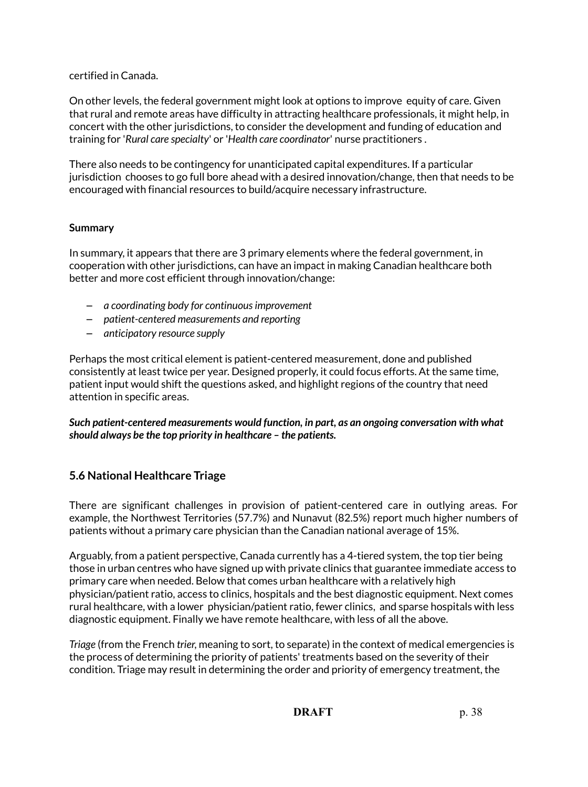## certified in Canada.

On other levels, the federal government might look at options to improve equity of care. Given that rural and remote areas have difficulty in attracting healthcare professionals, it might help, in concert with the other jurisdictions, to consider the development and funding of education and training for '*Rural care specialty*' or '*Health care coordinator*' nurse practitioners .

There also needs to be contingency for unanticipated capital expenditures. If a particular jurisdiction chooses to go full bore ahead with a desired innovation/change, then that needs to be encouraged with financial resources to build/acquire necessary infrastructure.

#### **Summary**

In summary, it appears that there are 3 primary elements where the federal government, in cooperation with other jurisdictions, can have an impact in making Canadian healthcare both better and more cost efficient through innovation/change:

- *a coordinating body for continuous improvement*
- *patient-centered measurements and reporting*
- *anticipatory resource supply*

Perhaps the most critical element is patient-centered measurement, done and published consistently at least twice per year. Designed properly, it could focus efforts. At the same time, patient input would shift the questions asked, and highlight regions of the country that need attention in specific areas.

*Such patient-centered measurements would function, in part, as an ongoing conversation with what should always be the top priority in healthcare – the patients.*

## **5.6 National Healthcare Triage**

There are significant challenges in provision of patient-centered care in outlying areas. For example, the Northwest Territories (57.7%) and Nunavut (82.5%) report much higher numbers of patients without a primary care physician than the Canadian national average of 15%.

Arguably, from a patient perspective, Canada currently has a 4-tiered system, the top tier being those in urban centres who have signed up with private clinics that guarantee immediate access to primary care when needed. Below that comes urban healthcare with a relatively high physician/patient ratio, access to clinics, hospitals and the best diagnostic equipment. Next comes rural healthcare, with a lower physician/patient ratio, fewer clinics, and sparse hospitals with less diagnostic equipment. Finally we have remote healthcare, with less of all the above.

*Triage* (from the French *trier*, meaning to sort, to separate) in the context of medical emergencies is the process of determining the priority of patients' treatments based on the severity of their condition. Triage may result in determining the order and priority of emergency treatment, the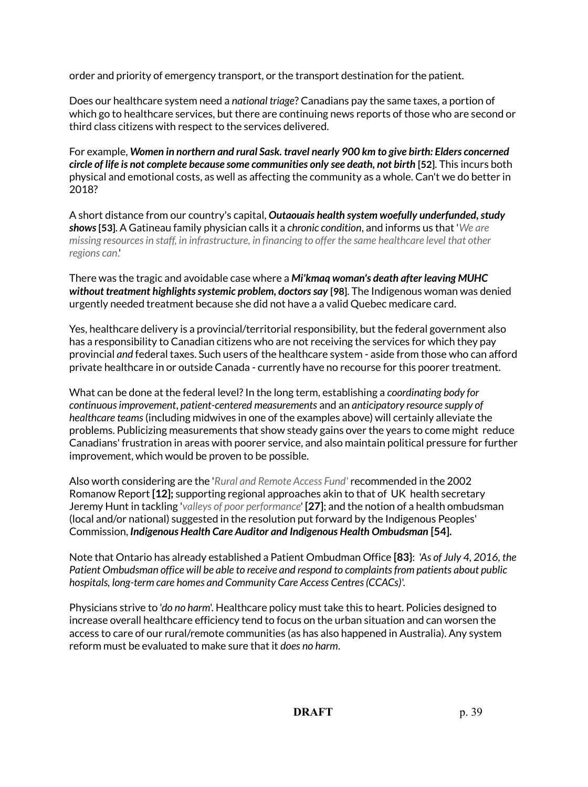order and priority of emergency transport, or the transport destination for the patient.

Does our healthcare system need a *national triage*? Canadians pay the same taxes, a portion of which go to healthcare services, but there are continuing news reports of those who are second or third class citizens with respect to the services delivered.

For example, *Women in northern and rural Sask. travel nearly 900 km to give birth: Elders concerned circle of life is not complete because some communities only see death, not birth* **[52]**. This incurs both physical and emotional costs, as well as affecting the community as a whole. Can't we do better in 2018?

A short distance from our country's capital, *Outaouais health system woefully underfunded, study shows* **[53]**. A Gatineau family physician calls it a *chronic condition*, and informs us that '*We are missing resources in staff, in infrastructure, in financing to offer the same healthcare level that other regions can*.'

There was the tragic and avoidable case where a *Mi'kmaq woman's death after leaving MUHC without treatment highlights systemic problem, doctors say* **[98]**. The Indigenous woman was denied urgently needed treatment because she did not have a a valid Quebec medicare card.

Yes, healthcare delivery is a provincial/territorial responsibility, but the federal government also has a responsibility to Canadian citizens who are not receiving the services for which they pay provincial *and* federal taxes. Such users of the healthcare system - aside from those who can afford private healthcare in or outside Canada - currently have no recourse for this poorer treatment.

What can be done at the federal level? In the long term, establishing a *coordinating body for continuous improvement*, *patient-centered measurements* and an *anticipatory resource supply of healthcare teams* (including midwives in one of the examples above) will certainly alleviate the problems. Publicizing measurements that show steady gains over the years to come might reduce Canadians' frustration in areas with poorer service, and also maintain political pressure for further improvement, which would be proven to be possible.

Also worth considering are the '*Rural and Remote Access Fund'* recommended in the 2002 Romanow Report **[12];** supporting regional approaches akin to that of UK health secretary Jeremy Hunt in tackling '*valleys of poor performance*' **[27]**; and the notion of a health ombudsman (local and/or national) suggested in the resolution put forward by the Indigenous Peoples' Commission, *Indigenous Health Care Auditor and Indigenous Health Ombudsman* **[54].**

Note that Ontario has already established a Patient Ombudman Office **[83}**: '*As of July 4, 2016, the Patient Ombudsman office will be able to receive and respond to complaints from patients about public hospitals, long-term care homes and Community Care Access Centres (CCACs)*'.

Physicians strive to '*do no harm*'. Healthcare policy must take this to heart. Policies designed to increase overall healthcare efficiency tend to focus on the urban situation and can worsen the access to care of our rural/remote communities (as has also happened in Australia). Any system reform must be evaluated to make sure that it *does no harm*.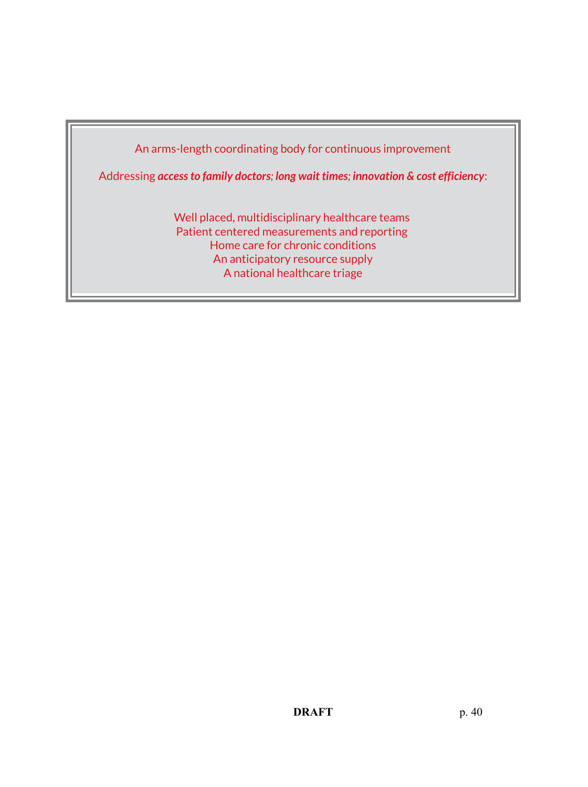

Addressing *access to family doctors; long wait times; innovation & cost efficiency*:

Well placed, multidisciplinary healthcare teams Patient centered measurements and reporting Home care for chronic conditions An anticipatory resource supply A national healthcare triage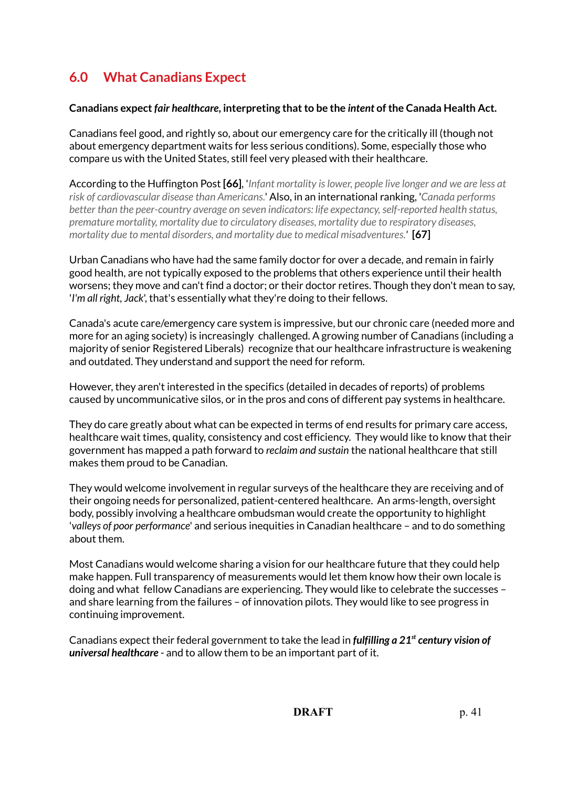# **6.0 What Canadians Expect**

## **Canadians expect** *fair healthcare***, interpreting that to be the** *intent* **of the Canada Health Act.**

Canadians feel good, and rightly so, about our emergency care for the critically ill (though not about emergency department waits for less serious conditions). Some, especially those who compare us with the United States, still feel very pleased with their healthcare.

According to the Huffington Post **[66]**, '*Infant mortality is lower, people live longer and we are less at risk of cardiovascular disease than Americans.*' Also, in an international ranking, '*Canada performs better than the peer-country average on seven indicators: life expectancy, self-reported health status, premature mortality, mortality due to circulatory diseases, mortality due to respiratory diseases, mortality due to mental disorders, and mortality due to medical misadventures.'* **[67]**

Urban Canadians who have had the same family doctor for over a decade, and remain in fairly good health, are not typically exposed to the problems that others experience until their health worsens; they move and can't find a doctor; or their doctor retires. Though they don't mean to say, '*I'm all right, Jack*', that's essentially what they're doing to their fellows.

Canada's acute care/emergency care system is impressive, but our chronic care (needed more and more for an aging society) is increasingly challenged. A growing number of Canadians (including a majority of senior Registered Liberals) recognize that our healthcare infrastructure is weakening and outdated. They understand and support the need for reform.

However, they aren't interested in the specifics (detailed in decades of reports) of problems caused by uncommunicative silos, or in the pros and cons of different pay systems in healthcare.

They do care greatly about what can be expected in terms of end results for primary care access, healthcare wait times, quality, consistency and cost efficiency. They would like to know that their government has mapped a path forward to *reclaim and sustain* the national healthcare that still makes them proud to be Canadian.

They would welcome involvement in regular surveys of the healthcare they are receiving and of their ongoing needs for personalized, patient-centered healthcare. An arms-length, oversight body, possibly involving a healthcare ombudsman would create the opportunity to highlight '*valleys of poor performance*' and serious inequities in Canadian healthcare – and to do something about them.

Most Canadians would welcome sharing a vision for our healthcare future that they could help make happen. Full transparency of measurements would let them know how their own locale is doing and what fellow Canadians are experiencing. They would like to celebrate the successes – and share learning from the failures – of innovation pilots. They would like to see progress in continuing improvement.

Canadians expect their federal government to take the lead in *fulfilling a 21st century vision of universal healthcare* - and to allow them to be an important part of it.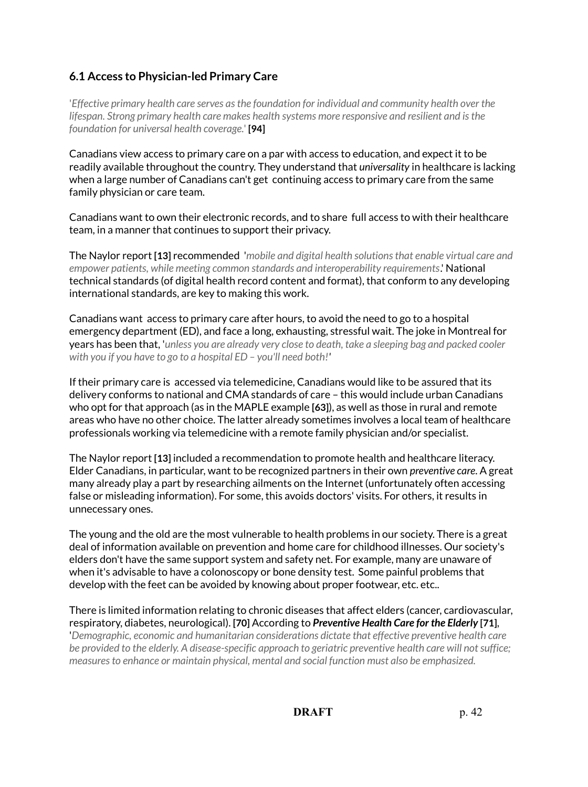# **6.1 Access to Physician-led Primary Care**

'*Effective primary health care serves as the foundation for individual and community health over the lifespan. Strong primary health care makes health systems more responsive and resilient and is the foundation for universal health coverage.*' **[94]**

Canadians view access to primary care on a par with access to education, and expect it to be readily available throughout the country. They understand that *universality* in healthcare is lacking when a large number of Canadians can't get continuing access to primary care from the same family physician or care team.

Canadians want to own their electronic records, and to share full access to with their healthcare team, in a manner that continues to support their privacy.

The Naylor report **[13]** recommended '*mobile and digital health solutions that enable virtual care and empower patients, while meeting common standards and interoperability requirements*.' National technical standards (of digital health record content and format), that conform to any developing international standards, are key to making this work.

Canadians want access to primary care after hours, to avoid the need to go to a hospital emergency department (ED), and face a long, exhausting, stressful wait. The joke in Montreal for years has been that, '*unless you are already very close to death, take a sleeping bag and packed cooler with you if you have to go to a hospital ED – you'll need both!'*

If their primary care is accessed via telemedicine, Canadians would like to be assured that its delivery conforms to national and CMA standards of care – this would include urban Canadians who opt for that approach (as in the MAPLE example **[63]**), as well as those in rural and remote areas who have no other choice. The latter already sometimes involves a local team of healthcare professionals working via telemedicine with a remote family physician and/or specialist.

The Naylor report **[13]** included a recommendation to promote health and healthcare literacy. Elder Canadians, in particular, want to be recognized partners in their own *preventive care*. A great many already play a part by researching ailments on the Internet (unfortunately often accessing false or misleading information). For some, this avoids doctors' visits. For others, it results in unnecessary ones.

The young and the old are the most vulnerable to health problems in our society. There is a great deal of information available on prevention and home care for childhood illnesses. Our society's elders don't have the same support system and safety net. For example, many are unaware of when it's advisable to have a colonoscopy or bone density test. Some painful problems that develop with the feet can be avoided by knowing about proper footwear, etc. etc..

There is limited information relating to chronic diseases that affect elders (cancer, cardiovascular, respiratory, diabetes, neurological). **[70]** According to *Preventive Health Care for the Elderly* **[71]**, '*Demographic, economic and humanitarian considerations dictate that effective preventive health care be provided to the elderly. A disease-specific approach to geriatric preventive health care will not suffice; measures to enhance or maintain physical, mental and social function must also be emphasized.*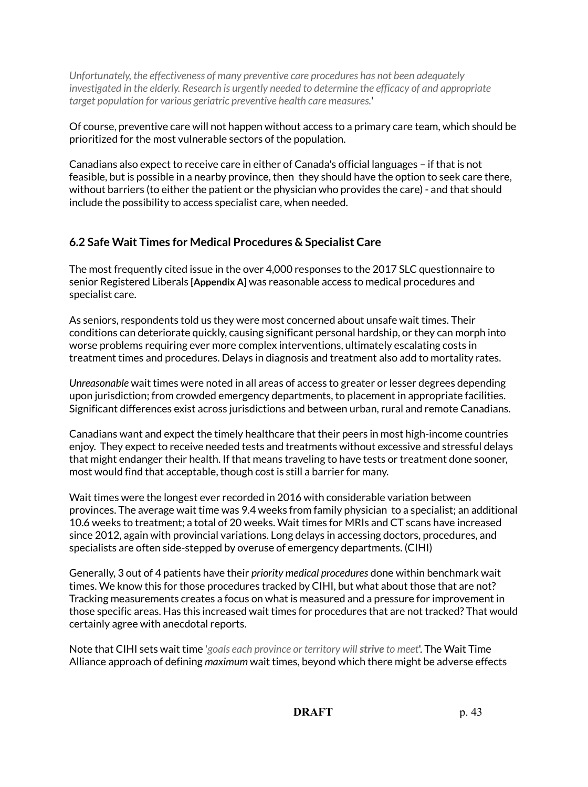*Unfortunately, the effectiveness of many preventive care procedures has not been adequately investigated in the elderly. Research is urgently needed to determine the efficacy of and appropriate target population for various geriatric preventive health care measures.*'

Of course, preventive care will not happen without access to a primary care team, which should be prioritized for the most vulnerable sectors of the population.

Canadians also expect to receive care in either of Canada's official languages – if that is not feasible, but is possible in a nearby province, then they should have the option to seek care there, without barriers (to either the patient or the physician who provides the care) - and that should include the possibility to access specialist care, when needed.

## **6.2 Safe Wait Times for Medical Procedures & Specialist Care**

The most frequently cited issue in the over 4,000 responses to the 2017 SLC questionnaire to senior Registered Liberals **[Appendix A]** was reasonable access to medical procedures and specialist care.

As seniors, respondents told us they were most concerned about unsafe wait times. Their conditions can deteriorate quickly, causing significant personal hardship, or they can morph into worse problems requiring ever more complex interventions, ultimately escalating costs in treatment times and procedures. Delays in diagnosis and treatment also add to mortality rates.

*Unreasonable* wait times were noted in all areas of access to greater or lesser degrees depending upon jurisdiction; from crowded emergency departments, to placement in appropriate facilities. Significant differences exist across jurisdictions and between urban, rural and remote Canadians.

Canadians want and expect the timely healthcare that their peers in most high-income countries enjoy. They expect to receive needed tests and treatments without excessive and stressful delays that might endanger their health. If that means traveling to have tests or treatment done sooner, most would find that acceptable, though cost is still a barrier for many.

Wait times were the longest ever recorded in 2016 with considerable variation between provinces. The average wait time was 9.4 weeks from family physician to a specialist; an additional 10.6 weeks to treatment; a total of 20 weeks. Wait times for MRIs and CT scans have increased since 2012, again with provincial variations. Long delays in accessing doctors, procedures, and specialists are often side-stepped by overuse of emergency departments. (CIHI)

Generally, 3 out of 4 patients have their *priority medical procedures* done within benchmark wait times. We know this for those procedures tracked by CIHI, but what about those that are not? Tracking measurements creates a focus on what is measured and a pressure for improvement in those specific areas. Has this increased wait times for procedures that are not tracked? That would certainly agree with anecdotal reports.

Note that CIHI sets wait time '*goals each province or territory will strive to meet*'. The Wait Time Alliance approach of defining *maximum* wait times, beyond which there might be adverse effects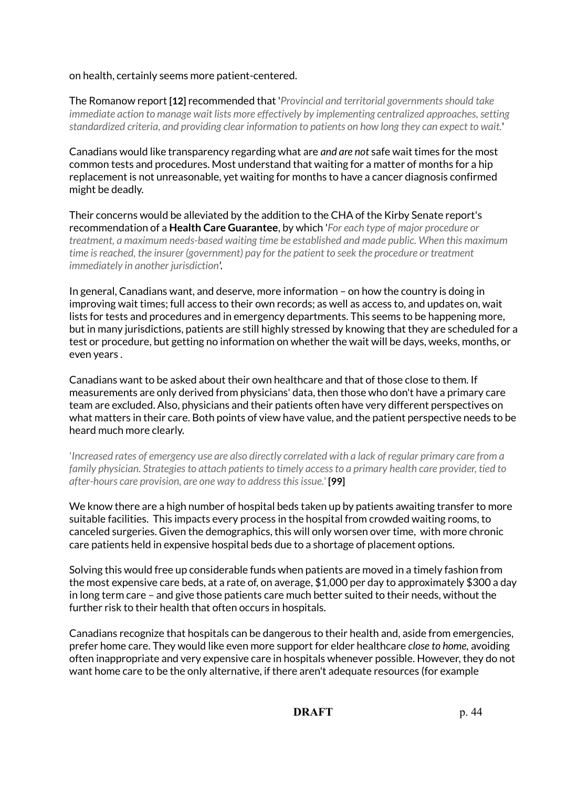#### on health, certainly seems more patient-centered.

The Romanow report **[12]** recommended that '*Provincial and territorial governments should take immediate action to manage wait lists more effectively by implementing centralized approaches, setting standardized criteria, and providing clear information to patients on how long they can expect to wait.*'

Canadians would like transparency regarding what are *and are not* safe wait times for the most common tests and procedures. Most understand that waiting for a matter of months for a hip replacement is not unreasonable, yet waiting for months to have a cancer diagnosis confirmed might be deadly.

Their concerns would be alleviated by the addition to the CHA of the Kirby Senate report's recommendation of a **Health Care Guarantee**, by which '*For each type of major procedure or treatment, a maximum needs-based waiting time be established and made public. When this maximum time is reached, the insurer (government) pay for the patient to seek the procedure or treatment immediately in another jurisdiction'.*

In general, Canadians want, and deserve, more information – on how the country is doing in improving wait times; full access to their own records; as well as access to, and updates on, wait lists for tests and procedures and in emergency departments. This seems to be happening more, but in many jurisdictions, patients are still highly stressed by knowing that they are scheduled for a test or procedure, but getting no information on whether the wait will be days, weeks, months, or even years .

Canadians want to be asked about their own healthcare and that of those close to them. If measurements are only derived from physicians' data, then those who don't have a primary care team are excluded. Also, physicians and their patients often have very different perspectives on what matters in their care. Both points of view have value, and the patient perspective needs to be heard much more clearly.

'*Increased rates of emergency use are also directly correlated with a lack of regular primary care from a family physician. Strategies to attach patients to timely access to a primary health care provider, tied to after-hours care provision, are one way to address this issue.*' **[99]**

We know there are a high number of hospital beds taken up by patients awaiting transfer to more suitable facilities. This impacts every process in the hospital from crowded waiting rooms, to canceled surgeries. Given the demographics, this will only worsen over time, with more chronic care patients held in expensive hospital beds due to a shortage of placement options.

Solving this would free up considerable funds when patients are moved in a timely fashion from the most expensive care beds, at a rate of, on average, \$1,000 per day to approximately \$300 a day in long term care – and give those patients care much better suited to their needs, without the further risk to their health that often occurs in hospitals.

Canadians recognize that hospitals can be dangerous to their health and, aside from emergencies, prefer home care. They would like even more support for elder healthcare *close to home,* avoiding often inappropriate and very expensive care in hospitals whenever possible. However, they do not want home care to be the only alternative, if there aren't adequate resources (for example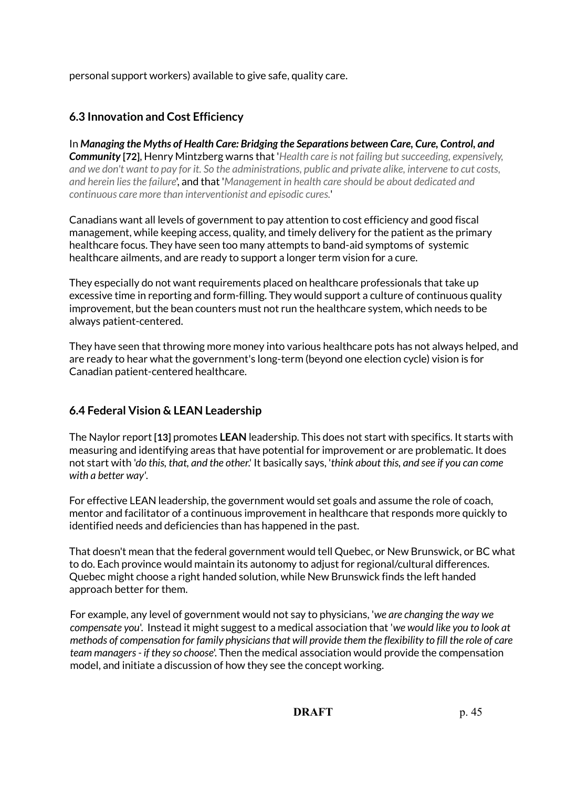personal support workers) available to give safe, quality care.

# **6.3 Innovation and Cost Efficiency**

In *Managing the Myths of Health Care: Bridging the Separations between Care, Cure, Control, and Community* **[72]**, Henry Mintzberg warns that '*Health care is not failing but succeeding, expensively, and we don't want to pay for it. So the administrations, public and private alike, intervene to cut costs, and herein lies the failure*', and that '*Management in health care should be about dedicated and continuous care more than interventionist and episodic cures.*'

Canadians want all levels of government to pay attention to cost efficiency and good fiscal management, while keeping access, quality, and timely delivery for the patient as the primary healthcare focus. They have seen too many attempts to band-aid symptoms of systemic healthcare ailments, and are ready to support a longer term vision for a cure.

They especially do not want requirements placed on healthcare professionals that take up excessive time in reporting and form-filling. They would support a culture of continuous quality improvement, but the bean counters must not run the healthcare system, which needs to be always patient-centered.

They have seen that throwing more money into various healthcare pots has not always helped, and are ready to hear what the government's long-term (beyond one election cycle) vision is for Canadian patient-centered healthcare.

# **6.4 Federal Vision & LEAN Leadership**

The Naylor report **[13]** promotes **LEAN** leadership. This does not start with specifics. It starts with measuring and identifying areas that have potential for improvement or are problematic. It does not start with '*do this, that, and the other*.' It basically says, '*think about this, and see if you can come with a better way'*.

For effective LEAN leadership, the government would set goals and assume the role of coach, mentor and facilitator of a continuous improvement in healthcare that responds more quickly to identified needs and deficiencies than has happened in the past.

That doesn't mean that the federal government would tell Quebec, or New Brunswick, or BC what to do. Each province would maintain its autonomy to adjust for regional/cultural differences. Quebec might choose a right handed solution, while New Brunswick finds the left handed approach better for them.

For example, any level of government would not say to physicians, '*we are changing the way we compensate you*'. Instead it might suggest to a medical association that '*we would like you to look at methods of compensation for family physicians that will provide them the flexibility to fill the role of care team managers - if they so choose*'. Then the medical association would provide the compensation model, and initiate a discussion of how they see the concept working.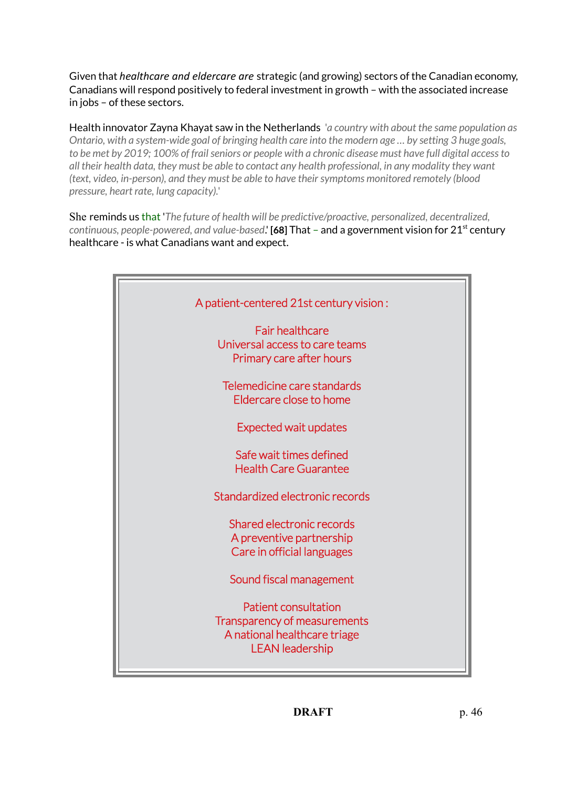Given that *healthcare and eldercare are* strategic (and growing) sectors of the Canadian economy, Canadians will respond positively to federal investment in growth – with the associated increase in jobs – of these sectors.

Health innovator Zayna Khayat saw in the Netherlands '*a country with about the same population as Ontario, with a system-wide goal of bringing health care into the modern age … by setting 3 huge goals, to be met by 2019; 100% of frail seniors or people with a chronic disease must have full digital access to all their health data, they must be able to contact any health professional, in any modality they want (text, video, in-person), and they must be able to have their symptoms monitored remotely (blood pressure, heart rate, lung capacity).*'

She reminds us that '*The future of health will be predictive/proactive, personalized, decentralized, continuous, people-powered, and value-based*.' **[68]** That – and a government vision for 21st century healthcare - is what Canadians want and expect.

| A patient-centered 21st century vision:                                                                               |
|-----------------------------------------------------------------------------------------------------------------------|
| <b>Fair healthcare</b><br>Universal access to care teams<br>Primary care after hours                                  |
| Telemedicine care standards<br>Eldercare close to home                                                                |
| <b>Expected wait updates</b>                                                                                          |
| Safe wait times defined<br><b>Health Care Guarantee</b>                                                               |
| Standardized electronic records                                                                                       |
| Shared electronic records<br>A preventive partnership<br>Care in official languages                                   |
| Sound fiscal management                                                                                               |
| <b>Patient consultation</b><br>Transparency of measurements<br>A national healthcare triage<br><b>LEAN</b> leadership |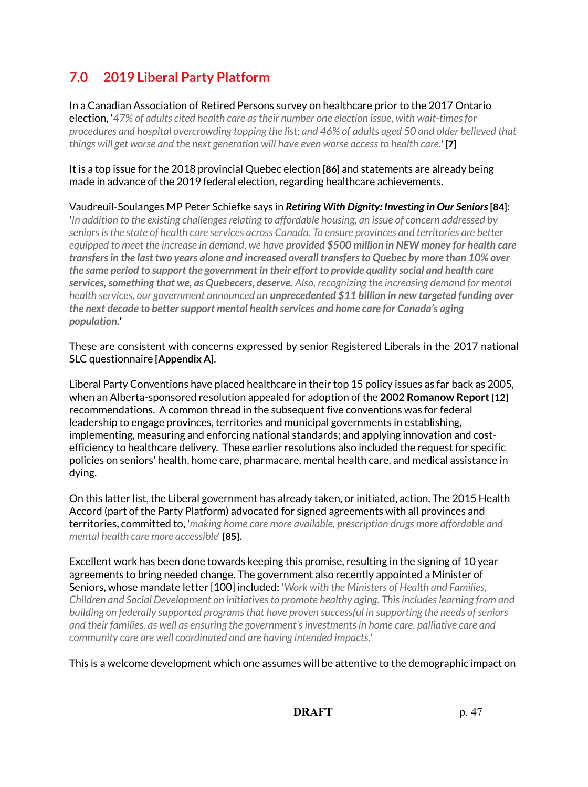# **7.0 2019 Liberal Party Platform**

In a Canadian Association of Retired Persons survey on healthcare prior to the 2017 Ontario election, '*47% of adults cited health care as their number one election issue, with wait-times for procedures and hospital overcrowding topping the list; and 46% of adults aged 50 and older believed that things will get worse and the next generation will have even worse access to health care.'* **[7]** 

It is a top issue for the 2018 provincial Quebec election **[86]** and statements are already being made in advance of the 2019 federal election, regarding healthcare achievements.

Vaudreuil-Soulanges MP Peter Schiefke says in *Retiring With Dignity: Investing in Our Seniors* **[84]**:

'*In addition to the existing challenges relating to affordable housing, an issue of concern addressed by seniors is the state of health care services across Canada. To ensure provinces and territories are better equipped to meet the increase in demand, we have provided \$500 million in NEW money for health care transfers in the last two years alone and increased overall transfers to Quebec by more than 10% over the same period to support the government in their effort to provide quality social and health care services, something that we, as Quebecers, deserve. Also, recognizing the increasing demand for mental health services, our government announced an unprecedented \$11 billion in new targeted funding over the next decade to better support mental health services and home care for Canada's aging population.'*

These are consistent with concerns expressed by senior Registered Liberals in the 2017 national SLC questionnaire **[Appendix A]**.

Liberal Party Conventions have placed healthcare in their top 15 policy issues as far back as 2005, when an Alberta-sponsored resolution appealed for adoption of the **2002 Romanow Report [12]** recommendations. A common thread in the subsequent five conventions was for federal leadership to engage provinces, territories and municipal governments in establishing, implementing, measuring and enforcing national standards; and applying innovation and costefficiency to healthcare delivery. These earlier resolutions also included the request for specific policies on seniors' health, home care, pharmacare, mental health care, and medical assistance in dying.

On this latter list, the Liberal government has already taken, or initiated, action. The 2015 Health Accord (part of the Party Platform) advocated for signed agreements with all provinces and territories, committed to, '*making home care more available, prescription drugs more affordable and mental health care more accessible*' **[85]**.

Excellent work has been done towards keeping this promise, resulting in the signing of 10 year agreements to bring needed change. The government also recently appointed a Minister of Seniors, whose mandate letter [100] included: '*Work with the Ministers of Health and Families, Children and Social Development on initiatives to promote healthy aging. This includes learning from and building on federally supported programs that have proven successful in supporting the needs of seniors and their families, as well as ensuring the government's investments in home care, palliative care and community care are well coordinated and are having intended impacts.*'

This is a welcome development which one assumes will be attentive to the demographic impact on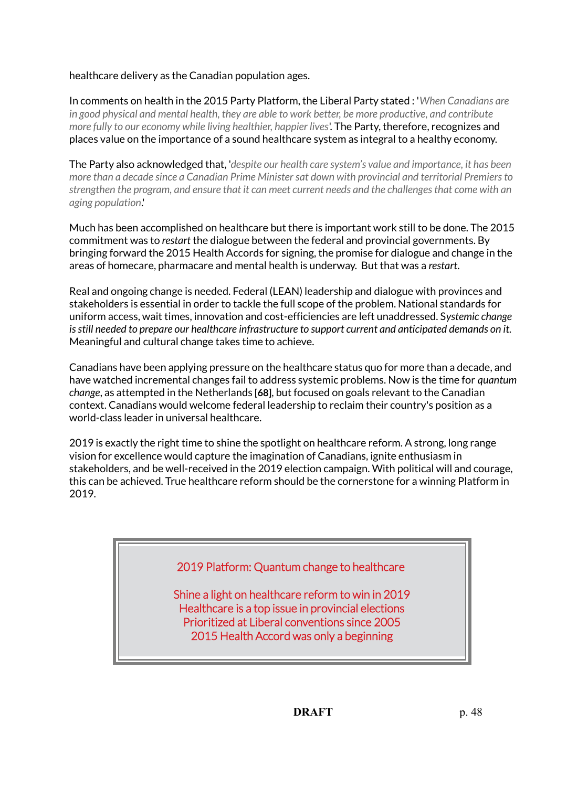healthcare delivery as the Canadian population ages.

In comments on health in the 2015 Party Platform, the Liberal Party stated : '*When Canadians are in good physical and mental health, they are able to work better, be more productive, and contribute more fully to our economy while living healthier, happier lives*'. The Party, therefore, recognizes and places value on the importance of a sound healthcare system as integral to a healthy economy.

The Party also acknowledged that, '*despite our health care system's value and importance, it has been more than a decade since a Canadian Prime Minister sat down with provincial and territorial Premiers to strengthen the program, and ensure that it can meet current needs and the challenges that come with an aging population*.'

Much has been accomplished on healthcare but there is important work still to be done. The 2015 commitment was to *restart* the dialogue between the federal and provincial governments. By bringing forward the 2015 Health Accords for signing, the promise for dialogue and change in the areas of homecare, pharmacare and mental health is underway. But that was a *restart*.

Real and ongoing change is needed. Federal (LEAN) leadership and dialogue with provinces and stakeholders is essential in order to tackle the full scope of the problem. National standards for uniform access, wait times, innovation and cost-efficiencies are left unaddressed. S*ystemic change is still needed to prepare our healthcare infrastructure to support current and anticipated demands on it.*  Meaningful and cultural change takes time to achieve.

Canadians have been applying pressure on the healthcare status quo for more than a decade, and have watched incremental changes fail to address systemic problems. Now is the time for *quantum change*, as attempted in the Netherlands **[68]**, but focused on goals relevant to the Canadian context. Canadians would welcome federal leadership to reclaim their country's position as a world-class leader in universal healthcare.

2019 is exactly the right time to shine the spotlight on healthcare reform. A strong, long range vision for excellence would capture the imagination of Canadians, ignite enthusiasm in stakeholders, and be well-received in the 2019 election campaign. With political will and courage, this can be achieved. True healthcare reform should be the cornerstone for a winning Platform in 2019.

# 2019 Platform: Quantum change to healthcare

Shine a light on healthcare reform to win in 2019 Healthcare is a top issue in provincial elections Prioritized at Liberal conventions since 2005 2015 Health Accord was only a beginning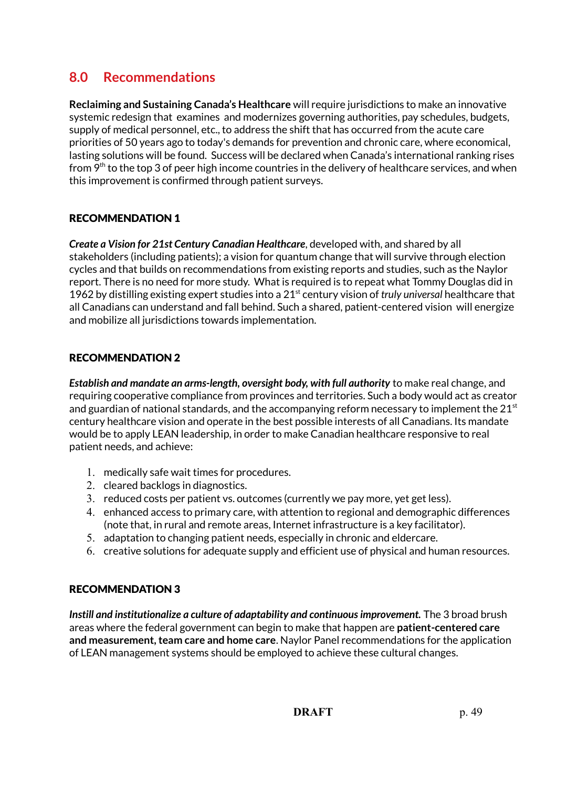# **8.0 Recommendations**

**Reclaiming and Sustaining Canada's Healthcare** will require jurisdictions to make an innovative systemic redesign that examines and modernizes governing authorities, pay schedules, budgets, supply of medical personnel, etc., to address the shift that has occurred from the acute care priorities of 50 years ago to today's demands for prevention and chronic care, where economical, lasting solutions will be found. Success will be declared when Canada's international ranking rises from 9<sup>th</sup> to the top 3 of peer high income countries in the delivery of healthcare services, and when this improvement is confirmed through patient surveys.

## RECOMMENDATION 1

*Create a Vision for 21st Century Canadian Healthcare*, developed with, and shared by all stakeholders (including patients); a vision for quantum change that will survive through election cycles and that builds on recommendations from existing reports and studies, such as the Naylor report. There is no need for more study. What is required is to repeat what Tommy Douglas did in 1962 by distilling existing expert studies into a 21st century vision of *truly universal* healthcare that all Canadians can understand and fall behind. Such a shared, patient-centered vision will energize and mobilize all jurisdictions towards implementation.

## RECOMMENDATION 2

*Establish and mandate an arms-length, oversight body, with full authority* to make real change, and requiring cooperative compliance from provinces and territories. Such a body would act as creator and guardian of national standards, and the accompanying reform necessary to implement the  $21<sup>st</sup>$ century healthcare vision and operate in the best possible interests of all Canadians. Its mandate would be to apply LEAN leadership, in order to make Canadian healthcare responsive to real patient needs, and achieve:

- 1. medically safe wait times for procedures.
- 2. cleared backlogs in diagnostics.
- 3. reduced costs per patient vs. outcomes (currently we pay more, yet get less).
- 4. enhanced access to primary care, with attention to regional and demographic differences (note that, in rural and remote areas, Internet infrastructure is a key facilitator).
- 5. adaptation to changing patient needs, especially in chronic and eldercare.
- 6. creative solutions for adequate supply and efficient use of physical and human resources.

## RECOMMENDATION 3

*Instill and institutionalize a culture of adaptability and continuous improvement.* The 3 broad brush areas where the federal government can begin to make that happen are **patient-centered care and measurement, team care and home care**. Naylor Panel recommendations for the application of LEAN management systems should be employed to achieve these cultural changes.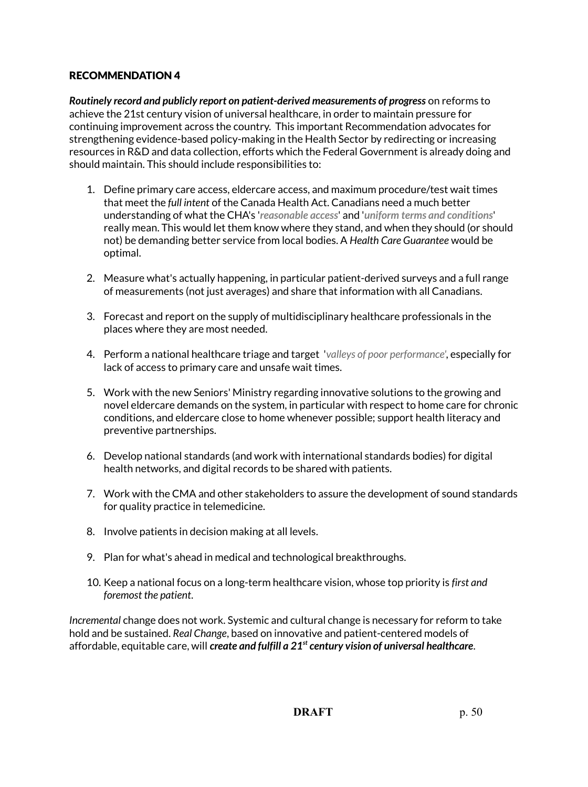## RECOMMENDATION 4

*Routinely record and publicly report on patient-derived measurements of progress* on reforms to achieve the 21st century vision of universal healthcare, in order to maintain pressure for continuing improvement across the country. This important Recommendation advocates for strengthening evidence-based policy-making in the Health Sector by redirecting or increasing resources in R&D and data collection, efforts which the Federal Government is already doing and should maintain. This should include responsibilities to:

- 1. Define primary care access, eldercare access, and maximum procedure/test wait times that meet the *full intent* of the Canada Health Act. Canadians need a much better understanding of what the CHA's '*reasonable access*' and '*uniform terms and conditions*' really mean. This would let them know where they stand, and when they should (or should not) be demanding better service from local bodies. A *Health Care Guarantee* would be optimal.
- 2. Measure what's actually happening, in particular patient-derived surveys and a full range of measurements (not just averages) and share that information with all Canadians.
- 3. Forecast and report on the supply of multidisciplinary healthcare professionals in the places where they are most needed.
- 4. Perform a national healthcare triage and target '*valleys of poor performance'*, especially for lack of access to primary care and unsafe wait times.
- 5. Work with the new Seniors' Ministry regarding innovative solutions to the growing and novel eldercare demands on the system, in particular with respect to home care for chronic conditions, and eldercare close to home whenever possible; support health literacy and preventive partnerships.
- 6. Develop national standards (and work with international standards bodies) for digital health networks, and digital records to be shared with patients.
- 7. Work with the CMA and other stakeholders to assure the development of sound standards for quality practice in telemedicine.
- 8. Involve patients in decision making at all levels.
- 9. Plan for what's ahead in medical and technological breakthroughs.
- 10. Keep a national focus on a long-term healthcare vision, whose top priority is *first and foremost the patient*.

*Incremental* change does not work. Systemic and cultural change is necessary for reform to take hold and be sustained. *Real Change*, based on innovative and patient-centered models of affordable, equitable care, will *create and fulfill a 21st century vision of universal healthcare*.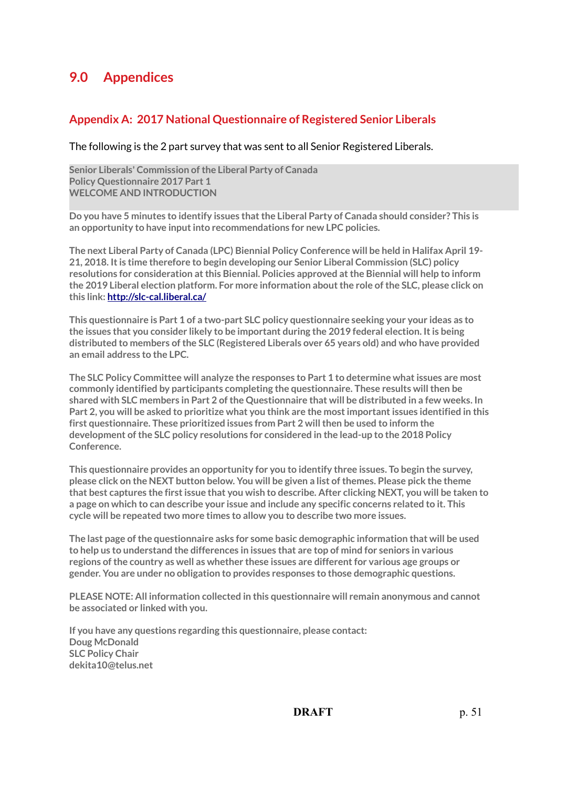# **9.0 Appendices**

## **Appendix A: 2017 National Questionnaire of Registered Senior Liberals**

#### The following is the 2 part survey that was sent to all Senior Registered Liberals.

**Senior Liberals' Commission of the Liberal Party of Canada Policy Questionnaire 2017 Part 1 WELCOME AND INTRODUCTION**

**Do you have 5 minutes to identify issues that the Liberal Party of Canada should consider? This is an opportunity to have input into recommendations for new LPC policies.**

**The next Liberal Party of Canada (LPC) Biennial Policy Conference will be held in Halifax April 19- 21, 2018. It is time therefore to begin developing our Senior Liberal Commission (SLC) policy resolutions for consideration at this Biennial. Policies approved at the Biennial will help to inform the 2019 Liberal election platform. For more information about the role of the SLC, please click on this link:<http://slc-cal.liberal.ca/>**

**This questionnaire is Part 1 of a two-part SLC policy questionnaire seeking your your ideas as to the issues that you consider likely to be important during the 2019 federal election. It is being distributed to members of the SLC (Registered Liberals over 65 years old) and who have provided an email address to the LPC.**

**The SLC Policy Committee will analyze the responses to Part 1 to determine what issues are most commonly identified by participants completing the questionnaire. These results will then be shared with SLC members in Part 2 of the Questionnaire that will be distributed in a few weeks. In Part 2, you will be asked to prioritize what you think are the most important issues identified in this first questionnaire. These prioritized issues from Part 2 will then be used to inform the development of the SLC policy resolutions for considered in the lead-up to the 2018 Policy Conference.**

**This questionnaire provides an opportunity for you to identify three issues. To begin the survey, please click on the NEXT button below. You will be given a list of themes. Please pick the theme that best captures the first issue that you wish to describe. After clicking NEXT, you will be taken to a page on which to can describe your issue and include any specific concerns related to it. This cycle will be repeated two more times to allow you to describe two more issues.**

**The last page of the questionnaire asks for some basic demographic information that will be used to help us to understand the differences in issues that are top of mind for seniors in various regions of the country as well as whether these issues are different for various age groups or gender. You are under no obligation to provides responses to those demographic questions.**

**PLEASE NOTE: All information collected in this questionnaire will remain anonymous and cannot be associated or linked with you.**

**If you have any questions regarding this questionnaire, please contact: Doug McDonald SLC Policy Chair dekita10@telus.net**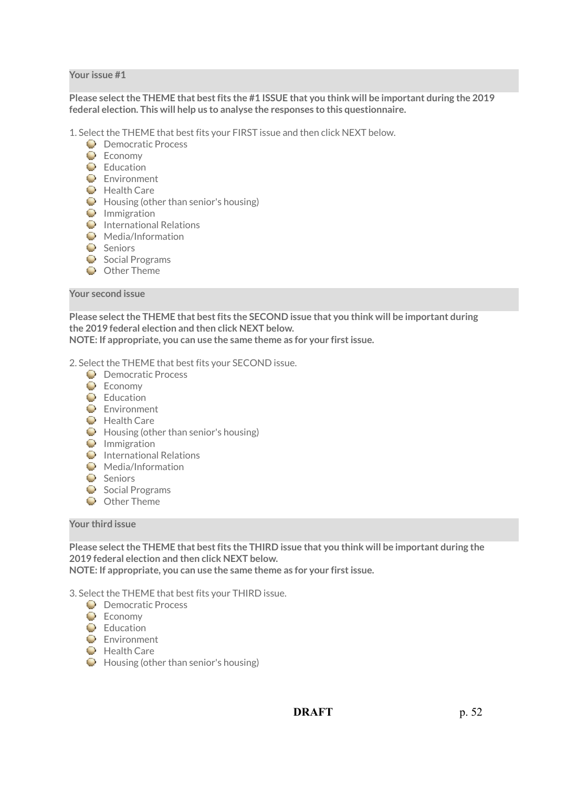#### **Your issue #1**

#### **Please select the THEME that best fits the #1 ISSUE that you think will be important during the 2019 federal election. This will help us to analyse the responses to this questionnaire.**

1. Select the THEME that best fits your FIRST issue and then click NEXT below.

- **Democratic Process**
- $\bullet$  Fronomy
- **Education**
- **Environment**
- **Health Care**
- $\bullet$  Housing (other than senior's housing)
- **O** Immigration
- **International Relations**
- **Media/Information**
- **C** Seniors
- Social Programs
- **O** Other Theme

#### **Your second issue**

**Please select the THEME that best fits the SECOND issue that you think will be important during the 2019 federal election and then click NEXT below. NOTE: If appropriate, you can use the same theme as for your first issue.**

2. Select the THEME that best fits your SECOND issue.

- **D** Democratic Process
- $\bullet$  Fconomy
- **Education**
- **Environment**
- **Health Care**
- $\bigcirc$  Housing (other than senior's housing)
- **O** Immigration
- $\bullet$  International Relations
- **Media/Information**
- Seniors
- $\bullet$  Social Programs
- **O** Other Theme

#### **Your third issue**

**Please select the THEME that best fits the THIRD issue that you think will be important during the 2019 federal election and then click NEXT below. NOTE: If appropriate, you can use the same theme as for your first issue.**

3. Select the THEME that best fits your THIRD issue.

- **D** Democratic Process
- **Economy**
- **E**ducation
- **Environment**
- **Health Care**
- $\bigcirc$  Housing (other than senior's housing)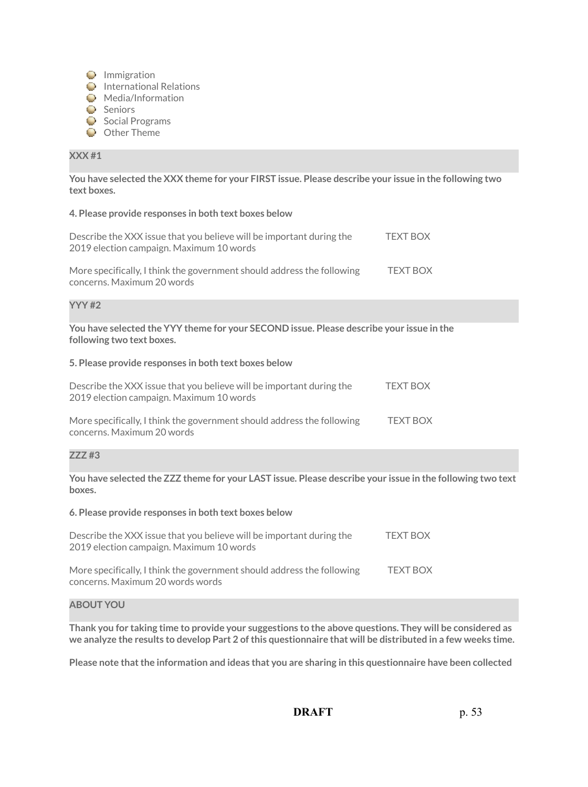- **D** Immigration
- $\bullet$  International Relations
- **Media/Information**
- Seniors
- Social Programs
- O Other Theme

#### **XXX #1**

**You have selected the XXX theme for your FIRST issue. Please describe your issue in the following two text boxes.**

#### **4. Please provide responses in both text boxes below**

| Describe the XXX issue that you believe will be important during the<br>2019 election campaign. Maximum 10 words | TFXT BOX        |
|------------------------------------------------------------------------------------------------------------------|-----------------|
| More specifically, I think the government should address the following<br>concerns. Maximum 20 words             | <b>TEXT BOX</b> |

#### **YYY #2**

**You have selected the YYY theme for your SECOND issue. Please describe your issue in the following two text boxes.**

#### **5. Please provide responses in both text boxes below**

| Describe the XXX issue that you believe will be important during the<br>2019 election campaign. Maximum 10 words | <b>TEXT BOX</b> |
|------------------------------------------------------------------------------------------------------------------|-----------------|
| More specifically, I think the government should address the following<br>concerns. Maximum 20 words             | <b>TFXT BOX</b> |

#### **ZZZ #3**

**You have selected the ZZZ theme for your LAST issue. Please describe your issue in the following two text boxes.**

#### **6. Please provide responses in both text boxes below**

| Describe the XXX issue that you believe will be important during the<br>2019 election campaign. Maximum 10 words | <b>TEXT BOX</b> |
|------------------------------------------------------------------------------------------------------------------|-----------------|
| More specifically, I think the government should address the following<br>concerns. Maximum 20 words words       | <b>TEXT BOX</b> |

#### **ABOUT YOU**

**Thank you for taking time to provide your suggestions to the above questions. They will be considered as we analyze the results to develop Part 2 of this questionnaire that will be distributed in a few weeks time.**

**Please note that the information and ideas that you are sharing in this questionnaire have been collected**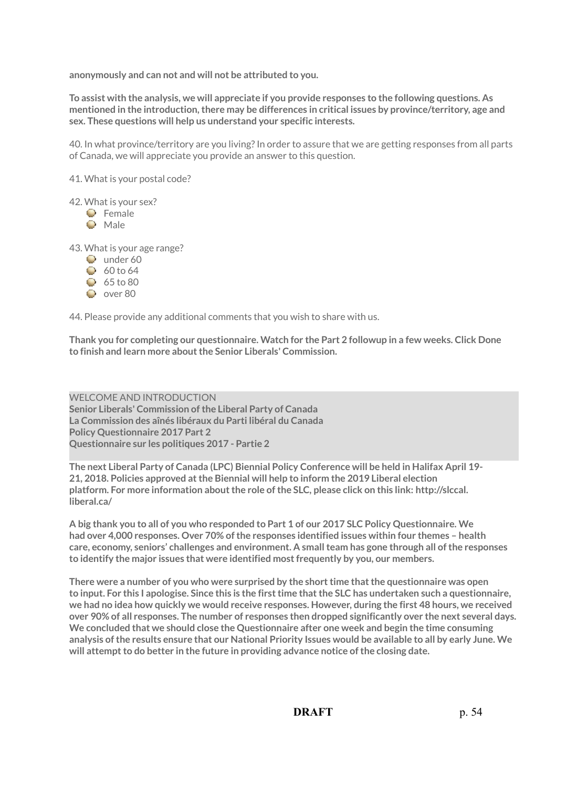**anonymously and can not and will not be attributed to you.**

**To assist with the analysis, we will appreciate if you provide responses to the following questions. As mentioned in the introduction, there may be differences in critical issues by province/territory, age and sex. These questions will help us understand your specific interests.**

40. In what province/territory are you living? In order to assure that we are getting responses from all parts of Canada, we will appreciate you provide an answer to this question.

41. What is your postal code?

42. What is your sex?

- **C** Female
- **O** Male

43. What is your age range?

- Q under 60
- $60$  to 64
- $65$  to 80
- $Q$  over 80

44. Please provide any additional comments that you wish to share with us.

**Thank you for completing our questionnaire. Watch for the Part 2 followup in a few weeks. Click Done to finish and learn more about the Senior Liberals' Commission.**

WELCOME AND INTRODUCTION **Senior Liberals' Commission of the Liberal Party of Canada La Commission des aînés libéraux du Parti libéral du Canada Policy Questionnaire 2017 Part 2 Questionnaire sur les politiques 2017 - Partie 2**

**The next Liberal Party of Canada (LPC) Biennial Policy Conference will be held in Halifax April 19- 21, 2018. Policies approved at the Biennial will help to inform the 2019 Liberal election platform. For more information about the role of the SLC, please click on this link: http://slccal. liberal.ca/**

**A big thank you to all of you who responded to Part 1 of our 2017 SLC Policy Questionnaire. We had over 4,000 responses. Over 70% of the responses identified issues within four themes – health care, economy, seniors' challenges and environment. A small team has gone through all of the responses to identify the major issues that were identified most frequently by you, our members.**

**There were a number of you who were surprised by the short time that the questionnaire was open to input. For this I apologise. Since this is the first time that the SLC has undertaken such a questionnaire, we had no idea how quickly we would receive responses. However, during the first 48 hours, we received over 90% of all responses. The number of responses then dropped significantly over the next several days. We concluded that we should close the Questionnaire after one week and begin the time consuming analysis of the results ensure that our National Priority Issues would be available to all by early June. We will attempt to do better in the future in providing advance notice of the closing date.**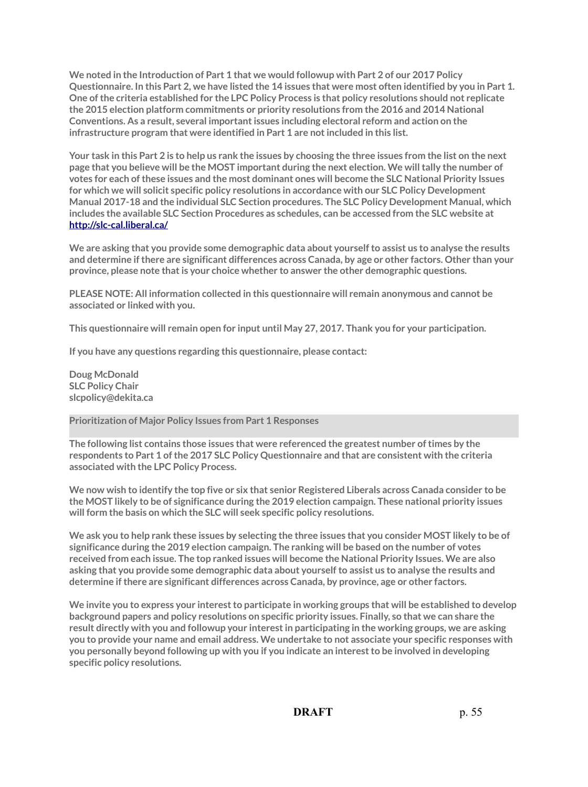**We noted in the Introduction of Part 1 that we would followup with Part 2 of our 2017 Policy Questionnaire. In this Part 2, we have listed the 14 issues that were most often identified by you in Part 1. One of the criteria established for the LPC Policy Process is that policy resolutions should not replicate the 2015 election platform commitments or priority resolutions from the 2016 and 2014 National Conventions. As a result, several important issues including electoral reform and action on the infrastructure program that were identified in Part 1 are not included in this list.**

**Your task in this Part 2 is to help us rank the issues by choosing the three issues from the list on the next page that you believe will be the MOST important during the next election. We will tally the number of votes for each of these issues and the most dominant ones will become the SLC National Priority Issues for which we will solicit specific policy resolutions in accordance with our SLC Policy Development Manual 2017-18 and the individual SLC Section procedures. The SLC Policy Development Manual, which includes the available SLC Section Procedures as schedules, can be accessed from the SLC website at <http://slc-cal.liberal.ca/>**

**We are asking that you provide some demographic data about yourself to assist us to analyse the results and determine if there are significant differences across Canada, by age or other factors. Other than your province, please note that is your choice whether to answer the other demographic questions.**

**PLEASE NOTE: All information collected in this questionnaire will remain anonymous and cannot be associated or linked with you.**

**This questionnaire will remain open for input until May 27, 2017. Thank you for your participation.**

**If you have any questions regarding this questionnaire, please contact:**

**Doug McDonald SLC Policy Chair slcpolicy@dekita.ca**

**Prioritization of Major Policy Issues from Part 1 Responses**

**The following list contains those issues that were referenced the greatest number of times by the respondents to Part 1 of the 2017 SLC Policy Questionnaire and that are consistent with the criteria associated with the LPC Policy Process.**

**We now wish to identify the top five or six that senior Registered Liberals across Canada consider to be the MOST likely to be of significance during the 2019 election campaign. These national priority issues will form the basis on which the SLC will seek specific policy resolutions.**

**We ask you to help rank these issues by selecting the three issues that you consider MOST likely to be of significance during the 2019 election campaign. The ranking will be based on the number of votes received from each issue. The top ranked issues will become the National Priority Issues. We are also asking that you provide some demographic data about yourself to assist us to analyse the results and determine if there are significant differences across Canada, by province, age or other factors.**

**We invite you to express your interest to participate in working groups that will be established to develop background papers and policy resolutions on specific priority issues. Finally, so that we can share the result directly with you and followup your interest in participating in the working groups, we are asking you to provide your name and email address. We undertake to not associate your specific responses with you personally beyond following up with you if you indicate an interest to be involved in developing specific policy resolutions.**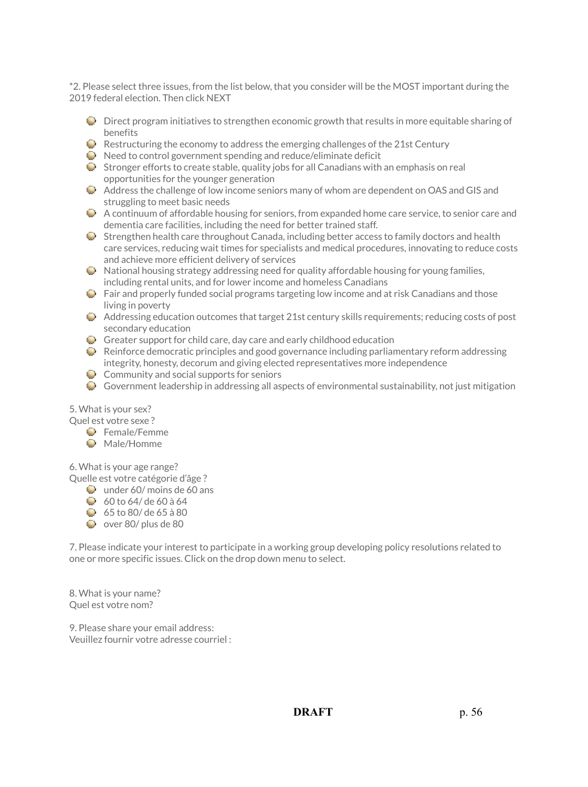\*2. Please select three issues, from the list below, that you consider will be the MOST important during the 2019 federal election. Then click NEXT

- $\bullet$  Direct program initiatives to strengthen economic growth that results in more equitable sharing of benefits
- $\bullet$  Restructuring the economy to address the emerging challenges of the 21st Century
- $\bullet$  Need to control government spending and reduce/eliminate deficit
- $\bullet$  Stronger efforts to create stable, quality jobs for all Canadians with an emphasis on real opportunities for the younger generation
- Address the challenge of low income seniors many of whom are dependent on OAS and GIS and struggling to meet basic needs
- A continuum of affordable housing for seniors, from expanded home care service, to senior care and dementia care facilities, including the need for better trained staff.
- $\bullet$  Strengthen health care throughout Canada, including better access to family doctors and health care services, reducing wait times for specialists and medical procedures, innovating to reduce costs and achieve more efficient delivery of services
- $\bullet$  National housing strategy addressing need for quality affordable housing for young families, including rental units, and for lower income and homeless Canadians
- $\bullet$  Fair and properly funded social programs targeting low income and at risk Canadians and those living in poverty
- $\bullet$  Addressing education outcomes that target 21st century skills requirements; reducing costs of post secondary education
- Greater support for child care, day care and early childhood education
- $\bullet$  Reinforce democratic principles and good governance including parliamentary reform addressing integrity, honesty, decorum and giving elected representatives more independence
- $\bullet$  Community and social supports for seniors
- Government leadership in addressing all aspects of environmental sustainability, not just mitigation

#### 5. What is your sex?

Quel est votre sexe ?

- **E** Female/Femme
- **Male/Homme**

6. What is your age range?

Quelle est votre catégorie d'âge ?

- $\bullet$  under 60/ moins de 60 ans
- $\bigcirc$  60 to 64/ de 60 à 64
- $65$  to 80/ de 65 à 80
- $\bullet$  over 80/ plus de 80

7. Please indicate your interest to participate in a working group developing policy resolutions related to one or more specific issues. Click on the drop down menu to select.

8. What is your name? Quel est votre nom?

9. Please share your email address: Veuillez fournir votre adresse courriel :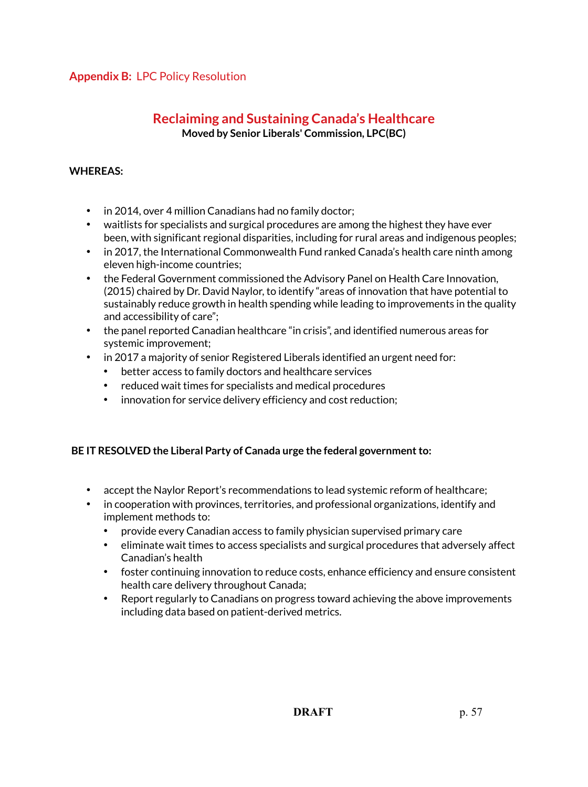## **Appendix B:** LPC Policy Resolution

# **Reclaiming and Sustaining Canada's Healthcare Moved by Senior Liberals' Commission, LPC(BC)**

## **WHEREAS:**

- in 2014, over 4 million Canadians had no family doctor;
- waitlists for specialists and surgical procedures are among the highest they have ever been, with significant regional disparities, including for rural areas and indigenous peoples;
- in 2017, the International Commonwealth Fund ranked Canada's health care ninth among eleven high-income countries;
- the Federal Government commissioned the Advisory Panel on Health Care Innovation, (2015) chaired by Dr. David Naylor, to identify "areas of innovation that have potential to sustainably reduce growth in health spending while leading to improvements in the quality and accessibility of care";
- the panel reported Canadian healthcare "in crisis", and identified numerous areas for systemic improvement;
- in 2017 a majority of senior Registered Liberals identified an urgent need for:
	- better access to family doctors and healthcare services
	- reduced wait times for specialists and medical procedures
	- innovation for service delivery efficiency and cost reduction;

## **BE IT RESOLVED the Liberal Party of Canada urge the federal government to:**

- accept the Naylor Report's recommendations to lead systemic reform of healthcare;
- in cooperation with provinces, territories, and professional organizations, identify and implement methods to:
	- provide every Canadian access to family physician supervised primary care
	- eliminate wait times to access specialists and surgical procedures that adversely affect Canadian's health
	- foster continuing innovation to reduce costs, enhance efficiency and ensure consistent health care delivery throughout Canada;
	- Report regularly to Canadians on progress toward achieving the above improvements including data based on patient-derived metrics.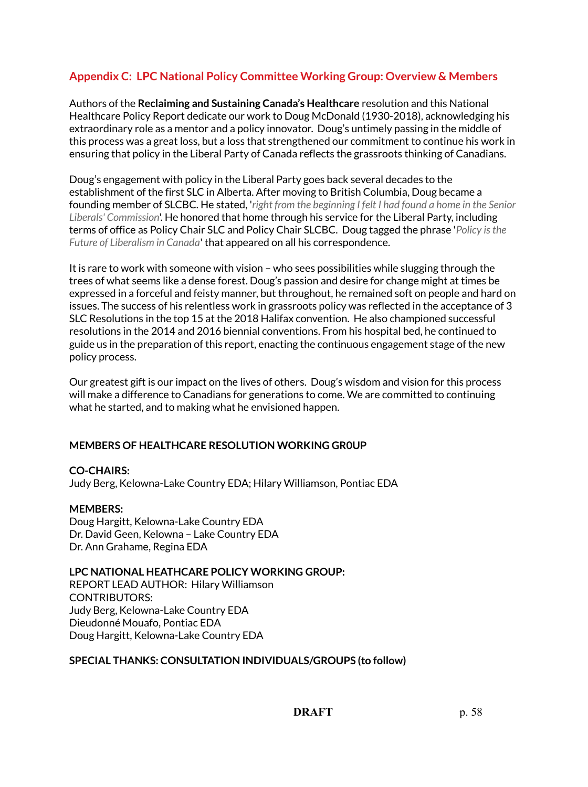# **Appendix C: LPC National Policy Committee Working Group: Overview & Members**

Authors of the **Reclaiming and Sustaining Canada's Healthcare** resolution and this National Healthcare Policy Report dedicate our work to Doug McDonald (1930-2018), acknowledging his extraordinary role as a mentor and a policy innovator. Doug's untimely passing in the middle of this process was a great loss, but a loss that strengthened our commitment to continue his work in ensuring that policy in the Liberal Party of Canada reflects the grassroots thinking of Canadians.

Doug's engagement with policy in the Liberal Party goes back several decades to the establishment of the first SLC in Alberta. After moving to British Columbia, Doug became a founding member of SLCBC. He stated, '*right from the beginning I felt I had found a home in the Senior Liberals' Commission*'. He honored that home through his service for the Liberal Party, including terms of office as Policy Chair SLC and Policy Chair SLCBC. Doug tagged the phrase '*Policy is the Future of Liberalism in Canada*' that appeared on all his correspondence.

It is rare to work with someone with vision – who sees possibilities while slugging through the trees of what seems like a dense forest. Doug's passion and desire for change might at times be expressed in a forceful and feisty manner, but throughout, he remained soft on people and hard on issues. The success of his relentless work in grassroots policy was reflected in the acceptance of 3 SLC Resolutions in the top 15 at the 2018 Halifax convention. He also championed successful resolutions in the 2014 and 2016 biennial conventions. From his hospital bed, he continued to guide us in the preparation of this report, enacting the continuous engagement stage of the new policy process.

Our greatest gift is our impact on the lives of others. Doug's wisdom and vision for this process will make a difference to Canadians for generations to come. We are committed to continuing what he started, and to making what he envisioned happen.

## **MEMBERS OF HEALTHCARE RESOLUTION WORKING GR0UP**

#### **CO-CHAIRS:**

Judy Berg, Kelowna-Lake Country EDA; Hilary Williamson, Pontiac EDA

#### **MEMBERS:**

Doug Hargitt, Kelowna-Lake Country EDA Dr. David Geen, Kelowna – Lake Country EDA Dr. Ann Grahame, Regina EDA

#### **LPC NATIONAL HEATHCARE POLICY WORKING GROUP:**

REPORT LEAD AUTHOR: Hilary Williamson CONTRIBUTORS: Judy Berg, Kelowna-Lake Country EDA Dieudonné Mouafo, Pontiac EDA Doug Hargitt, Kelowna-Lake Country EDA

#### **SPECIAL THANKS: CONSULTATION INDIVIDUALS/GROUPS (to follow)**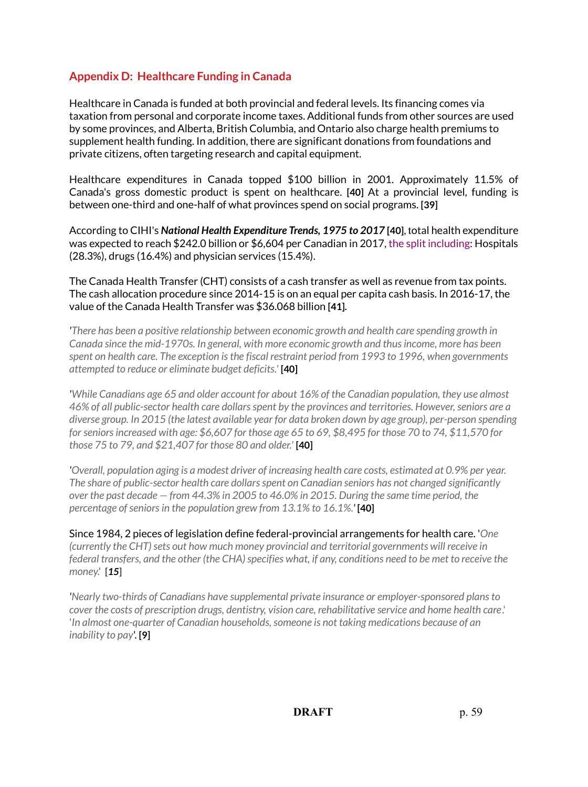# **Appendix D: Healthcare Funding in Canada**

Healthcare in Canada is funded at both provincial and federal levels. Its financing comes via taxation from personal and corporate income taxes. Additional funds from other sources are used by some provinces, and Alberta, British Columbia, and Ontario also charge health premiums to supplement health funding. In addition, there are significant donations from foundations and private citizens, often targeting research and capital equipment.

Healthcare expenditures in Canada topped \$100 billion in 2001. Approximately 11.5% of Canada's gross domestic product is spent on healthcare. **[40]** At a provincial level, funding is between one-third and one-half of what provinces spend on social programs. **[39]**

According to CIHI's *National Health Expenditure Trends, 1975 to 2017* **[40]**, total health expenditure was expected to reach \$242.0 billion or \$6,604 per Canadian in 2017, the split including: Hospitals (28.3%), drugs (16.4%) and physician services (15.4%).

The Canada Health Transfer (CHT) consists of a cash transfer as well as revenue from tax points. The cash allocation procedure since 2014-15 is on an equal per capita cash basis. In 2016-17, the value of the Canada Health Transfer was \$36.068 billion **[41].**

*'There has been a positive relationship between economic growth and health care spending growth in Canada since the mid-1970s. In general, with more economic growth and thus income, more has been spent on health care. The exception is the fiscal restraint period from 1993 to 1996, when governments attempted to reduce or eliminate budget deficits.'* **[40]**

*'While Canadians age 65 and older account for about 16% of the Canadian population, they use almost 46% of all public-sector health care dollars spent by the provinces and territories. However, seniors are a diverse group. In 2015 (the latest available year for data broken down by age group), per-person spending for seniors increased with age: \$6,607 for those age 65 to 69, \$8,495 for those 70 to 74, \$11,570 for those 75 to 79, and \$21,407 for those 80 and older.'* **[40]**

*'Overall, population aging is a modest driver of increasing health care costs, estimated at 0.9% per year. The share of public-sector health care dollars spent on Canadian seniors has not changed significantly over the past decade — from 44.3% in 2005 to 46.0% in 2015. During the same time period, the percentage of seniors in the population grew from 13.1% to 16.1%.'* **[40]**

Since 1984, 2 pieces of legislation define federal-provincial arrangements for health care. '*One (currently the CHT) sets out how much money provincial and territorial governments will receive in federal transfers, and the other (the CHA) specifies what, if any, conditions need to be met to receive the money*.' [*15*]

*'Nearly two-thirds of Canadians have supplemental private insurance or employer-sponsored plans to cover the costs of prescription drugs, dentistry, vision care, rehabilitative service and home health care*.' '*In almost one-quarter of Canadian households, someone is not taking medications because of an inability to pay*'. **[9]**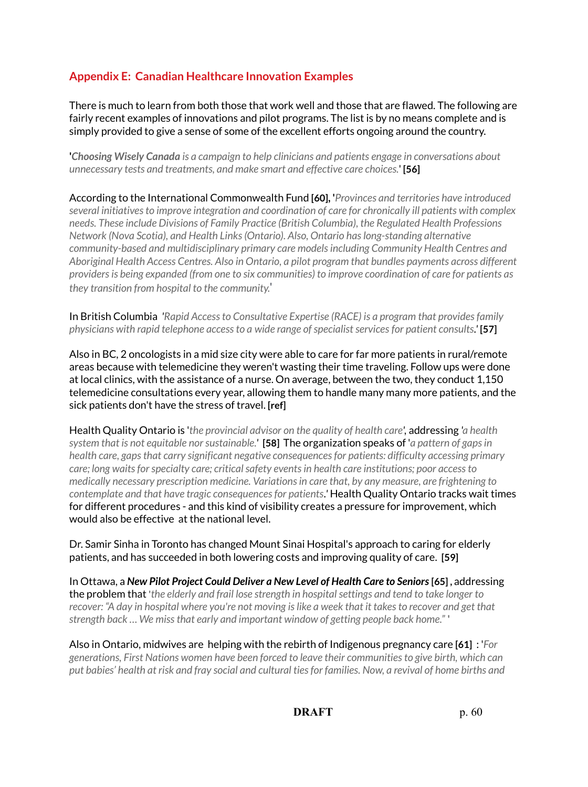# **Appendix E: Canadian Healthcare Innovation Examples**

There is much to learn from both those that work well and those that are flawed. The following are fairly recent examples of innovations and pilot programs. The list is by no means complete and is simply provided to give a sense of some of the excellent efforts ongoing around the country.

**'***Choosing Wisely Canada is a campaign to help clinicians and patients engage in conversations about unnecessary tests and treatments, and make smart and effective care choices.*' **[56]** 

According to the International Commonwealth Fund **[60], '***Provinces and territories have introduced several initiatives to improve integration and coordination of care for chronically ill patients with complex needs. These include Divisions of Family Practice (British Columbia), the Regulated Health Professions Network (Nova Scotia), and Health Links (Ontario). Also, Ontario has long-standing alternative community-based and multidisciplinary primary care models including Community Health Centres and Aboriginal Health Access Centres. Also in Ontario, a pilot program that bundles payments across different providers is being expanded (from one to six communities) to improve coordination of care for patients as they transition from hospital to the community.*'

In British Columbia *'Rapid Access to Consultative Expertise (RACE) is a program that provides family physicians with rapid telephone access to a [wide range of specialist services](http://www.raceconnect.ca/services-available/) for patient consults.'* **[57]** 

Also in BC, 2 oncologists in a mid size city were able to care for far more patients in rural/remote areas because with telemedicine they weren't wasting their time traveling. Follow ups were done at local clinics, with the assistance of a nurse. On average, between the two, they conduct 1,150 telemedicine consultations every year, allowing them to handle many many more patients, and the sick patients don't have the stress of travel. **[ref]**

Health Quality Ontario is '*the provincial advisor on the quality of health care',* addressing *'a health system that is not equitable nor sustainable.'* **[58]** The organization speaks of '*a pattern of gaps in health care, gaps that carry significant negative consequences for patients: difficulty accessing primary care; long waits for specialty care; critical safety events in health care institutions; poor access to medically necessary prescription medicine. Variations in care that, by any measure, are frightening to contemplate and that have tragic consequences for patients.'* Health Quality Ontario tracks wait times for different procedures - and this kind of visibility creates a pressure for improvement, which would also be effective at the national level.

Dr. Samir Sinha in Toronto has changed Mount Sinai Hospital's approach to caring for elderly patients, and has succeeded in both lowering costs and improving quality of care. **[59]** 

In Ottawa, a *New Pilot Project Could Deliver a New Level of Health Care to Seniors* **[65] ,** addressing the problem that **'***the elderly and frail lose strength in hospital settings and tend to take longer to recover: "A day in hospital where you're not moving is like a week that it takes to recover and get that strength back … We miss that early and important window of getting people back home."* **'**

Also in Ontario, midwives are helping with the rebirth of Indigenous pregnancy care **[61]** : '*For generations, First Nations women have been forced to leave their communities to give birth, which can put babies' health at risk and fray social and cultural ties for families. Now, a revival of home births and*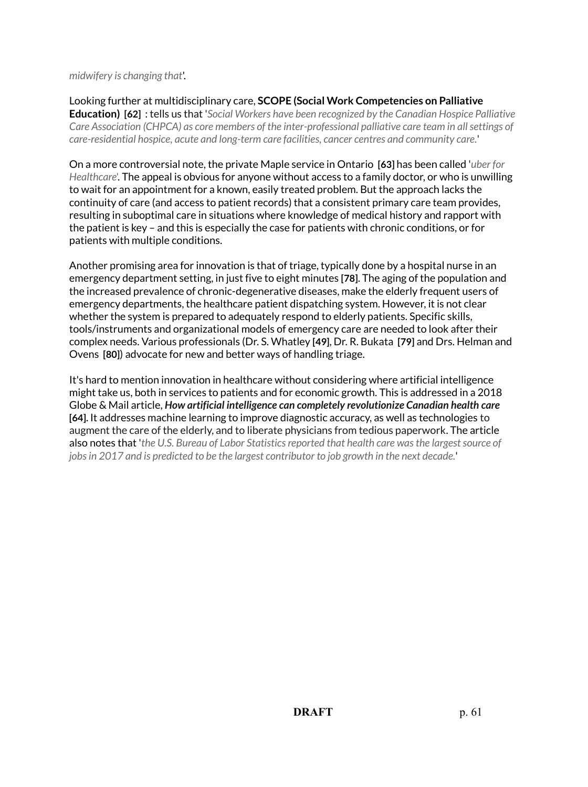*midwifery is changing that*'.

Looking further at multidisciplinary care, **SCOPE (Social Work Competencies on Palliative Education) [62]** : tells us that '*Social Workers have been recognized by the Canadian Hospice Palliative Care Association (CHPCA) as core members of the inter-professional palliative care team in all settings of care-residential hospice, acute and long-term care facilities, cancer centres and community care.*'

On a more controversial note, the private Maple service in Ontario **[63]** has been called '*uber for Healthcare*'. The appeal is obvious for anyone without access to a family doctor, or who is unwilling to wait for an appointment for a known, easily treated problem. But the approach lacks the continuity of care (and access to patient records) that a consistent primary care team provides, resulting in suboptimal care in situations where knowledge of medical history and rapport with the patient is key – and this is especially the case for patients with chronic conditions, or for patients with multiple conditions.

Another promising area for innovation is that of triage, typically done by a hospital nurse in an emergency department setting, in just five to eight minutes **[78]**. The aging of the population and the increased prevalence of chronic-degenerative diseases, make the elderly frequent users of emergency departments, the healthcare patient dispatching system. However, it is not clear whether the system is prepared to adequately respond to elderly patients. Specific skills, tools/instruments and organizational models of emergency care are needed to look after their complex needs. Various professionals (Dr. S. Whatley **[49]**, Dr. R. Bukata **[79]** and Drs. Helman and Ovens **[80]**) advocate for new and better ways of handling triage.

It's hard to mention innovation in healthcare without considering where artificial intelligence might take us, both in services to patients and for economic growth. This is addressed in a 2018 Globe & Mail article, *How artificial intelligence can completely revolutionize Canadian health care* **[64].** It addresses machine learning to improve diagnostic accuracy, as well as technologies to augment the care of the elderly, and to liberate physicians from tedious paperwork. The article also notes that '*the U.S. Bureau of Labor Statistics reported that health care was the largest source of jobs in 2017 and is predicted to be the largest contributor to job growth in the next decade.*'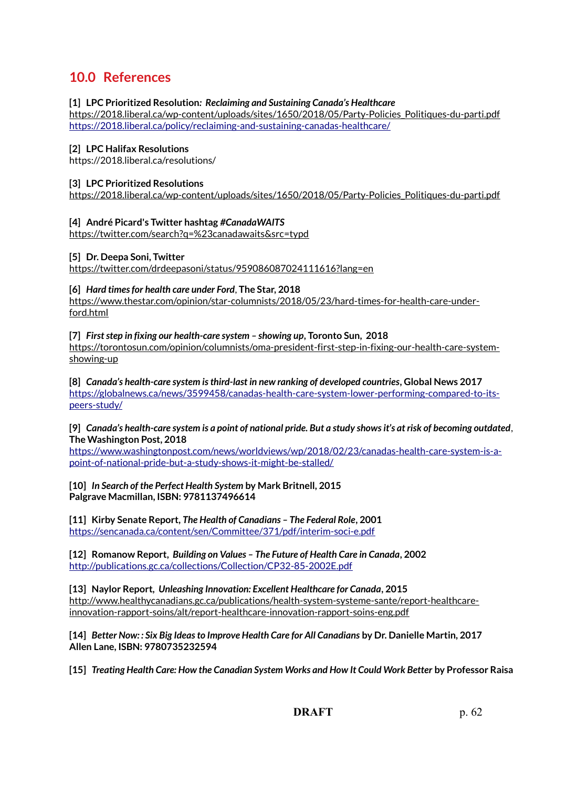# **10.0 References**

#### **[1] LPC Prioritized Resolution***: Reclaiming and Sustaining Canada's Healthcare*

[https://2018.liberal.ca/wp-content/uploads/sites/1650/2018/05/Party-Policies\\_Politiques-du-parti.pdf](https://2018.liberal.ca/wp-content/uploads/sites/1650/2018/05/Party-Policies_Politiques-du-parti.pdf) <https://2018.liberal.ca/policy/reclaiming-and-sustaining-canadas-healthcare/>

#### **[2] LPC Halifax Resolutions**

https://2018.liberal.ca/resolutions/

#### **[3] LPC Prioritized Resolutions**

[https://2018.liberal.ca/wp-content/uploads/sites/1650/2018/05/Party-Policies\\_Politiques-du-parti.pdf](https://2018.liberal.ca/wp-content/uploads/sites/1650/2018/05/Party-Policies_Politiques-du-parti.pdf)

#### **[4] André Picard's Twitter hashtag** *#CanadaWAITS*

<https://twitter.com/search?q=%23canadawaits&src=typd>

#### **[5] Dr. Deepa Soni, Twitter**

<https://twitter.com/drdeepasoni/status/959086087024111616?lang=en>

#### **[6]** *Hard times for health care under Ford*, **The Star, 2018**

[https://www.thestar.com/opinion/star-columnists/2018/05/23/hard-times-for-health-care-under](https://www.thestar.com/opinion/star-columnists/2018/05/23/hard-times-for-health-care-under-ford.html)[ford.html](https://www.thestar.com/opinion/star-columnists/2018/05/23/hard-times-for-health-care-under-ford.html)

#### **[7]** *First step in fixing our health-care system – showing up***, Toronto Sun, 2018**

[https://torontosun.com/opinion/columnists/oma-president-first-step-in-fixing-our-health-care-system](https://torontosun.com/opinion/columnists/oma-president-first-step-in-fixing-our-health-care-system-showing-up)[showing-up](https://torontosun.com/opinion/columnists/oma-president-first-step-in-fixing-our-health-care-system-showing-up)

**[8]** *Canada's health-care system is third-last in new ranking of developed countries***, Global News 2017** [https://globalnews.ca/news/3599458/canadas-health-care-system-lower-performing-compared-to-its](https://globalnews.ca/news/3599458/canadas-health-care-system-lower-performing-compared-to-its-peers-study/)[peers-study/](https://globalnews.ca/news/3599458/canadas-health-care-system-lower-performing-compared-to-its-peers-study/)

**[9]** *Canada's health-care system is a point of national pride. But a study shows it's at risk of becoming outdated*, **The Washington Post, 2018**

[https://www.washingtonpost.com/news/worldviews/wp/2018/02/23/canadas-health-care-system-is-a](https://www.washingtonpost.com/news/worldviews/wp/2018/02/23/canadas-health-care-system-is-a-point-of-national-pride-but-a-study-shows-it-might-be-stalled/)[point-of-national-pride-but-a-study-shows-it-might-be-stalled/](https://www.washingtonpost.com/news/worldviews/wp/2018/02/23/canadas-health-care-system-is-a-point-of-national-pride-but-a-study-shows-it-might-be-stalled/)

**[10]** *In Search of the Perfect Health System* **by Mark Britnell, 2015 Palgrave Macmillan, ISBN: 9781137496614**

**[11] Kirby Senate Report,** *The Health of Canadians – The Federal Role***, 2001** <https://sencanada.ca/content/sen/Committee/371/pdf/interim-soci-e.pdf>

**[12] Romanow Report,** *Building on Values – The Future of Health Care in Canada***, 2002** <http://publications.gc.ca/collections/Collection/CP32-85-2002E.pdf>

**[13] Naylor Report,** *Unleashing Innovation: Excellent Healthcare for Canada***, 2015** [http://www.healthycanadians.gc.ca/publications/health-system-systeme-sante/report-healthcare](http://www.healthycanadians.gc.ca/publications/health-system-systeme-sante/report-healthcare-innovation-rapport-soins/alt/report-healthcare-innovation-rapport-soins-eng.pdf)[innovation-rapport-soins/alt/report-healthcare-innovation-rapport-soins-eng.pdf](http://www.healthycanadians.gc.ca/publications/health-system-systeme-sante/report-healthcare-innovation-rapport-soins/alt/report-healthcare-innovation-rapport-soins-eng.pdf)

**[14]** *Better Now: : Six Big Ideas to Improve Health Care for All Canadians* **by Dr. Danielle Martin, 2017 Allen Lane, ISBN: 9780735232594**

**[15]** *Treating Health Care: How the Canadian System Works and How It Could Work Better* **by Professor Raisa**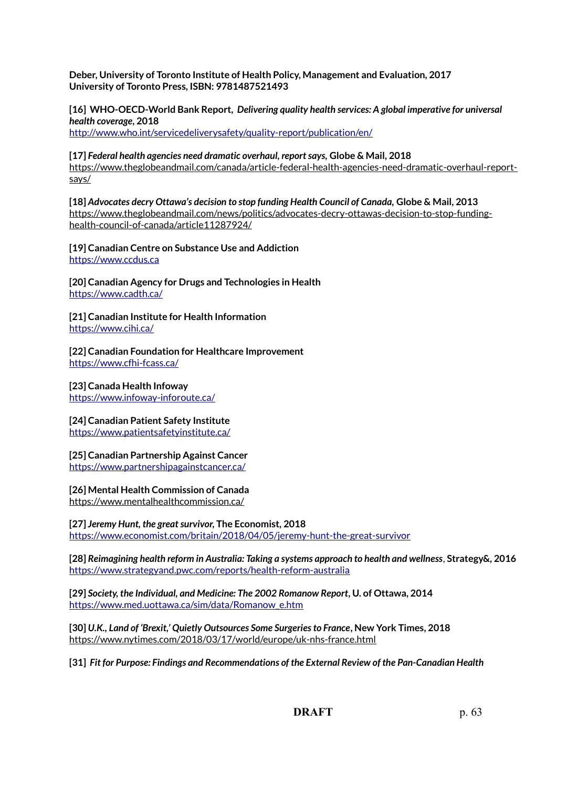**Deber, University of Toronto Institute of Health Policy, Management and Evaluation, 2017 University of Toronto Press, ISBN: 9781487521493**

**[16] WHO-OECD-World Bank Report,** *Delivering quality health services: A global imperative for universal health coverage***, 2018** 

<http://www.who.int/servicedeliverysafety/quality-report/publication/en/>

**[17]** *Federal health agencies need dramatic overhaul, report says,* **Globe & Mail, 2018** [https://www.theglobeandmail.com/canada/article-federal-health-agencies-need-dramatic-overhaul-report](https://www.theglobeandmail.com/canada/article-federal-health-agencies-need-dramatic-overhaul-report-says/)[says/](https://www.theglobeandmail.com/canada/article-federal-health-agencies-need-dramatic-overhaul-report-says/)

**[18]** *Advocates decry Ottawa's decision to stop funding Health Council of Canada,* **Globe & Mail, 2013** [https://www.theglobeandmail.com/news/politics/advocates-decry-ottawas-decision-to-stop-funding](https://www.theglobeandmail.com/news/politics/advocates-decry-ottawas-decision-to-stop-funding-health-council-of-canada/article11287924/)[health-council-of-canada/article11287924/](https://www.theglobeandmail.com/news/politics/advocates-decry-ottawas-decision-to-stop-funding-health-council-of-canada/article11287924/)

**[19] Canadian Centre on Substance Use and Addiction** [https://www.ccdus.ca](https://www.ccdus.ca/)

**[20] Canadian Agency for Drugs and Technologies in Health** <https://www.cadth.ca/>

**[21] Canadian Institute for Health Information** <https://www.cihi.ca/>

**[22] Canadian Foundation for Healthcare Improvement** <https://www.cfhi-fcass.ca/>

**[23] Canada Health Infoway**  <https://www.infoway-inforoute.ca/>

**[24] Canadian Patient Safety Institute**

<https://www.patientsafetyinstitute.ca/>

#### **[25] Canadian Partnership Against Cancer** <https://www.partnershipagainstcancer.ca/>

**[26] Mental Health Commission of Canada** <https://www.mentalhealthcommission.ca/>

**[27]** *Jeremy Hunt, the great survivor***, The Economist, 2018** <https://www.economist.com/britain/2018/04/05/jeremy-hunt-the-great-survivor>

**[28]** *Reimagining health reform in Australia: Taking a systems approach to health and wellness*, **Strategy&, 2016** <https://www.strategyand.pwc.com/reports/health-reform-australia>

**[29]** *Society, the Individual, and Medicine: The 2002 Romanow Report***, U. of Ottawa, 2014** [https://www.med.uottawa.ca/sim/data/Romanow\\_e.htm](https://www.med.uottawa.ca/sim/data/Romanow_e.htm)

**[30]** *U.K., Land of 'Brexit,' Quietly Outsources Some Surgeries to France***, New York Times, 2018** <https://www.nytimes.com/2018/03/17/world/europe/uk-nhs-france.html>

**[31]** *Fit for Purpose: Findings and Recommendations of the External Review of the Pan-Canadian Health*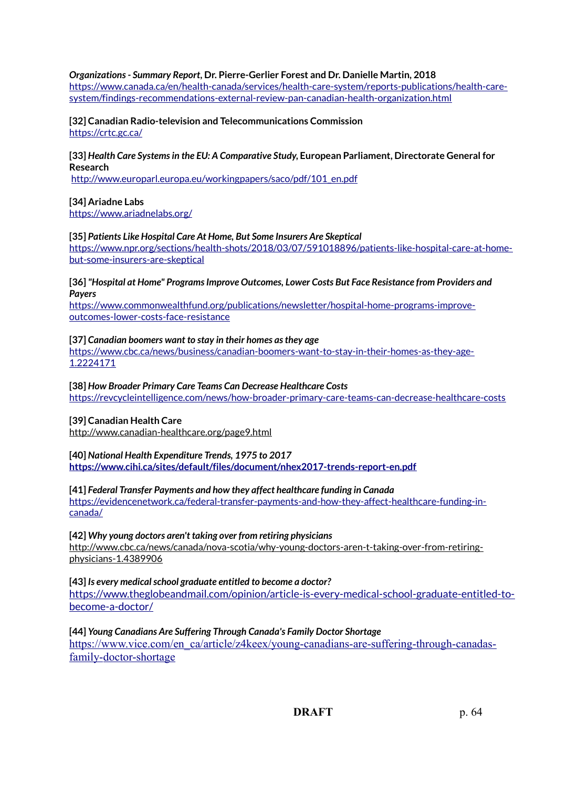#### *Organizations - Summary Report***, Dr. Pierre-Gerlier Forest and Dr. Danielle Martin, 2018**

[https://www.canada.ca/en/health-canada/services/health-care-system/reports-publications/health-care](https://www.canada.ca/en/health-canada/services/health-care-system/reports-publications/health-care-system/findings-recommendations-external-review-pan-canadian-health-organization.html)[system/findings-recommendations-external-review-pan-canadian-health-organization.html](https://www.canada.ca/en/health-canada/services/health-care-system/reports-publications/health-care-system/findings-recommendations-external-review-pan-canadian-health-organization.html)

**[32] Canadian Radio-television and Telecommunications Commission** <https://crtc.gc.ca/>

#### **[33]** *Health Care Systems in the EU: A Comparative Study***, European Parliament, Directorate General for Research**

[http://www.europarl.europa.eu/workingpapers/saco/pdf/101\\_en.pdf](http://www.europarl.europa.eu/workingpapers/saco/pdf/101_en.pdf)

#### **[34] Ariadne Labs**

<https://www.ariadnelabs.org/>

#### **[35]** *Patients Like Hospital Care At Home, But Some Insurers Are Skeptical* [https://www.npr.org/sections/health-shots/2018/03/07/591018896/patients-like-hospital-care-at-home](https://www.npr.org/sections/health-shots/2018/03/07/591018896/patients-like-hospital-care-at-home-but-some-insurers-are-skeptical)[but-some-insurers-are-skeptical](https://www.npr.org/sections/health-shots/2018/03/07/591018896/patients-like-hospital-care-at-home-but-some-insurers-are-skeptical)

**[36]** *"Hospital at Home" Programs Improve Outcomes, Lower Costs But Face Resistance from Providers and Payers*

[https://www.commonwealthfund.org/publications/newsletter/hospital-home-programs-improve](https://www.commonwealthfund.org/publications/newsletter/hospital-home-programs-improve-outcomes-lower-costs-face-resistance)[outcomes-lower-costs-face-resistance](https://www.commonwealthfund.org/publications/newsletter/hospital-home-programs-improve-outcomes-lower-costs-face-resistance)

#### **[37]** *Canadian boomers want to stay in their homes as they age*

[https://www.cbc.ca/news/business/canadian-boomers-want-to-stay-in-their-homes-as-they-age-](https://www.cbc.ca/news/business/canadian-boomers-want-to-stay-in-their-homes-as-they-age-1.2224171)[1.2224171](https://www.cbc.ca/news/business/canadian-boomers-want-to-stay-in-their-homes-as-they-age-1.2224171)

**[38]** *How Broader Primary Care Teams Can Decrease Healthcare Costs* <https://revcycleintelligence.com/news/how-broader-primary-care-teams-can-decrease-healthcare-costs>

#### **[39] Canadian Health Care**

<http://www.canadian-healthcare.org/page9.html>

## **[40]** *National Health Expenditure Trends, 1975 to 2017*

**<https://www.cihi.ca/sites/default/files/document/nhex2017-trends-report-en.pdf>**

#### **[41]** *Federal Transfer Payments and how they affect healthcare funding in Canada*

[https://evidencenetwork.ca/federal-transfer-payments-and-how-they-affect-healthcare-funding-in](https://evidencenetwork.ca/federal-transfer-payments-and-how-they-affect-healthcare-funding-in-canada/)[canada/](https://evidencenetwork.ca/federal-transfer-payments-and-how-they-affect-healthcare-funding-in-canada/)

#### **[42]** *Why young doctors aren't taking over from retiring physicians*

[http://www.cbc.ca/news/canada/nova-scotia/why-young-doctors-aren-t-taking-over-from-retiring](http://www.cbc.ca/news/canada/nova-scotia/why-young-doctors-aren-t-taking-over-from-retiring-physicians-1.4389906)[physicians-1.4389906](http://www.cbc.ca/news/canada/nova-scotia/why-young-doctors-aren-t-taking-over-from-retiring-physicians-1.4389906)

**[43]** *Is every medical school graduate entitled to become a doctor?*

[https://www.theglobeandmail.com/opinion/article-is-every-medical-school-graduate-entitled-to](https://www.theglobeandmail.com/opinion/article-is-every-medical-school-graduate-entitled-to-become-a-doctor/)[become-a-doctor/](https://www.theglobeandmail.com/opinion/article-is-every-medical-school-graduate-entitled-to-become-a-doctor/)

**[44]** *Young Canadians Are Suffering Through Canada's Family Doctor Shortage* [https://www.vice.com/en\\_ca/article/z4keex/young-canadians-are-suffering-through-canadas](https://www.vice.com/en_ca/article/z4keex/young-canadians-are-suffering-through-canadas-family-doctor-shortage)  [family-doctor-shortage](https://www.vice.com/en_ca/article/z4keex/young-canadians-are-suffering-through-canadas-family-doctor-shortage)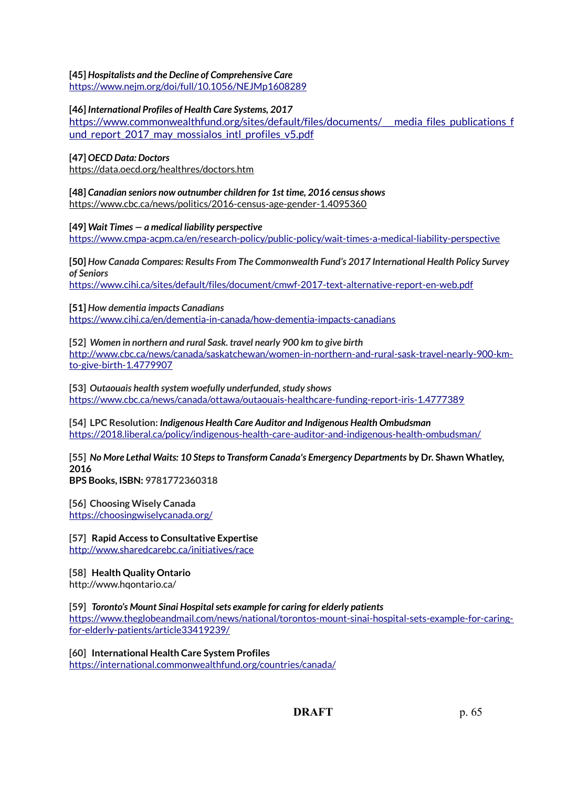#### **[45]** *Hospitalists and the Decline of Comprehensive Care*

<https://www.nejm.org/doi/full/10.1056/NEJMp1608289>

#### **[46]** *International Profiles of Health Care Systems, 2017*

[https://www.commonwealthfund.org/sites/default/files/documents/\\_\\_\\_media\\_files\\_publications\\_f](https://www.commonwealthfund.org/sites/default/files/documents/___media_files_publications_fund_report_2017_may_mossialos_intl_profiles_v5.pdf) und report 2017 may mossialos intl profiles v5.pdf

#### **[47]** *OECD Data: Doctors*

<https://data.oecd.org/healthres/doctors.htm>

**[48]** *Canadian seniors now outnumber children for 1st time, 2016 census shows* <https://www.cbc.ca/news/politics/2016-census-age-gender-1.4095360>

**[49]** *Wait Times — a medical liability perspective*

<https://www.cmpa-acpm.ca/en/research-policy/public-policy/wait-times-a-medical-liability-perspective>

**[50]** *How Canada Compares: Results From The Commonwealth Fund's 2017 International Health Policy Survey of Seniors*

<https://www.cihi.ca/sites/default/files/document/cmwf-2017-text-alternative-report-en-web.pdf>

#### **[51]** *How dementia impacts Canadians*

<https://www.cihi.ca/en/dementia-in-canada/how-dementia-impacts-canadians>

**[52]** *Women in northern and rural Sask. travel nearly 900 km to give birth* [http://www.cbc.ca/news/canada/saskatchewan/women-in-northern-and-rural-sask-travel-nearly-900-km](http://www.cbc.ca/news/canada/saskatchewan/women-in-northern-and-rural-sask-travel-nearly-900-km-to-give-birth-1.4779907)[to-give-birth-1.4779907](http://www.cbc.ca/news/canada/saskatchewan/women-in-northern-and-rural-sask-travel-nearly-900-km-to-give-birth-1.4779907)

**[53]** *Outaouais health system woefully underfunded, study shows* <https://www.cbc.ca/news/canada/ottawa/outaouais-healthcare-funding-report-iris-1.4777389>

**[54] LPC Resolution:** *Indigenous Health Care Auditor and Indigenous Health Ombudsman* <https://2018.liberal.ca/policy/indigenous-health-care-auditor-and-indigenous-health-ombudsman/>

**[55]** *No More Lethal Waits: 10 Steps to Transform Canada's Emergency Departments* **by Dr. Shawn Whatley, 2016**

**BPS Books, ISBN: 9781772360318**

**[56] Choosing Wisely Canada** <https://choosingwiselycanada.org/>

**[57] Rapid Access to Consultative Expertise** <http://www.sharedcarebc.ca/initiatives/race>

#### **[58] Health Quality Ontario**

<http://www.hqontario.ca/>

#### **[59]** *Toronto's Mount Sinai Hospital sets example for caring for elderly patients*

[https://www.theglobeandmail.com/news/national/torontos-mount-sinai-hospital-sets-example-for-caring](https://www.theglobeandmail.com/news/national/torontos-mount-sinai-hospital-sets-example-for-caring-for-elderly-patients/article33419239/)[for-elderly-patients/article33419239/](https://www.theglobeandmail.com/news/national/torontos-mount-sinai-hospital-sets-example-for-caring-for-elderly-patients/article33419239/)

**[60] International Health Care System Profiles** <https://international.commonwealthfund.org/countries/canada/>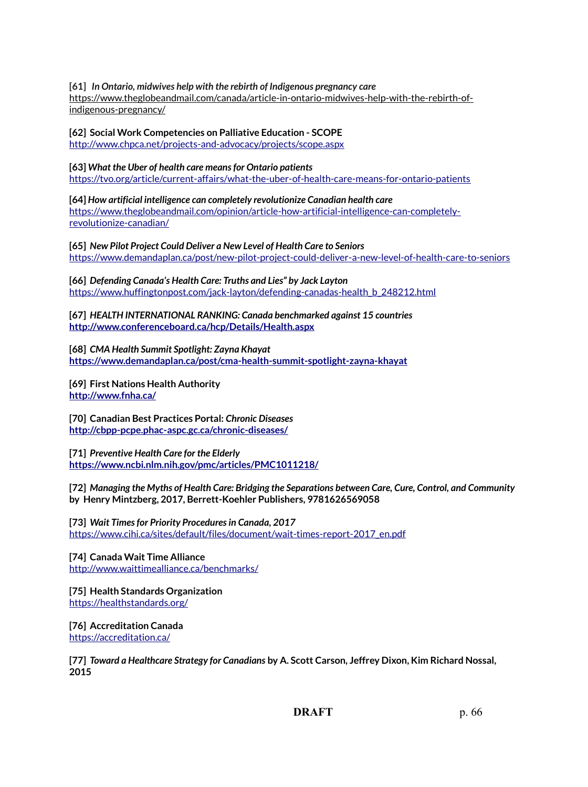**[61]** *In Ontario, midwives help with the rebirth of Indigenous pregnancy care* [https://www.theglobeandmail.com/canada/article-in-ontario-midwives-help-with-the-rebirth-of](https://www.theglobeandmail.com/canada/article-in-ontario-midwives-help-with-the-rebirth-of-indigenous-pregnancy/)[indigenous-pregnancy/](https://www.theglobeandmail.com/canada/article-in-ontario-midwives-help-with-the-rebirth-of-indigenous-pregnancy/)

**[62] Social Work Competencies on Palliative Education - SCOPE** <http://www.chpca.net/projects-and-advocacy/projects/scope.aspx>

**[63]** *What the Uber of health care means for Ontario patients* <https://tvo.org/article/current-affairs/what-the-uber-of-health-care-means-for-ontario-patients>

**[64]** *How artificial intelligence can completely revolutionize Canadian health care* [https://www.theglobeandmail.com/opinion/article-how-artificial-intelligence-can-completely](https://www.theglobeandmail.com/opinion/article-how-artificial-intelligence-can-completely-revolutionize-canadian/)[revolutionize-canadian/](https://www.theglobeandmail.com/opinion/article-how-artificial-intelligence-can-completely-revolutionize-canadian/)

**[65]** *New Pilot Project Could Deliver a New Level of Health Care to Seniors* <https://www.demandaplan.ca/post/new-pilot-project-could-deliver-a-new-level-of-health-care-to-seniors>

**[66]** *Defending Canada's Health Care: Truths and Lies" by Jack Layton* [https://www.huffingtonpost.com/jack-layton/defending-canadas-health\\_b\\_248212.html](https://www.huffingtonpost.com/jack-layton/defending-canadas-health_b_248212.html)

**[67]** *HEALTH INTERNATIONAL RANKING: Canada benchmarked against 15 countries* **<http://www.conferenceboard.ca/hcp/Details/Health.aspx>**

**[68]** *CMA Health Summit Spotlight: Zayna Khayat* **<https://www.demandaplan.ca/post/cma-health-summit-spotlight-zayna-khayat>**

**[69] First Nations Health Authority <http://www.fnha.ca/>**

**[70] Canadian Best Practices Portal:** *Chronic Diseases* **<http://cbpp-pcpe.phac-aspc.gc.ca/chronic-diseases/>**

**[71]** *Preventive Health Care for the Elderly* **<https://www.ncbi.nlm.nih.gov/pmc/articles/PMC1011218/>**

**[72]** *Managing the Myths of Health Care: Bridging the Separations between Care, Cure, Control, and Community* **by Henry Mintzberg, 2017, Berrett-Koehler Publishers, 9781626569058**

**[73]** *Wait Times for Priority Procedures in Canada, 2017* [https://www.cihi.ca/sites/default/files/document/wait-times-report-2017\\_en.pdf](https://www.cihi.ca/sites/default/files/document/wait-times-report-2017_en.pdf)

**[74] Canada Wait Time Alliance** <http://www.waittimealliance.ca/benchmarks/>

**[75] Health Standards Organization** <https://healthstandards.org/>

**[76] Accreditation Canada** <https://accreditation.ca/>

**[77]** *Toward a Healthcare Strategy for Canadians* **by A. Scott Carson, Jeffrey Dixon, Kim Richard Nossal, 2015**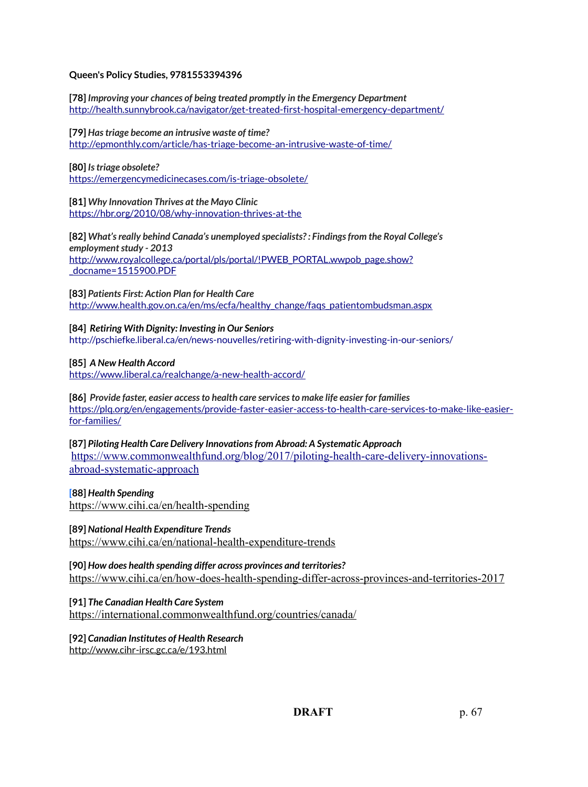#### **Queen's Policy Studies, 9781553394396**

**[78]** *Improving your chances of being treated promptly in the Emergency Department* <http://health.sunnybrook.ca/navigator/get-treated-first-hospital-emergency-department/>

**[79]** *Has triage become an intrusive waste of time?* <http://epmonthly.com/article/has-triage-become-an-intrusive-waste-of-time/>

**[80]** *Is triage obsolete?* <https://emergencymedicinecases.com/is-triage-obsolete/>

**[81]** *Why Innovation Thrives at the Mayo Clinic* <https://hbr.org/2010/08/why-innovation-thrives-at-the>

**[82]** *What's really behind Canada's unemployed specialists? : Findings from the Royal College's employment study - 2013* [http://www.royalcollege.ca/portal/pls/portal/!PWEB\\_PORTAL.wwpob\\_page.show?](http://www.royalcollege.ca/portal/pls/portal/!PWEB_PORTAL.wwpob_page.show?_docname=1515900.PDF) [\\_docname=1515900.PDF](http://www.royalcollege.ca/portal/pls/portal/!PWEB_PORTAL.wwpob_page.show?_docname=1515900.PDF)

**[83]** *Patients First: Action Plan for Health Care* [http://www.health.gov.on.ca/en/ms/ecfa/healthy\\_change/faqs\\_patientombudsman.aspx](http://www.health.gov.on.ca/en/ms/ecfa/healthy_change/faqs_patientombudsman.aspx)

**[84]** *Retiring With Dignity: Investing in Our Seniors* <http://pschiefke.liberal.ca/en/news-nouvelles/retiring-with-dignity-investing-in-our-seniors/>

**[85]** *A New Health Accord*

<https://www.liberal.ca/realchange/a-new-health-accord/>

**[86]** *Provide faster, easier access to health care services to make life easier for families* [https://plq.org/en/engagements/provide-faster-easier-access-to-health-care-services-to-make-like-easier](https://plq.org/en/engagements/provide-faster-easier-access-to-health-care-services-to-make-like-easier-for-families/)[for-families/](https://plq.org/en/engagements/provide-faster-easier-access-to-health-care-services-to-make-like-easier-for-families/)

**[87]** *Piloting Health Care Delivery Innovations from Abroad: A Systematic Approach*  [https://www.commonwealthfund.org/blog/2017/piloting-health-care-delivery-innovations](https://www.commonwealthfund.org/blog/2017/piloting-health-care-delivery-innovations-abroad-systematic-approach)[abroad-systematic-approach](https://www.commonwealthfund.org/blog/2017/piloting-health-care-delivery-innovations-abroad-systematic-approach)

**[88]** *Health Spending* <https://www.cihi.ca/en/health-spending>

**[89]** *National Health Expenditure Trends*

<https://www.cihi.ca/en/national-health-expenditure-trends>

**[90]** *How does health spending differ across provinces and territories?* <https://www.cihi.ca/en/how-does-health-spending-differ-across-provinces-and-territories-2017>

**[91]** *The Canadian Health Care System* <https://international.commonwealthfund.org/countries/canada/>

**[92]** *Canadian Institutes of Health Research*

<http://www.cihr-irsc.gc.ca/e/193.html>